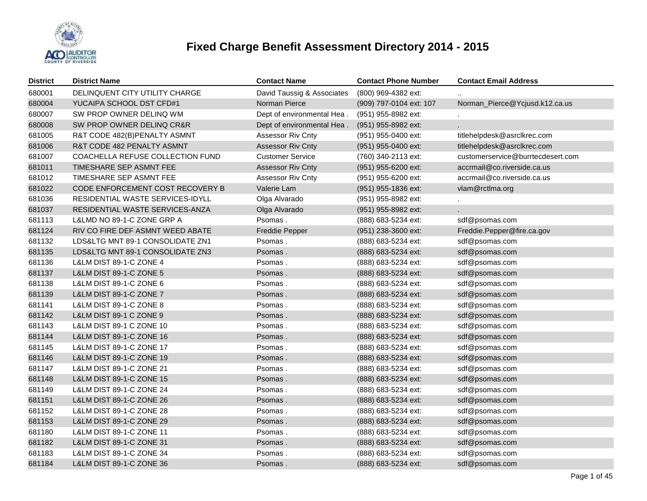

| <b>District</b> | <b>District Name</b>                | <b>Contact Name</b>        | <b>Contact Phone Number</b> | <b>Contact Email Address</b>      |
|-----------------|-------------------------------------|----------------------------|-----------------------------|-----------------------------------|
| 680001          | DELINQUENT CITY UTILITY CHARGE      | David Taussig & Associates | (800) 969-4382 ext:         |                                   |
| 680004          | YUCAIPA SCHOOL DST CFD#1            | Norman Pierce              | (909) 797-0104 ext: 107     | Norman_Pierce@Ycjusd.k12.ca.us    |
| 680007          | SW PROP OWNER DELINQ WM             | Dept of environmental Hea. | (951) 955-8982 ext:         |                                   |
| 680008          | SW PROP OWNER DELINQ CR&R           | Dept of environmental Hea. | (951) 955-8982 ext:         | L.                                |
| 681005          | R&T CODE 482(B)PENALTY ASMNT        | Assessor Riv Cnty          | (951) 955-0400 ext:         | titlehelpdesk@asrclkrec.com       |
| 681006          | R&T CODE 482 PENALTY ASMNT          | <b>Assessor Riv Cnty</b>   | (951) 955-0400 ext:         | titlehelpdesk@asrclkrec.com       |
| 681007          | COACHELLA REFUSE COLLECTION FUND    | <b>Customer Service</b>    | (760) 340-2113 ext:         | customerservice@burrtecdesert.com |
| 681011          | TIMESHARE SEP ASMNT FEE             | <b>Assessor Riv Cnty</b>   | (951) 955-6200 ext:         | accrmail@co.riverside.ca.us       |
| 681012          | TIMESHARE SEP ASMNT FEE             | Assessor Riv Cnty          | (951) 955-6200 ext:         | accrmail@co.riverside.ca.us       |
| 681022          | CODE ENFORCEMENT COST RECOVERY B    | Valerie Lam                | (951) 955-1836 ext:         | vlam@rctlma.org                   |
| 681036          | RESIDENTIAL WASTE SERVICES-IDYLL    | Olga Alvarado              | (951) 955-8982 ext:         |                                   |
| 681037          | RESIDENTIAL WASTE SERVICES-ANZA     | Olga Alvarado              | (951) 955-8982 ext:         |                                   |
| 681113          | L&LMD NO 89-1-C ZONE GRP A          | Psomas.                    | (888) 683-5234 ext:         | sdf@psomas.com                    |
| 681124          | RIV CO FIRE DEF ASMNT WEED ABATE    | <b>Freddie Pepper</b>      | (951) 238-3600 ext:         | Freddie.Pepper@fire.ca.gov        |
| 681132          | LDS&LTG MNT 89-1 CONSOLIDATE ZN1    | Psomas.                    | (888) 683-5234 ext:         | sdf@psomas.com                    |
| 681135          | LDS&LTG MNT 89-1 CONSOLIDATE ZN3    | Psomas.                    | (888) 683-5234 ext:         | sdf@psomas.com                    |
| 681136          | L&LM DIST 89-1-C ZONE 4             | Psomas.                    | (888) 683-5234 ext:         | sdf@psomas.com                    |
| 681137          | <b>L&amp;LM DIST 89-1-C ZONE 5</b>  | Psomas.                    | (888) 683-5234 ext:         | sdf@psomas.com                    |
| 681138          | L&LM DIST 89-1-C ZONE 6             | Psomas.                    | (888) 683-5234 ext:         | sdf@psomas.com                    |
| 681139          | L&LM DIST 89-1-C ZONE 7             | Psomas.                    | (888) 683-5234 ext:         | sdf@psomas.com                    |
| 681141          | L&LM DIST 89-1-C ZONE 8             | Psomas.                    | (888) 683-5234 ext:         | sdf@psomas.com                    |
| 681142          | L&LM DIST 89-1 C ZONE 9             | Psomas.                    | (888) 683-5234 ext:         | sdf@psomas.com                    |
| 681143          | L&LM DIST 89-1 C ZONE 10            | Psomas.                    | (888) 683-5234 ext:         | sdf@psomas.com                    |
| 681144          | L&LM DIST 89-1-C ZONE 16            | Psomas.                    | (888) 683-5234 ext:         | sdf@psomas.com                    |
| 681145          | L&LM DIST 89-1-C ZONE 17            | Psomas.                    | (888) 683-5234 ext:         | sdf@psomas.com                    |
| 681146          | L&LM DIST 89-1-C ZONE 19            | Psomas.                    | (888) 683-5234 ext:         | sdf@psomas.com                    |
| 681147          | L&LM DIST 89-1-C ZONE 21            | Psomas.                    | (888) 683-5234 ext:         | sdf@psomas.com                    |
| 681148          | L&LM DIST 89-1-C ZONE 15            | Psomas.                    | (888) 683-5234 ext:         | sdf@psomas.com                    |
| 681149          | L&LM DIST 89-1-C ZONE 24            | Psomas.                    | (888) 683-5234 ext:         | sdf@psomas.com                    |
| 681151          | L&LM DIST 89-1-C ZONE 26            | Psomas.                    | (888) 683-5234 ext:         | sdf@psomas.com                    |
| 681152          | L&LM DIST 89-1-C ZONE 28            | Psomas.                    | (888) 683-5234 ext:         | sdf@psomas.com                    |
| 681153          | L&LM DIST 89-1-C ZONE 29            | Psomas.                    | (888) 683-5234 ext:         | sdf@psomas.com                    |
| 681180          | L&LM DIST 89-1-C ZONE 11            | Psomas.                    | (888) 683-5234 ext:         | sdf@psomas.com                    |
| 681182          | <b>L&amp;LM DIST 89-1-C ZONE 31</b> | Psomas.                    | (888) 683-5234 ext:         | sdf@psomas.com                    |
| 681183          | L&LM DIST 89-1-C ZONE 34            | Psomas.                    | (888) 683-5234 ext:         | sdf@psomas.com                    |
| 681184          | L&LM DIST 89-1-C ZONE 36            | Psomas.                    | (888) 683-5234 ext:         | sdf@psomas.com                    |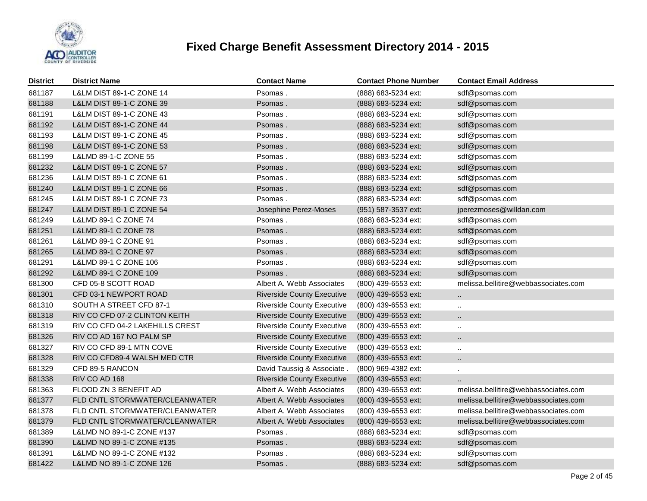

| <b>District</b> | <b>District Name</b>                | <b>Contact Name</b>               | <b>Contact Phone Number</b> | <b>Contact Email Address</b>         |
|-----------------|-------------------------------------|-----------------------------------|-----------------------------|--------------------------------------|
| 681187          | L&LM DIST 89-1-C ZONE 14            | Psomas.                           | (888) 683-5234 ext:         | sdf@psomas.com                       |
| 681188          | L&LM DIST 89-1-C ZONE 39            | Psomas.                           | (888) 683-5234 ext:         | sdf@psomas.com                       |
| 681191          | L&LM DIST 89-1-C ZONE 43            | Psomas.                           | (888) 683-5234 ext:         | sdf@psomas.com                       |
| 681192          | <b>L&amp;LM DIST 89-1-C ZONE 44</b> | Psomas.                           | (888) 683-5234 ext:         | sdf@psomas.com                       |
| 681193          | L&LM DIST 89-1-C ZONE 45            | Psomas.                           | (888) 683-5234 ext:         | sdf@psomas.com                       |
| 681198          | L&LM DIST 89-1-C ZONE 53            | Psomas.                           | (888) 683-5234 ext:         | sdf@psomas.com                       |
| 681199          | L&LMD 89-1-C ZONE 55                | Psomas.                           | (888) 683-5234 ext:         | sdf@psomas.com                       |
| 681232          | L&LM DIST 89-1 C ZONE 57            | Psomas.                           | (888) 683-5234 ext:         | sdf@psomas.com                       |
| 681236          | L&LM DIST 89-1 C ZONE 61            | Psomas.                           | (888) 683-5234 ext:         | sdf@psomas.com                       |
| 681240          | L&LM DIST 89-1 C ZONE 66            | Psomas.                           | (888) 683-5234 ext:         | sdf@psomas.com                       |
| 681245          | L&LM DIST 89-1 C ZONE 73            | Psomas.                           | (888) 683-5234 ext:         | sdf@psomas.com                       |
| 681247          | <b>L&amp;LM DIST 89-1 C ZONE 54</b> | Josephine Perez-Moses             | (951) 587-3537 ext:         | jperezmoses@willdan.com              |
| 681249          | L&LMD 89-1 C ZONE 74                | Psomas.                           | (888) 683-5234 ext:         | sdf@psomas.com                       |
| 681251          | L&LMD 89-1 C ZONE 78                | Psomas.                           | (888) 683-5234 ext:         | sdf@psomas.com                       |
| 681261          | L&LMD 89-1 C ZONE 91                | Psomas.                           | (888) 683-5234 ext:         | sdf@psomas.com                       |
| 681265          | L&LMD 89-1 C ZONE 97                | Psomas.                           | (888) 683-5234 ext:         | sdf@psomas.com                       |
| 681291          | L&LMD 89-1 C ZONE 106               | Psomas.                           | (888) 683-5234 ext:         | sdf@psomas.com                       |
| 681292          | L&LMD 89-1 C ZONE 109               | Psomas.                           | (888) 683-5234 ext:         | sdf@psomas.com                       |
| 681300          | CFD 05-8 SCOTT ROAD                 | Albert A. Webb Associates         | (800) 439-6553 ext:         | melissa.bellitire@webbassociates.com |
| 681301          | CFD 03-1 NEWPORT ROAD               | <b>Riverside County Executive</b> | (800) 439-6553 ext:         | $\ddotsc$                            |
| 681310          | SOUTH A STREET CFD 87-1             | <b>Riverside County Executive</b> | (800) 439-6553 ext:         | $\ddot{\phantom{a}}$                 |
| 681318          | RIV CO CFD 07-2 CLINTON KEITH       | <b>Riverside County Executive</b> | (800) 439-6553 ext:         |                                      |
| 681319          | RIV CO CFD 04-2 LAKEHILLS CREST     | <b>Riverside County Executive</b> | (800) 439-6553 ext:         | $\ddot{\phantom{a}}$                 |
| 681326          | RIV CO AD 167 NO PALM SP            | <b>Riverside County Executive</b> | (800) 439-6553 ext:         |                                      |
| 681327          | RIV CO CFD 89-1 MTN COVE            | <b>Riverside County Executive</b> | (800) 439-6553 ext:         | $\ldots$                             |
| 681328          | RIV CO CFD89-4 WALSH MED CTR        | <b>Riverside County Executive</b> | (800) 439-6553 ext:         | Ω.                                   |
| 681329          | CFD 89-5 RANCON                     | David Taussig & Associate.        | (800) 969-4382 ext:         | ×.                                   |
| 681338          | RIV CO AD 168                       | <b>Riverside County Executive</b> | (800) 439-6553 ext:         | $\ddot{\phantom{a}}$                 |
| 681363          | FLOOD ZN 3 BENEFIT AD               | Albert A. Webb Associates         | (800) 439-6553 ext:         | melissa.bellitire@webbassociates.com |
| 681377          | FLD CNTL STORMWATER/CLEANWATER      | Albert A. Webb Associates         | (800) 439-6553 ext:         | melissa.bellitire@webbassociates.com |
| 681378          | FLD CNTL STORMWATER/CLEANWATER      | Albert A. Webb Associates         | (800) 439-6553 ext:         | melissa.bellitire@webbassociates.com |
| 681379          | FLD CNTL STORMWATER/CLEANWATER      | Albert A. Webb Associates         | (800) 439-6553 ext:         | melissa.bellitire@webbassociates.com |
| 681389          | L&LMD NO 89-1-C ZONE #137           | Psomas.                           | (888) 683-5234 ext:         | sdf@psomas.com                       |
| 681390          | L&LMD NO 89-1-C ZONE #135           | Psomas .                          | (888) 683-5234 ext:         | sdf@psomas.com                       |
| 681391          | L&LMD NO 89-1-C ZONE #132           | Psomas.                           | (888) 683-5234 ext:         | sdf@psomas.com                       |
| 681422          | L&LMD NO 89-1-C ZONE 126            | Psomas .                          | (888) 683-5234 ext:         | sdf@psomas.com                       |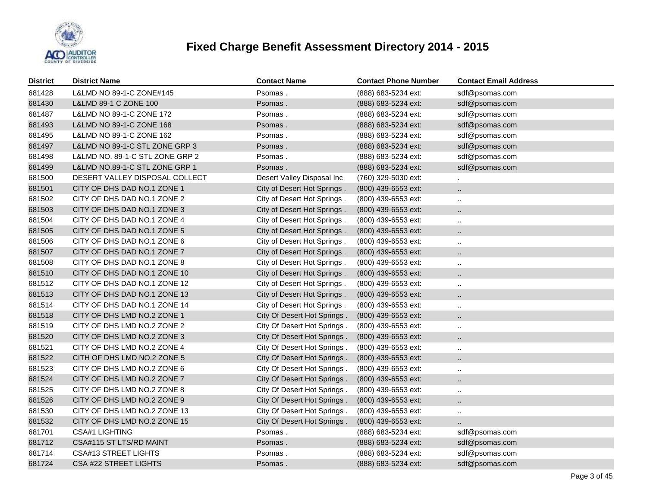

| <b>District</b> | <b>District Name</b>            | <b>Contact Name</b>         | <b>Contact Phone Number</b> | <b>Contact Email Address</b> |
|-----------------|---------------------------------|-----------------------------|-----------------------------|------------------------------|
| 681428          | L&LMD NO 89-1-C ZONE#145        | Psomas.                     | (888) 683-5234 ext:         | sdf@psomas.com               |
| 681430          | L&LMD 89-1 C ZONE 100           | Psomas.                     | (888) 683-5234 ext:         | sdf@psomas.com               |
| 681487          | L&LMD NO 89-1-C ZONE 172        | Psomas.                     | (888) 683-5234 ext:         | sdf@psomas.com               |
| 681493          | L&LMD NO 89-1-C ZONE 168        | Psomas.                     | (888) 683-5234 ext:         | sdf@psomas.com               |
| 681495          | L&LMD NO 89-1-C ZONE 162        | Psomas.                     | (888) 683-5234 ext:         | sdf@psomas.com               |
| 681497          | L&LMD NO 89-1-C STL ZONE GRP 3  | Psomas.                     | (888) 683-5234 ext:         | sdf@psomas.com               |
| 681498          | L&LMD NO. 89-1-C STL ZONE GRP 2 | Psomas.                     | (888) 683-5234 ext:         | sdf@psomas.com               |
| 681499          | L&LMD NO.89-1-C STL ZONE GRP 1  | Psomas.                     | (888) 683-5234 ext:         | sdf@psomas.com               |
| 681500          | DESERT VALLEY DISPOSAL COLLECT  | Desert Valley Disposal Inc  | (760) 329-5030 ext:         |                              |
| 681501          | CITY OF DHS DAD NO.1 ZONE 1     | City of Desert Hot Springs. | (800) 439-6553 ext:         | $\ddot{\phantom{a}}$         |
| 681502          | CITY OF DHS DAD NO.1 ZONE 2     | City of Desert Hot Springs. | (800) 439-6553 ext:         | $\ldots$                     |
| 681503          | CITY OF DHS DAD NO.1 ZONE 3     | City of Desert Hot Springs. | (800) 439-6553 ext:         | $\ddot{\phantom{a}}$         |
| 681504          | CITY OF DHS DAD NO.1 ZONE 4     | City of Desert Hot Springs. | (800) 439-6553 ext:         | $\ldots$                     |
| 681505          | CITY OF DHS DAD NO.1 ZONE 5     | City of Desert Hot Springs. | (800) 439-6553 ext:         | $\ldots$                     |
| 681506          | CITY OF DHS DAD NO.1 ZONE 6     | City of Desert Hot Springs. | (800) 439-6553 ext:         | $\ddotsc$                    |
| 681507          | CITY OF DHS DAD NO.1 ZONE 7     | City of Desert Hot Springs. | (800) 439-6553 ext:         | $\cdot$ .                    |
| 681508          | CITY OF DHS DAD NO.1 ZONE 8     | City of Desert Hot Springs. | (800) 439-6553 ext:         | $\cdot$ .                    |
| 681510          | CITY OF DHS DAD NO.1 ZONE 10    | City of Desert Hot Springs. | (800) 439-6553 ext:         | $\ddotsc$                    |
| 681512          | CITY OF DHS DAD NO.1 ZONE 12    | City of Desert Hot Springs. | (800) 439-6553 ext:         | $\cdots$                     |
| 681513          | CITY OF DHS DAD NO.1 ZONE 13    | City of Desert Hot Springs. | (800) 439-6553 ext:         | $\cdot$ .                    |
| 681514          | CITY OF DHS DAD NO.1 ZONE 14    | City of Desert Hot Springs. | (800) 439-6553 ext:         | $\ddot{\phantom{a}}$         |
| 681518          | CITY OF DHS LMD NO.2 ZONE 1     | City Of Desert Hot Springs. | (800) 439-6553 ext:         | $\ddot{\phantom{a}}$         |
| 681519          | CITY OF DHS LMD NO.2 ZONE 2     | City Of Desert Hot Springs. | (800) 439-6553 ext:         | $\ddotsc$                    |
| 681520          | CITY OF DHS LMD NO.2 ZONE 3     | City Of Desert Hot Springs. | (800) 439-6553 ext:         | $\ddotsc$                    |
| 681521          | CITY OF DHS LMD NO.2 ZONE 4     | City Of Desert Hot Springs. | (800) 439-6553 ext:         | $\cdot$ .                    |
| 681522          | CITH OF DHS LMD NO.2 ZONE 5     | City Of Desert Hot Springs. | (800) 439-6553 ext:         | $\ddotsc$                    |
| 681523          | CITY OF DHS LMD NO.2 ZONE 6     | City Of Desert Hot Springs. | (800) 439-6553 ext:         | $\cdot$ .                    |
| 681524          | CITY OF DHS LMD NO.2 ZONE 7     | City Of Desert Hot Springs. | (800) 439-6553 ext:         | $\ddotsc$                    |
| 681525          | CITY OF DHS LMD NO.2 ZONE 8     | City Of Desert Hot Springs. | (800) 439-6553 ext:         | $\ldots$                     |
| 681526          | CITY OF DHS LMD NO.2 ZONE 9     | City Of Desert Hot Springs. | (800) 439-6553 ext:         | $\ddotsc$                    |
| 681530          | CITY OF DHS LMD NO.2 ZONE 13    | City Of Desert Hot Springs. | (800) 439-6553 ext:         | $\ldots$                     |
| 681532          | CITY OF DHS LMD NO.2 ZONE 15    | City Of Desert Hot Springs. | (800) 439-6553 ext:         | $\ddotsc$                    |
| 681701          | CSA#1 LIGHTING                  | Psomas.                     | (888) 683-5234 ext:         | sdf@psomas.com               |
| 681712          | CSA#115 ST LTS/RD MAINT         | Psomas.                     | (888) 683-5234 ext:         | sdf@psomas.com               |
| 681714          | <b>CSA#13 STREET LIGHTS</b>     | Psomas.                     | (888) 683-5234 ext:         | sdf@psomas.com               |
| 681724          | CSA #22 STREET LIGHTS           | Psomas .                    | (888) 683-5234 ext:         | sdf@psomas.com               |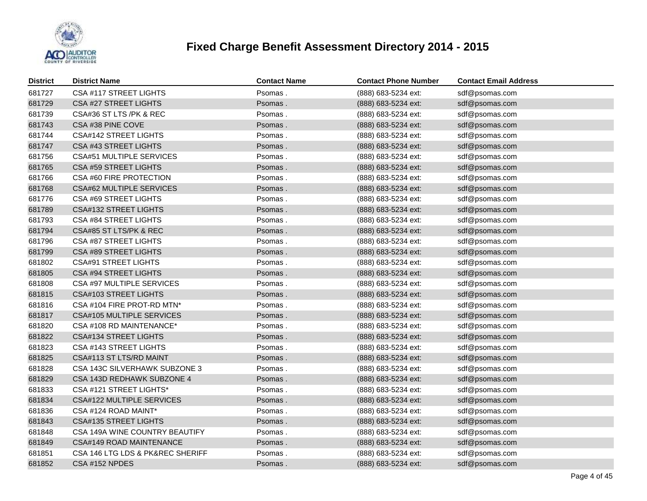

| <b>District</b> | <b>District Name</b>             | <b>Contact Name</b> | <b>Contact Phone Number</b> | <b>Contact Email Address</b> |
|-----------------|----------------------------------|---------------------|-----------------------------|------------------------------|
| 681727          | CSA #117 STREET LIGHTS           | Psomas.             | (888) 683-5234 ext:         | sdf@psomas.com               |
| 681729          | <b>CSA #27 STREET LIGHTS</b>     | Psomas.             | (888) 683-5234 ext:         | sdf@psomas.com               |
| 681739          | CSA#36 ST LTS /PK & REC          | Psomas.             | (888) 683-5234 ext:         | sdf@psomas.com               |
| 681743          | CSA #38 PINE COVE                | Psomas.             | (888) 683-5234 ext:         | sdf@psomas.com               |
| 681744          | CSA#142 STREET LIGHTS            | Psomas.             | (888) 683-5234 ext:         | sdf@psomas.com               |
| 681747          | CSA #43 STREET LIGHTS            | Psomas.             | (888) 683-5234 ext:         | sdf@psomas.com               |
| 681756          | <b>CSA#51 MULTIPLE SERVICES</b>  | Psomas.             | (888) 683-5234 ext:         | sdf@psomas.com               |
| 681765          | CSA #59 STREET LIGHTS            | Psomas.             | (888) 683-5234 ext:         | sdf@psomas.com               |
| 681766          | CSA #60 FIRE PROTECTION          | Psomas.             | (888) 683-5234 ext:         | sdf@psomas.com               |
| 681768          | <b>CSA#62 MULTIPLE SERVICES</b>  | Psomas.             | (888) 683-5234 ext:         | sdf@psomas.com               |
| 681776          | <b>CSA #69 STREET LIGHTS</b>     | Psomas.             | (888) 683-5234 ext:         | sdf@psomas.com               |
| 681789          | <b>CSA#132 STREET LIGHTS</b>     | Psomas.             | (888) 683-5234 ext:         | sdf@psomas.com               |
| 681793          | CSA #84 STREET LIGHTS            | Psomas.             | (888) 683-5234 ext:         | sdf@psomas.com               |
| 681794          | CSA#85 ST LTS/PK & REC           | Psomas.             | (888) 683-5234 ext:         | sdf@psomas.com               |
| 681796          | <b>CSA #87 STREET LIGHTS</b>     | Psomas.             | (888) 683-5234 ext:         | sdf@psomas.com               |
| 681799          | CSA #89 STREET LIGHTS            | Psomas.             | (888) 683-5234 ext:         | sdf@psomas.com               |
| 681802          | <b>CSA#91 STREET LIGHTS</b>      | Psomas.             | (888) 683-5234 ext:         | sdf@psomas.com               |
| 681805          | <b>CSA #94 STREET LIGHTS</b>     | Psomas.             | (888) 683-5234 ext:         | sdf@psomas.com               |
| 681808          | CSA #97 MULTIPLE SERVICES        | Psomas.             | (888) 683-5234 ext:         | sdf@psomas.com               |
| 681815          | <b>CSA#103 STREET LIGHTS</b>     | Psomas.             | (888) 683-5234 ext:         | sdf@psomas.com               |
| 681816          | CSA #104 FIRE PROT-RD MTN*       | Psomas.             | (888) 683-5234 ext:         | sdf@psomas.com               |
| 681817          | CSA#105 MULTIPLE SERVICES        | Psomas.             | (888) 683-5234 ext:         | sdf@psomas.com               |
| 681820          | CSA #108 RD MAINTENANCE*         | Psomas.             | (888) 683-5234 ext:         | sdf@psomas.com               |
| 681822          | <b>CSA#134 STREET LIGHTS</b>     | Psomas.             | (888) 683-5234 ext:         | sdf@psomas.com               |
| 681823          | CSA #143 STREET LIGHTS           | Psomas.             | (888) 683-5234 ext:         | sdf@psomas.com               |
| 681825          | CSA#113 ST LTS/RD MAINT          | Psomas.             | (888) 683-5234 ext:         | sdf@psomas.com               |
| 681828          | CSA 143C SILVERHAWK SUBZONE 3    | Psomas.             | (888) 683-5234 ext:         | sdf@psomas.com               |
| 681829          | CSA 143D REDHAWK SUBZONE 4       | Psomas.             | (888) 683-5234 ext:         | sdf@psomas.com               |
| 681833          | CSA #121 STREET LIGHTS*          | Psomas.             | (888) 683-5234 ext:         | sdf@psomas.com               |
| 681834          | CSA#122 MULTIPLE SERVICES        | Psomas.             | (888) 683-5234 ext:         | sdf@psomas.com               |
| 681836          | CSA #124 ROAD MAINT*             | Psomas.             | (888) 683-5234 ext:         | sdf@psomas.com               |
| 681843          | <b>CSA#135 STREET LIGHTS</b>     | Psomas.             | (888) 683-5234 ext:         | sdf@psomas.com               |
| 681848          | CSA 149A WINE COUNTRY BEAUTIFY   | Psomas.             | (888) 683-5234 ext:         | sdf@psomas.com               |
| 681849          | CSA#149 ROAD MAINTENANCE         | Psomas.             | (888) 683-5234 ext:         | sdf@psomas.com               |
| 681851          | CSA 146 LTG LDS & PK&REC SHERIFF | Psomas.             | (888) 683-5234 ext:         | sdf@psomas.com               |
| 681852          | CSA #152 NPDES                   | Psomas.             | (888) 683-5234 ext:         | sdf@psomas.com               |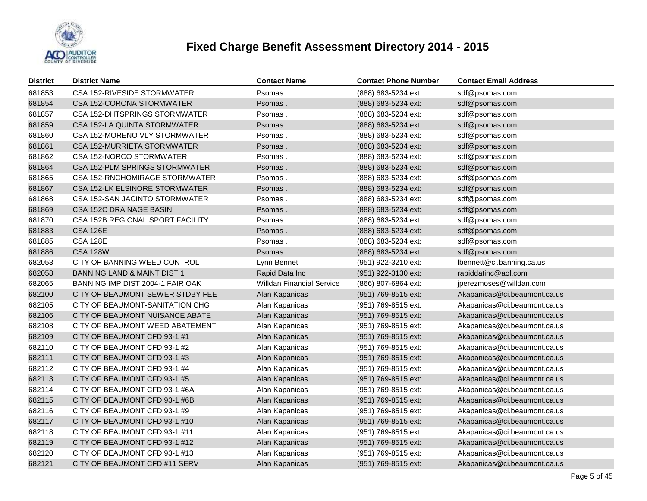

| <b>District</b> | <b>District Name</b>                   | <b>Contact Name</b>              | <b>Contact Phone Number</b> | <b>Contact Email Address</b> |
|-----------------|----------------------------------------|----------------------------------|-----------------------------|------------------------------|
| 681853          | CSA 152-RIVESIDE STORMWATER            | Psomas.                          | (888) 683-5234 ext:         | sdf@psomas.com               |
| 681854          | CSA 152-CORONA STORMWATER              | Psomas.                          | (888) 683-5234 ext:         | sdf@psomas.com               |
| 681857          | CSA 152-DHTSPRINGS STORMWATER          | Psomas.                          | (888) 683-5234 ext:         | sdf@psomas.com               |
| 681859          | CSA 152-LA QUINTA STORMWATER           | Psomas.                          | (888) 683-5234 ext:         | sdf@psomas.com               |
| 681860          | CSA 152-MORENO VLY STORMWATER          | Psomas.                          | (888) 683-5234 ext:         | sdf@psomas.com               |
| 681861          | CSA 152-MURRIETA STORMWATER            | Psomas.                          | (888) 683-5234 ext:         | sdf@psomas.com               |
| 681862          | CSA 152-NORCO STORMWATER               | Psomas.                          | (888) 683-5234 ext:         | sdf@psomas.com               |
| 681864          | CSA 152-PLM SPRINGS STORMWATER         | Psomas.                          | (888) 683-5234 ext:         | sdf@psomas.com               |
| 681865          | CSA 152-RNCHOMIRAGE STORMWATER         | Psomas.                          | (888) 683-5234 ext:         | sdf@psomas.com               |
| 681867          | CSA 152-LK ELSINORE STORMWATER         | Psomas.                          | (888) 683-5234 ext:         | sdf@psomas.com               |
| 681868          | CSA 152-SAN JACINTO STORMWATER         | Psomas.                          | (888) 683-5234 ext:         | sdf@psomas.com               |
| 681869          | CSA 152C DRAINAGE BASIN                | Psomas.                          | (888) 683-5234 ext:         | sdf@psomas.com               |
| 681870          | CSA 152B REGIONAL SPORT FACILITY       | Psomas.                          | (888) 683-5234 ext:         | sdf@psomas.com               |
| 681883          | <b>CSA 126E</b>                        | Psomas.                          | (888) 683-5234 ext:         | sdf@psomas.com               |
| 681885          | <b>CSA 128E</b>                        | Psomas.                          | (888) 683-5234 ext:         | sdf@psomas.com               |
| 681886          | <b>CSA 128W</b>                        | Psomas.                          | (888) 683-5234 ext:         | sdf@psomas.com               |
| 682053          | CITY OF BANNING WEED CONTROL           | Lynn Bennet                      | (951) 922-3210 ext:         | Ibennett@ci.banning.ca.us    |
| 682058          | <b>BANNING LAND &amp; MAINT DIST 1</b> | Rapid Data Inc                   | (951) 922-3130 ext:         | rapiddatinc@aol.com          |
| 682065          | BANNING IMP DIST 2004-1 FAIR OAK       | <b>Willdan Financial Service</b> | (866) 807-6864 ext:         | jperezmoses@willdan.com      |
| 682100          | CITY OF BEAUMONT SEWER STDBY FEE       | Alan Kapanicas                   | (951) 769-8515 ext:         | Akapanicas@ci.beaumont.ca.us |
| 682105          | CITY OF BEAUMONT-SANITATION CHG        | Alan Kapanicas                   | (951) 769-8515 ext:         | Akapanicas@ci.beaumont.ca.us |
| 682106          | CITY OF BEAUMONT NUISANCE ABATE        | Alan Kapanicas                   | (951) 769-8515 ext:         | Akapanicas@ci.beaumont.ca.us |
| 682108          | CITY OF BEAUMONT WEED ABATEMENT        | Alan Kapanicas                   | (951) 769-8515 ext:         | Akapanicas@ci.beaumont.ca.us |
| 682109          | CITY OF BEAUMONT CFD 93-1 #1           | Alan Kapanicas                   | (951) 769-8515 ext:         | Akapanicas@ci.beaumont.ca.us |
| 682110          | CITY OF BEAUMONT CFD 93-1 #2           | Alan Kapanicas                   | (951) 769-8515 ext:         | Akapanicas@ci.beaumont.ca.us |
| 682111          | CITY OF BEAUMONT CFD 93-1 #3           | Alan Kapanicas                   | (951) 769-8515 ext:         | Akapanicas@ci.beaumont.ca.us |
| 682112          | CITY OF BEAUMONT CFD 93-1 #4           | Alan Kapanicas                   | (951) 769-8515 ext:         | Akapanicas@ci.beaumont.ca.us |
| 682113          | CITY OF BEAUMONT CFD 93-1 #5           | Alan Kapanicas                   | (951) 769-8515 ext:         | Akapanicas@ci.beaumont.ca.us |
| 682114          | CITY OF BEAUMONT CFD 93-1 #6A          | Alan Kapanicas                   | (951) 769-8515 ext:         | Akapanicas@ci.beaumont.ca.us |
| 682115          | CITY OF BEAUMONT CFD 93-1 #6B          | Alan Kapanicas                   | (951) 769-8515 ext:         | Akapanicas@ci.beaumont.ca.us |
| 682116          | CITY OF BEAUMONT CFD 93-1 #9           | Alan Kapanicas                   | (951) 769-8515 ext:         | Akapanicas@ci.beaumont.ca.us |
| 682117          | CITY OF BEAUMONT CFD 93-1 #10          | Alan Kapanicas                   | (951) 769-8515 ext:         | Akapanicas@ci.beaumont.ca.us |
| 682118          | CITY OF BEAUMONT CFD 93-1 #11          | Alan Kapanicas                   | (951) 769-8515 ext:         | Akapanicas@ci.beaumont.ca.us |
| 682119          | CITY OF BEAUMONT CFD 93-1 #12          | Alan Kapanicas                   | (951) 769-8515 ext:         | Akapanicas@ci.beaumont.ca.us |
| 682120          | CITY OF BEAUMONT CFD 93-1 #13          | Alan Kapanicas                   | (951) 769-8515 ext:         | Akapanicas@ci.beaumont.ca.us |
| 682121          | CITY OF BEAUMONT CFD #11 SERV          | Alan Kapanicas                   | (951) 769-8515 ext:         | Akapanicas@ci.beaumont.ca.us |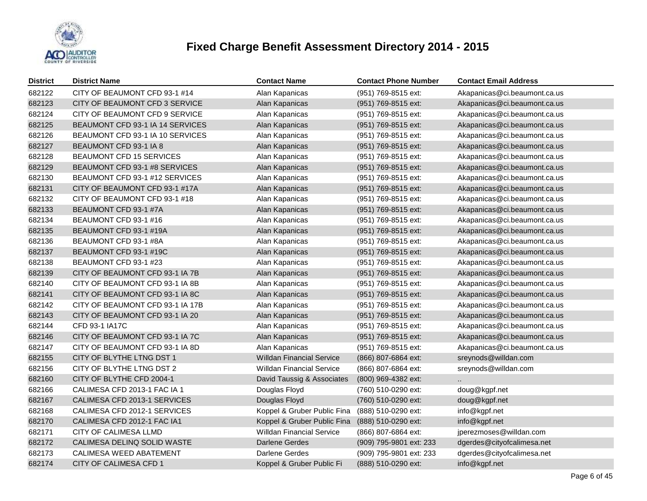

| <b>District</b> | <b>District Name</b>             | <b>Contact Name</b>              | <b>Contact Phone Number</b> | <b>Contact Email Address</b> |
|-----------------|----------------------------------|----------------------------------|-----------------------------|------------------------------|
| 682122          | CITY OF BEAUMONT CFD 93-1 #14    | Alan Kapanicas                   | (951) 769-8515 ext:         | Akapanicas@ci.beaumont.ca.us |
| 682123          | CITY OF BEAUMONT CFD 3 SERVICE   | Alan Kapanicas                   | (951) 769-8515 ext:         | Akapanicas@ci.beaumont.ca.us |
| 682124          | CITY OF BEAUMONT CFD 9 SERVICE   | Alan Kapanicas                   | (951) 769-8515 ext:         | Akapanicas@ci.beaumont.ca.us |
| 682125          | BEAUMONT CFD 93-1 IA 14 SERVICES | Alan Kapanicas                   | (951) 769-8515 ext:         | Akapanicas@ci.beaumont.ca.us |
| 682126          | BEAUMONT CFD 93-1 IA 10 SERVICES | Alan Kapanicas                   | (951) 769-8515 ext:         | Akapanicas@ci.beaumont.ca.us |
| 682127          | BEAUMONT CFD 93-1 IA 8           | Alan Kapanicas                   | (951) 769-8515 ext:         | Akapanicas@ci.beaumont.ca.us |
| 682128          | BEAUMONT CFD 15 SERVICES         | Alan Kapanicas                   | (951) 769-8515 ext:         | Akapanicas@ci.beaumont.ca.us |
| 682129          | BEAUMONT CFD 93-1 #8 SERVICES    | Alan Kapanicas                   | (951) 769-8515 ext:         | Akapanicas@ci.beaumont.ca.us |
| 682130          | BEAUMONT CFD 93-1 #12 SERVICES   | Alan Kapanicas                   | (951) 769-8515 ext:         | Akapanicas@ci.beaumont.ca.us |
| 682131          | CITY OF BEAUMONT CFD 93-1 #17A   | Alan Kapanicas                   | (951) 769-8515 ext:         | Akapanicas@ci.beaumont.ca.us |
| 682132          | CITY OF BEAUMONT CFD 93-1 #18    | Alan Kapanicas                   | (951) 769-8515 ext:         | Akapanicas@ci.beaumont.ca.us |
| 682133          | BEAUMONT CFD 93-1 #7A            | Alan Kapanicas                   | (951) 769-8515 ext:         | Akapanicas@ci.beaumont.ca.us |
| 682134          | BEAUMONT CFD 93-1 #16            | Alan Kapanicas                   | (951) 769-8515 ext:         | Akapanicas@ci.beaumont.ca.us |
| 682135          | BEAUMONT CFD 93-1 #19A           | Alan Kapanicas                   | (951) 769-8515 ext:         | Akapanicas@ci.beaumont.ca.us |
| 682136          | BEAUMONT CFD 93-1 #8A            | Alan Kapanicas                   | (951) 769-8515 ext:         | Akapanicas@ci.beaumont.ca.us |
| 682137          | BEAUMONT CFD 93-1 #19C           | Alan Kapanicas                   | (951) 769-8515 ext:         | Akapanicas@ci.beaumont.ca.us |
| 682138          | BEAUMONT CFD 93-1 #23            | Alan Kapanicas                   | (951) 769-8515 ext:         | Akapanicas@ci.beaumont.ca.us |
| 682139          | CITY OF BEAUMONT CFD 93-1 IA 7B  | Alan Kapanicas                   | (951) 769-8515 ext:         | Akapanicas@ci.beaumont.ca.us |
| 682140          | CITY OF BEAUMONT CFD 93-1 IA 8B  | Alan Kapanicas                   | (951) 769-8515 ext:         | Akapanicas@ci.beaumont.ca.us |
| 682141          | CITY OF BEAUMONT CFD 93-1 IA 8C  | Alan Kapanicas                   | (951) 769-8515 ext:         | Akapanicas@ci.beaumont.ca.us |
| 682142          | CITY OF BEAUMONT CFD 93-1 IA 17B | Alan Kapanicas                   | (951) 769-8515 ext:         | Akapanicas@ci.beaumont.ca.us |
| 682143          | CITY OF BEAUMONT CFD 93-1 IA 20  | Alan Kapanicas                   | (951) 769-8515 ext:         | Akapanicas@ci.beaumont.ca.us |
| 682144          | CFD 93-1 IA17C                   | Alan Kapanicas                   | (951) 769-8515 ext:         | Akapanicas@ci.beaumont.ca.us |
| 682146          | CITY OF BEAUMONT CFD 93-1 IA 7C  | Alan Kapanicas                   | (951) 769-8515 ext:         | Akapanicas@ci.beaumont.ca.us |
| 682147          | CITY OF BEAUMONT CFD 93-1 IA 8D  | Alan Kapanicas                   | (951) 769-8515 ext:         | Akapanicas@ci.beaumont.ca.us |
| 682155          | CITY OF BLYTHE LTNG DST 1        | <b>Willdan Financial Service</b> | (866) 807-6864 ext:         | sreynods@willdan.com         |
| 682156          | CITY OF BLYTHE LTNG DST 2        | <b>Willdan Financial Service</b> | (866) 807-6864 ext:         | sreynods@willdan.com         |
| 682160          | CITY OF BLYTHE CFD 2004-1        | David Taussig & Associates       | (800) 969-4382 ext:         |                              |
| 682166          | CALIMESA CFD 2013-1 FAC IA 1     | Douglas Floyd                    | (760) 510-0290 ext:         | doug@kgpf.net                |
| 682167          | CALIMESA CFD 2013-1 SERVICES     | Douglas Floyd                    | (760) 510-0290 ext:         | doug@kgpf.net                |
| 682168          | CALIMESA CFD 2012-1 SERVICES     | Koppel & Gruber Public Fina      | (888) 510-0290 ext:         | info@kgpf.net                |
| 682170          | CALIMESA CFD 2012-1 FAC IA1      | Koppel & Gruber Public Fina      | (888) 510-0290 ext:         | info@kgpf.net                |
| 682171          | CITY OF CALIMESA LLMD            | <b>Willdan Financial Service</b> | (866) 807-6864 ext:         | jperezmoses@willdan.com      |
| 682172          | CALIMESA DELINQ SOLID WASTE      | Darlene Gerdes                   | (909) 795-9801 ext: 233     | dgerdes@cityofcalimesa.net   |
| 682173          | CALIMESA WEED ABATEMENT          | Darlene Gerdes                   | (909) 795-9801 ext: 233     | dgerdes@cityofcalimesa.net   |
| 682174          | CITY OF CALIMESA CFD 1           | Koppel & Gruber Public Fi        | (888) 510-0290 ext:         | info@kgpf.net                |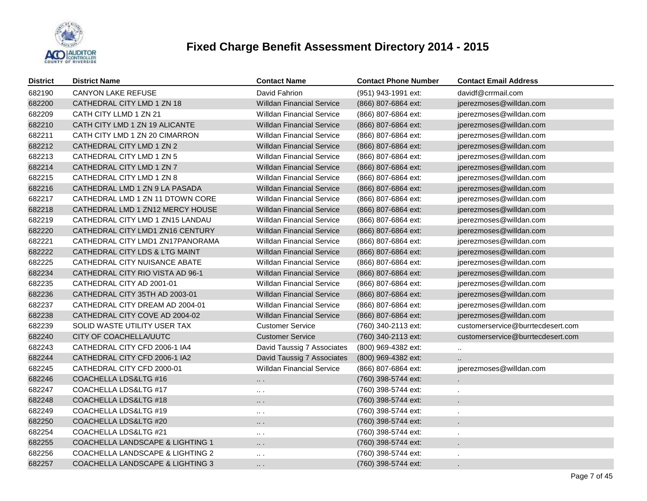

| <b>District</b> | <b>District Name</b>                        | <b>Contact Name</b>              | <b>Contact Phone Number</b> | <b>Contact Email Address</b>      |
|-----------------|---------------------------------------------|----------------------------------|-----------------------------|-----------------------------------|
| 682190          | <b>CANYON LAKE REFUSE</b>                   | David Fahrion                    | (951) 943-1991 ext:         | davidf@crrmail.com                |
| 682200          | CATHEDRAL CITY LMD 1 ZN 18                  | <b>Willdan Financial Service</b> | (866) 807-6864 ext:         | jperezmoses@willdan.com           |
| 682209          | CATH CITY LLMD 1 ZN 21                      | <b>Willdan Financial Service</b> | (866) 807-6864 ext:         | jperezmoses@willdan.com           |
| 682210          | CATH CITY LMD 1 ZN 19 ALICANTE              | <b>Willdan Financial Service</b> | (866) 807-6864 ext:         | jperezmoses@willdan.com           |
| 682211          | CATH CITY LMD 1 ZN 20 CIMARRON              | <b>Willdan Financial Service</b> | (866) 807-6864 ext:         | jperezmoses@willdan.com           |
| 682212          | CATHEDRAL CITY LMD 1 ZN 2                   | <b>Willdan Financial Service</b> | (866) 807-6864 ext:         | jperezmoses@willdan.com           |
| 682213          | CATHEDRAL CITY LMD 1 ZN 5                   | <b>Willdan Financial Service</b> | (866) 807-6864 ext:         | jperezmoses@willdan.com           |
| 682214          | CATHEDRAL CITY LMD 1 ZN 7                   | <b>Willdan Financial Service</b> | (866) 807-6864 ext:         | jperezmoses@willdan.com           |
| 682215          | CATHEDRAL CITY LMD 1 ZN 8                   | <b>Willdan Financial Service</b> | (866) 807-6864 ext:         | jperezmoses@willdan.com           |
| 682216          | CATHEDRAL LMD 1 ZN 9 LA PASADA              | <b>Willdan Financial Service</b> | (866) 807-6864 ext:         | jperezmoses@willdan.com           |
| 682217          | CATHEDRAL LMD 1 ZN 11 DTOWN CORE            | <b>Willdan Financial Service</b> | (866) 807-6864 ext:         | jperezmoses@willdan.com           |
| 682218          | CATHEDRAL LMD 1 ZN12 MERCY HOUSE            | <b>Willdan Financial Service</b> | (866) 807-6864 ext:         | jperezmoses@willdan.com           |
| 682219          | CATHEDRAL CITY LMD 1 ZN15 LANDAU            | <b>Willdan Financial Service</b> | (866) 807-6864 ext:         | jperezmoses@willdan.com           |
| 682220          | CATHEDRAL CITY LMD1 ZN16 CENTURY            | <b>Willdan Financial Service</b> | (866) 807-6864 ext:         | jperezmoses@willdan.com           |
| 682221          | CATHEDRAL CITY LMD1 ZN17PANORAMA            | <b>Willdan Financial Service</b> | (866) 807-6864 ext:         | jperezmoses@willdan.com           |
| 682222          | CATHEDRAL CITY LDS & LTG MAINT              | <b>Willdan Financial Service</b> | (866) 807-6864 ext:         | jperezmoses@willdan.com           |
| 682225          | CATHEDRAL CITY NUISANCE ABATE               | <b>Willdan Financial Service</b> | (866) 807-6864 ext:         | jperezmoses@willdan.com           |
| 682234          | CATHEDRAL CITY RIO VISTA AD 96-1            | <b>Willdan Financial Service</b> | (866) 807-6864 ext:         | jperezmoses@willdan.com           |
| 682235          | CATHEDRAL CITY AD 2001-01                   | <b>Willdan Financial Service</b> | (866) 807-6864 ext:         | jperezmoses@willdan.com           |
| 682236          | CATHEDRAL CITY 35TH AD 2003-01              | <b>Willdan Financial Service</b> | (866) 807-6864 ext:         | jperezmoses@willdan.com           |
| 682237          | CATHEDRAL CITY DREAM AD 2004-01             | <b>Willdan Financial Service</b> | (866) 807-6864 ext:         | jperezmoses@willdan.com           |
| 682238          | CATHEDRAL CITY COVE AD 2004-02              | <b>Willdan Financial Service</b> | (866) 807-6864 ext:         | jperezmoses@willdan.com           |
| 682239          | SOLID WASTE UTILITY USER TAX                | <b>Customer Service</b>          | (760) 340-2113 ext:         | customerservice@burrtecdesert.com |
| 682240          | CITY OF COACHELLA/UUTC                      | <b>Customer Service</b>          | (760) 340-2113 ext:         | customerservice@burrtecdesert.com |
| 682243          | CATHEDRAL CITY CFD 2006-1 IA4               | David Taussig 7 Associates       | (800) 969-4382 ext:         | $\ddotsc$                         |
| 682244          | CATHEDRAL CITY CFD 2006-1 IA2               | David Taussig 7 Associates       | (800) 969-4382 ext:         | $\ddot{\phantom{a}}$              |
| 682245          | CATHEDRAL CITY CFD 2000-01                  | <b>Willdan Financial Service</b> | (866) 807-6864 ext:         | jperezmoses@willdan.com           |
| 682246          | COACHELLA LDS&LTG #16                       | $\ddotsc$                        | (760) 398-5744 ext:         |                                   |
| 682247          | COACHELLA LDS&LTG #17                       | $\sim$ $\sim$                    | (760) 398-5744 ext:         |                                   |
| 682248          | COACHELLA LDS&LTG #18                       | $\ddotsc$                        | (760) 398-5744 ext:         |                                   |
| 682249          | COACHELLA LDS&LTG #19                       | $\sim$ $\sim$                    | (760) 398-5744 ext:         | ×.                                |
| 682250          | COACHELLA LDS&LTG #20                       | $\ddotsc$                        | (760) 398-5744 ext:         | ä,                                |
| 682254          | COACHELLA LDS&LTG #21                       | $\sim$ $\sim$                    | (760) 398-5744 ext:         | $\epsilon$                        |
| 682255          | COACHELLA LANDSCAPE & LIGHTING 1            | $\ddotsc$                        | (760) 398-5744 ext:         | $\ddot{\phantom{0}}$              |
| 682256          | COACHELLA LANDSCAPE & LIGHTING 2            | $\sim$ $\sim$                    | (760) 398-5744 ext:         | ×.                                |
| 682257          | <b>COACHELLA LANDSCAPE &amp; LIGHTING 3</b> | $\cdots$                         | (760) 398-5744 ext:         |                                   |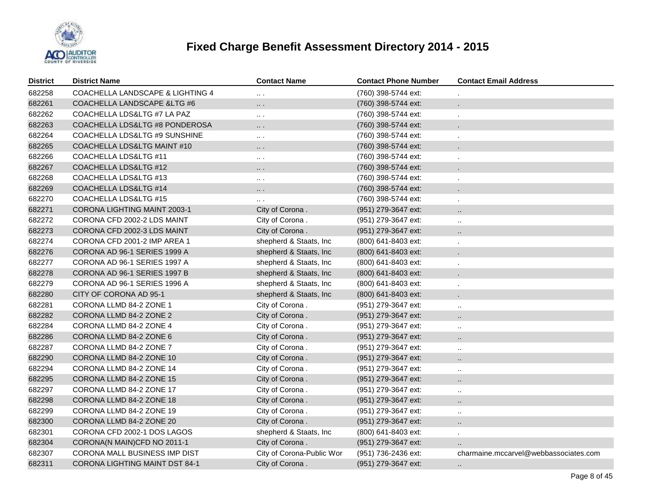

| <b>District</b> | <b>District Name</b>                  | <b>Contact Name</b>       | <b>Contact Phone Number</b> | <b>Contact Email Address</b>          |
|-----------------|---------------------------------------|---------------------------|-----------------------------|---------------------------------------|
| 682258          | COACHELLA LANDSCAPE & LIGHTING 4      | $\cdots$                  | (760) 398-5744 ext:         |                                       |
| 682261          | COACHELLA LANDSCAPE & LTG #6          | $\cdots$                  | (760) 398-5744 ext:         |                                       |
| 682262          | COACHELLA LDS&LTG #7 LA PAZ           | $\ldots$ .                | (760) 398-5744 ext:         |                                       |
| 682263          | COACHELLA LDS&LTG #8 PONDEROSA        | $\cdots$                  | (760) 398-5744 ext:         |                                       |
| 682264          | COACHELLA LDS&LTG #9 SUNSHINE         | $\ldots$ .                | (760) 398-5744 ext:         |                                       |
| 682265          | COACHELLA LDS&LTG MAINT #10           | $\cdots$                  | (760) 398-5744 ext:         |                                       |
| 682266          | COACHELLA LDS&LTG #11                 | $\ldots$ .                | (760) 398-5744 ext:         |                                       |
| 682267          | COACHELLA LDS&LTG #12                 | $\cdots$                  | (760) 398-5744 ext:         |                                       |
| 682268          | COACHELLA LDS&LTG #13                 | $\cdots$                  | (760) 398-5744 ext:         |                                       |
| 682269          | COACHELLA LDS&LTG #14                 | $\cdots$                  | (760) 398-5744 ext:         |                                       |
| 682270          | COACHELLA LDS&LTG #15                 | $\ddotsc$                 | (760) 398-5744 ext:         |                                       |
| 682271          | CORONA LIGHTING MAINT 2003-1          | City of Corona.           | (951) 279-3647 ext:         | $\ddotsc$                             |
| 682272          | CORONA CFD 2002-2 LDS MAINT           | City of Corona.           | (951) 279-3647 ext:         | $\alpha$                              |
| 682273          | CORONA CFD 2002-3 LDS MAINT           | City of Corona.           | (951) 279-3647 ext:         | $\ddotsc$                             |
| 682274          | CORONA CFD 2001-2 IMP AREA 1          | shepherd & Staats, Inc    | (800) 641-8403 ext:         | $\cdot$                               |
| 682276          | CORONA AD 96-1 SERIES 1999 A          | shepherd & Staats, Inc    | (800) 641-8403 ext:         |                                       |
| 682277          | CORONA AD 96-1 SERIES 1997 A          | shepherd & Staats, Inc    | (800) 641-8403 ext:         |                                       |
| 682278          | CORONA AD 96-1 SERIES 1997 B          | shepherd & Staats, Inc    | (800) 641-8403 ext:         |                                       |
| 682279          | CORONA AD 96-1 SERIES 1996 A          | shepherd & Staats, Inc    | (800) 641-8403 ext:         |                                       |
| 682280          | CITY OF CORONA AD 95-1                | shepherd & Staats, Inc.   | (800) 641-8403 ext:         |                                       |
| 682281          | CORONA LLMD 84-2 ZONE 1               | City of Corona.           | (951) 279-3647 ext:         | $\ddot{\phantom{a}}$                  |
| 682282          | CORONA LLMD 84-2 ZONE 2               | City of Corona.           | (951) 279-3647 ext:         | $\ddotsc$                             |
| 682284          | CORONA LLMD 84-2 ZONE 4               | City of Corona.           | (951) 279-3647 ext:         | $\alpha$                              |
| 682286          | CORONA LLMD 84-2 ZONE 6               | City of Corona.           | (951) 279-3647 ext:         | $\ddot{\phantom{1}}$                  |
| 682287          | CORONA LLMD 84-2 ZONE 7               | City of Corona.           | (951) 279-3647 ext:         | $\ddot{\phantom{1}}$                  |
| 682290          | CORONA LLMD 84-2 ZONE 10              | City of Corona.           | (951) 279-3647 ext:         | $\ddotsc$                             |
| 682294          | CORONA LLMD 84-2 ZONE 14              | City of Corona.           | (951) 279-3647 ext:         | $\sim$                                |
| 682295          | CORONA LLMD 84-2 ZONE 15              | City of Corona.           | (951) 279-3647 ext:         | $\ddot{\phantom{1}}$                  |
| 682297          | CORONA LLMD 84-2 ZONE 17              | City of Corona.           | (951) 279-3647 ext:         | $\sim$                                |
| 682298          | CORONA LLMD 84-2 ZONE 18              | City of Corona.           | (951) 279-3647 ext:         | $\ddot{\phantom{1}}$                  |
| 682299          | CORONA LLMD 84-2 ZONE 19              | City of Corona.           | (951) 279-3647 ext:         | $\ddot{\phantom{1}}$                  |
| 682300          | CORONA LLMD 84-2 ZONE 20              | City of Corona.           | (951) 279-3647 ext:         | $\ddot{\phantom{a}}$                  |
| 682301          | CORONA CFD 2002-1 DOS LAGOS           | shepherd & Staats, Inc    | (800) 641-8403 ext:         | $\sim$                                |
| 682304          | CORONA(N MAIN)CFD NO 2011-1           | City of Corona.           | (951) 279-3647 ext:         |                                       |
| 682307          | CORONA MALL BUSINESS IMP DIST         | City of Corona-Public Wor | (951) 736-2436 ext:         | charmaine.mccarvel@webbassociates.com |
| 682311          | <b>CORONA LIGHTING MAINT DST 84-1</b> | City of Corona.           | (951) 279-3647 ext:         | $\cdot$ .                             |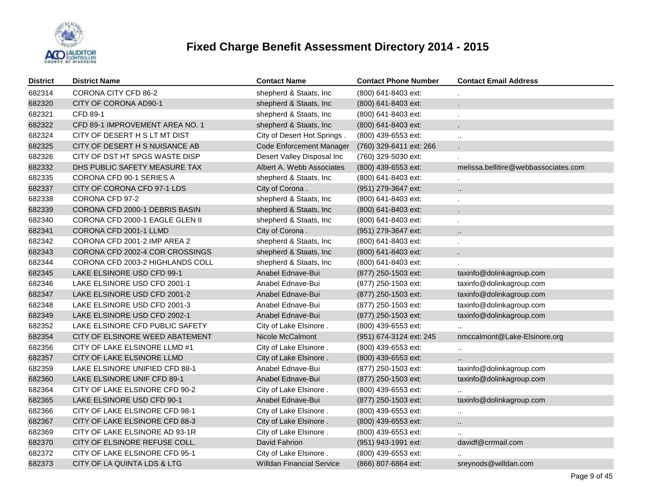

| <b>District</b> | <b>District Name</b>             | <b>Contact Name</b>              | <b>Contact Phone Number</b> | <b>Contact Email Address</b>         |
|-----------------|----------------------------------|----------------------------------|-----------------------------|--------------------------------------|
| 682314          | CORONA CITY CFD 86-2             | shepherd & Staats, Inc           | (800) 641-8403 ext:         |                                      |
| 682320          | CITY OF CORONA AD90-1            | shepherd & Staats, Inc           | (800) 641-8403 ext:         |                                      |
| 682321          | <b>CFD 89-1</b>                  | shepherd & Staats, Inc           | $(800)$ 641-8403 ext:       |                                      |
| 682322          | CFD 89-1 IMPROVEMENT AREA NO. 1  | shepherd & Staats, Inc           | (800) 641-8403 ext:         |                                      |
| 682324          | CITY OF DESERT H S LT MT DIST    | City of Desert Hot Springs.      | (800) 439-6553 ext:         | Ω.                                   |
| 682325          | CITY OF DESERT H S NUISANCE AB   | Code Enforcement Manager         | (760) 329-6411 ext: 266     | L.                                   |
| 682326          | CITY OF DST HT SPGS WASTE DISP   | Desert Valley Disposal Inc       | (760) 329-5030 ext:         |                                      |
| 682332          | DHS PUBLIC SAFETY MEASURE TAX    | Albert A. Webb Associates        | $(800)$ 439-6553 ext:       | melissa.bellitire@webbassociates.com |
| 682335          | CORONA CFD 90-1 SERIES A         | shepherd & Staats, Inc           | (800) 641-8403 ext:         |                                      |
| 682337          | CITY OF CORONA CFD 97-1 LDS      | City of Corona.                  | (951) 279-3647 ext:         | Ω.                                   |
| 682338          | CORONA CFD 97-2                  | shepherd & Staats, Inc           | (800) 641-8403 ext:         |                                      |
| 682339          | CORONA CFD 2000-1 DEBRIS BASIN   | shepherd & Staats, Inc           | (800) 641-8403 ext:         | ä,                                   |
| 682340          | CORONA CFD 2000-1 EAGLE GLEN II  | shepherd & Staats, Inc.          | (800) 641-8403 ext:         | ä,                                   |
| 682341          | CORONA CFD 2001-1 LLMD           | City of Corona.                  | (951) 279-3647 ext:         | Ω.                                   |
| 682342          | CORONA CFD 2001-2 IMP AREA 2     | shepherd & Staats, Inc           | (800) 641-8403 ext:         |                                      |
| 682343          | CORONA CFD 2002-4 COR CROSSINGS  | shepherd & Staats, Inc.          | $(800)$ 641-8403 ext:       | ä.                                   |
| 682344          | CORONA CFD 2003-2 HIGHLANDS COLL | shepherd & Staats, Inc           | (800) 641-8403 ext:         |                                      |
| 682345          | LAKE ELSINORE USD CFD 99-1       | Anabel Ednave-Bui                | $(877)$ 250-1503 ext:       | taxinfo@dolinkagroup.com             |
| 682346          | LAKE ELSINORE USD CFD 2001-1     | Anabel Ednave-Bui                | (877) 250-1503 ext:         | taxinfo@dolinkagroup.com             |
| 682347          | LAKE ELSINORE USD CFD 2001-2     | Anabel Ednave-Bui                | (877) 250-1503 ext:         | taxinfo@dolinkagroup.com             |
| 682348          | LAKE ELSINORE USD CFD 2001-3     | Anabel Ednave-Bui                | (877) 250-1503 ext:         | taxinfo@dolinkagroup.com             |
| 682349          | LAKE ELSINORE USD CFD 2002-1     | Anabel Ednave-Bui                | (877) 250-1503 ext:         | taxinfo@dolinkagroup.com             |
| 682352          | LAKE ELSINORE CFD PUBLIC SAFETY  | City of Lake Elsinore.           | (800) 439-6553 ext:         |                                      |
| 682354          | CITY OF ELSINORE WEED ABATEMENT  | Nicole McCalmont                 | (951) 674-3124 ext: 245     | nmccalmont@Lake-Elsinore.org         |
| 682356          | CITY OF LAKE ELSINORE LLMD #1    | City of Lake Elsinore.           | (800) 439-6553 ext:         |                                      |
| 682357          | CITY OF LAKE ELSINORE LLMD       | City of Lake Elsinore.           | $(800)$ 439-6553 ext:       |                                      |
| 682359          | LAKE ELSINORE UNIFIED CFD 88-1   | Anabel Ednave-Bui                | (877) 250-1503 ext:         | taxinfo@dolinkagroup.com             |
| 682360          | LAKE ELSINORE UNIF CFD 89-1      | Anabel Ednave-Bui                | (877) 250-1503 ext:         | taxinfo@dolinkagroup.com             |
| 682364          | CITY OF LAKE ELSINORE CFD 90-2   | City of Lake Elsinore.           | (800) 439-6553 ext:         | $\ddotsc$                            |
| 682365          | LAKE ELSINORE USD CFD 90-1       | Anabel Ednave-Bui                | (877) 250-1503 ext:         | taxinfo@dolinkagroup.com             |
| 682366          | CITY OF LAKE ELSINORE CFD 98-1   | City of Lake Elsinore.           | (800) 439-6553 ext:         | $\sim$                               |
| 682367          | CITY OF LAKE ELSINORE CFD 88-3   | City of Lake Elsinore.           | (800) 439-6553 ext:         | ٠.                                   |
| 682369          | CITY OF LAKE ELSINORE AD 93-1R   | City of Lake Elsinore.           | (800) 439-6553 ext:         |                                      |
| 682370          | CITY OF ELSINORE REFUSE COLL.    | David Fahrion                    | (951) 943-1991 ext:         | davidf@crrmail.com                   |
| 682372          | CITY OF LAKE ELSINORE CFD 95-1   | City of Lake Elsinore.           | (800) 439-6553 ext:         |                                      |
| 682373          | CITY OF LA QUINTA LDS & LTG      | <b>Willdan Financial Service</b> | (866) 807-6864 ext:         | sreynods@willdan.com                 |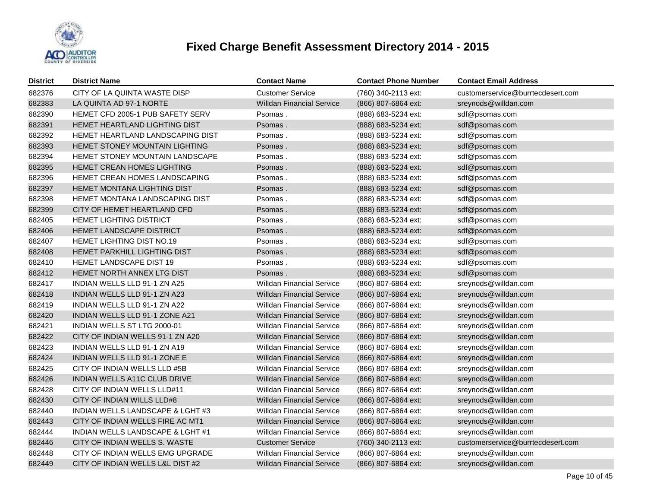

| <b>District</b> | <b>District Name</b>                  | <b>Contact Name</b>              | <b>Contact Phone Number</b> | <b>Contact Email Address</b>      |
|-----------------|---------------------------------------|----------------------------------|-----------------------------|-----------------------------------|
| 682376          | CITY OF LA QUINTA WASTE DISP          | <b>Customer Service</b>          | (760) 340-2113 ext:         | customerservice@burrtecdesert.com |
| 682383          | LA QUINTA AD 97-1 NORTE               | <b>Willdan Financial Service</b> | (866) 807-6864 ext:         | sreynods@willdan.com              |
| 682390          | HEMET CFD 2005-1 PUB SAFETY SERV      | Psomas.                          | (888) 683-5234 ext:         | sdf@psomas.com                    |
| 682391          | <b>HEMET HEARTLAND LIGHTING DIST</b>  | Psomas.                          | (888) 683-5234 ext:         | sdf@psomas.com                    |
| 682392          | HEMET HEARTLAND LANDSCAPING DIST      | Psomas.                          | (888) 683-5234 ext:         | sdf@psomas.com                    |
| 682393          | <b>HEMET STONEY MOUNTAIN LIGHTING</b> | Psomas.                          | (888) 683-5234 ext:         | sdf@psomas.com                    |
| 682394          | HEMET STONEY MOUNTAIN LANDSCAPE       | Psomas.                          | (888) 683-5234 ext:         | sdf@psomas.com                    |
| 682395          | <b>HEMET CREAN HOMES LIGHTING</b>     | Psomas.                          | (888) 683-5234 ext:         | sdf@psomas.com                    |
| 682396          | HEMET CREAN HOMES LANDSCAPING         | Psomas.                          | (888) 683-5234 ext:         | sdf@psomas.com                    |
| 682397          | <b>HEMET MONTANA LIGHTING DIST</b>    | Psomas.                          | (888) 683-5234 ext:         | sdf@psomas.com                    |
| 682398          | HEMET MONTANA LANDSCAPING DIST        | Psomas.                          | (888) 683-5234 ext:         | sdf@psomas.com                    |
| 682399          | CITY OF HEMET HEARTLAND CFD           | Psomas.                          | (888) 683-5234 ext:         | sdf@psomas.com                    |
| 682405          | HEMET LIGHTING DISTRICT               | Psomas.                          | (888) 683-5234 ext:         | sdf@psomas.com                    |
| 682406          | HEMET LANDSCAPE DISTRICT              | Psomas.                          | (888) 683-5234 ext:         | sdf@psomas.com                    |
| 682407          | HEMET LIGHTING DIST NO.19             | Psomas.                          | (888) 683-5234 ext:         | sdf@psomas.com                    |
| 682408          | HEMET PARKHILL LIGHTING DIST          | Psomas.                          | (888) 683-5234 ext:         | sdf@psomas.com                    |
| 682410          | HEMET LANDSCAPE DIST 19               | Psomas.                          | (888) 683-5234 ext:         | sdf@psomas.com                    |
| 682412          | HEMET NORTH ANNEX LTG DIST            | Psomas.                          | (888) 683-5234 ext:         | sdf@psomas.com                    |
| 682417          | INDIAN WELLS LLD 91-1 ZN A25          | <b>Willdan Financial Service</b> | (866) 807-6864 ext:         | sreynods@willdan.com              |
| 682418          | INDIAN WELLS LLD 91-1 ZN A23          | <b>Willdan Financial Service</b> | (866) 807-6864 ext:         | sreynods@willdan.com              |
| 682419          | <b>INDIAN WELLS LLD 91-1 ZN A22</b>   | <b>Willdan Financial Service</b> | (866) 807-6864 ext:         | sreynods@willdan.com              |
| 682420          | INDIAN WELLS LLD 91-1 ZONE A21        | <b>Willdan Financial Service</b> | (866) 807-6864 ext:         | sreynods@willdan.com              |
| 682421          | INDIAN WELLS ST LTG 2000-01           | <b>Willdan Financial Service</b> | (866) 807-6864 ext:         | sreynods@willdan.com              |
| 682422          | CITY OF INDIAN WELLS 91-1 ZN A20      | <b>Willdan Financial Service</b> | (866) 807-6864 ext:         | sreynods@willdan.com              |
| 682423          | INDIAN WELLS LLD 91-1 ZN A19          | <b>Willdan Financial Service</b> | (866) 807-6864 ext:         | sreynods@willdan.com              |
| 682424          | INDIAN WELLS LLD 91-1 ZONE E          | <b>Willdan Financial Service</b> | (866) 807-6864 ext:         | sreynods@willdan.com              |
| 682425          | CITY OF INDIAN WELLS LLD #5B          | <b>Willdan Financial Service</b> | (866) 807-6864 ext:         | sreynods@willdan.com              |
| 682426          | INDIAN WELLS A11C CLUB DRIVE          | <b>Willdan Financial Service</b> | (866) 807-6864 ext:         | sreynods@willdan.com              |
| 682428          | CITY OF INDIAN WELLS LLD#11           | <b>Willdan Financial Service</b> | (866) 807-6864 ext:         | sreynods@willdan.com              |
| 682430          | CITY OF INDIAN WILLS LLD#8            | <b>Willdan Financial Service</b> | (866) 807-6864 ext:         | sreynods@willdan.com              |
| 682440          | INDIAN WELLS LANDSCAPE & LGHT #3      | Willdan Financial Service        | (866) 807-6864 ext:         | sreynods@willdan.com              |
| 682443          | CITY OF INDIAN WELLS FIRE AC MT1      | Willdan Financial Service        | (866) 807-6864 ext:         | sreynods@willdan.com              |
| 682444          | INDIAN WELLS LANDSCAPE & LGHT #1      | Willdan Financial Service        | (866) 807-6864 ext:         | sreynods@willdan.com              |
| 682446          | CITY OF INDIAN WELLS S. WASTE         | <b>Customer Service</b>          | (760) 340-2113 ext:         | customerservice@burrtecdesert.com |
| 682448          | CITY OF INDIAN WELLS EMG UPGRADE      | <b>Willdan Financial Service</b> | (866) 807-6864 ext:         | sreynods@willdan.com              |
| 682449          | CITY OF INDIAN WELLS L&L DIST #2      | <b>Willdan Financial Service</b> | (866) 807-6864 ext:         | sreynods@willdan.com              |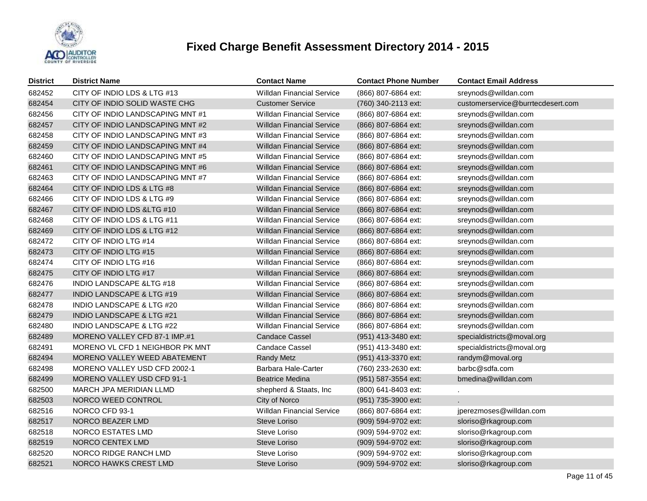

| <b>District</b> | <b>District Name</b>                 | <b>Contact Name</b>              | <b>Contact Phone Number</b> | <b>Contact Email Address</b>      |
|-----------------|--------------------------------------|----------------------------------|-----------------------------|-----------------------------------|
| 682452          | CITY OF INDIO LDS & LTG #13          | <b>Willdan Financial Service</b> | (866) 807-6864 ext:         | sreynods@willdan.com              |
| 682454          | CITY OF INDIO SOLID WASTE CHG        | <b>Customer Service</b>          | (760) 340-2113 ext:         | customerservice@burrtecdesert.com |
| 682456          | CITY OF INDIO LANDSCAPING MNT #1     | <b>Willdan Financial Service</b> | (866) 807-6864 ext:         | sreynods@willdan.com              |
| 682457          | CITY OF INDIO LANDSCAPING MNT #2     | <b>Willdan Financial Service</b> | (866) 807-6864 ext:         | sreynods@willdan.com              |
| 682458          | CITY OF INDIO LANDSCAPING MNT #3     | <b>Willdan Financial Service</b> | (866) 807-6864 ext:         | sreynods@willdan.com              |
| 682459          | CITY OF INDIO LANDSCAPING MNT #4     | <b>Willdan Financial Service</b> | (866) 807-6864 ext:         | sreynods@willdan.com              |
| 682460          | CITY OF INDIO LANDSCAPING MNT #5     | <b>Willdan Financial Service</b> | (866) 807-6864 ext:         | sreynods@willdan.com              |
| 682461          | CITY OF INDIO LANDSCAPING MNT #6     | <b>Willdan Financial Service</b> | (866) 807-6864 ext:         | sreynods@willdan.com              |
| 682463          | CITY OF INDIO LANDSCAPING MNT #7     | <b>Willdan Financial Service</b> | (866) 807-6864 ext:         | sreynods@willdan.com              |
| 682464          | CITY OF INDIO LDS & LTG #8           | Willdan Financial Service        | (866) 807-6864 ext:         | sreynods@willdan.com              |
| 682466          | CITY OF INDIO LDS & LTG #9           | <b>Willdan Financial Service</b> | (866) 807-6864 ext:         | sreynods@willdan.com              |
| 682467          | CITY OF INDIO LDS & LTG #10          | Willdan Financial Service        | (866) 807-6864 ext:         | sreynods@willdan.com              |
| 682468          | CITY OF INDIO LDS & LTG #11          | <b>Willdan Financial Service</b> | (866) 807-6864 ext:         | sreynods@willdan.com              |
| 682469          | CITY OF INDIO LDS & LTG #12          | <b>Willdan Financial Service</b> | (866) 807-6864 ext:         | sreynods@willdan.com              |
| 682472          | CITY OF INDIO LTG #14                | <b>Willdan Financial Service</b> | (866) 807-6864 ext:         | sreynods@willdan.com              |
| 682473          | CITY OF INDIO LTG #15                | <b>Willdan Financial Service</b> | (866) 807-6864 ext:         | sreynods@willdan.com              |
| 682474          | CITY OF INDIO LTG #16                | <b>Willdan Financial Service</b> | (866) 807-6864 ext:         | sreynods@willdan.com              |
| 682475          | CITY OF INDIO LTG #17                | <b>Willdan Financial Service</b> | (866) 807-6864 ext:         | sreynods@willdan.com              |
| 682476          | <b>INDIO LANDSCAPE &amp;LTG #18</b>  | <b>Willdan Financial Service</b> | (866) 807-6864 ext:         | sreynods@willdan.com              |
| 682477          | <b>INDIO LANDSCAPE &amp; LTG #19</b> | <b>Willdan Financial Service</b> | (866) 807-6864 ext:         | sreynods@willdan.com              |
| 682478          | INDIO LANDSCAPE & LTG #20            | <b>Willdan Financial Service</b> | (866) 807-6864 ext:         | sreynods@willdan.com              |
| 682479          | <b>INDIO LANDSCAPE &amp; LTG #21</b> | <b>Willdan Financial Service</b> | (866) 807-6864 ext:         | sreynods@willdan.com              |
| 682480          | INDIO LANDSCAPE & LTG #22            | <b>Willdan Financial Service</b> | (866) 807-6864 ext:         | sreynods@willdan.com              |
| 682489          | MORENO VALLEY CFD 87-1 IMP.#1        | <b>Candace Cassel</b>            | (951) 413-3480 ext:         | specialdistricts@moval.org        |
| 682491          | MORENO VL CFD 1 NEIGHBOR PK MNT      | <b>Candace Cassel</b>            | (951) 413-3480 ext:         | specialdistricts@moval.org        |
| 682494          | MORENO VALLEY WEED ABATEMENT         | <b>Randy Metz</b>                | (951) 413-3370 ext:         | randym@moval.org                  |
| 682498          | MORENO VALLEY USD CFD 2002-1         | Barbara Hale-Carter              | (760) 233-2630 ext:         | barbc@sdfa.com                    |
| 682499          | <b>MORENO VALLEY USD CFD 91-1</b>    | <b>Beatrice Medina</b>           | (951) 587-3554 ext:         | bmedina@willdan.com               |
| 682500          | MARCH JPA MERIDIAN LLMD              | shepherd & Staats, Inc           | (800) 641-8403 ext:         |                                   |
| 682503          | NORCO WEED CONTROL                   | City of Norco                    | (951) 735-3900 ext:         |                                   |
| 682516          | NORCO CFD 93-1                       | <b>Willdan Financial Service</b> | (866) 807-6864 ext:         | jperezmoses@willdan.com           |
| 682517          | NORCO BEAZER LMD                     | Steve Loriso                     | (909) 594-9702 ext:         | sloriso@rkagroup.com              |
| 682518          | NORCO ESTATES LMD                    | Steve Loriso                     | (909) 594-9702 ext:         | sloriso@rkagroup.com              |
| 682519          | NORCO CENTEX LMD                     | Steve Loriso                     | (909) 594-9702 ext:         | sloriso@rkagroup.com              |
| 682520          | NORCO RIDGE RANCH LMD                | Steve Loriso                     | (909) 594-9702 ext:         | sloriso@rkagroup.com              |
| 682521          | NORCO HAWKS CREST LMD                | Steve Loriso                     | (909) 594-9702 ext:         | sloriso@rkagroup.com              |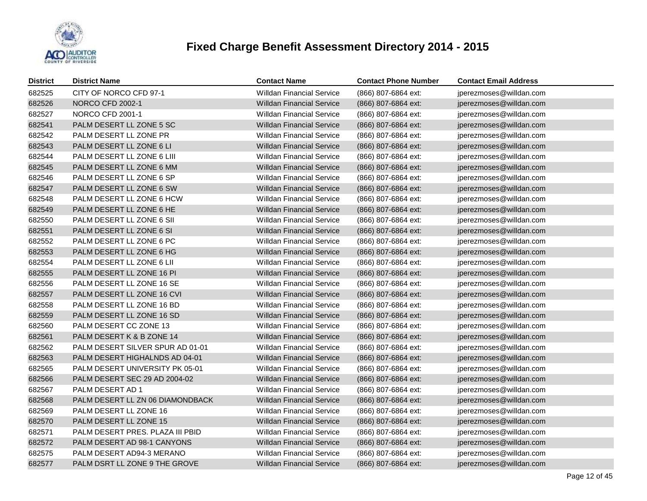

| <b>District</b> | <b>District Name</b>             | <b>Contact Name</b>              | <b>Contact Phone Number</b> | <b>Contact Email Address</b> |
|-----------------|----------------------------------|----------------------------------|-----------------------------|------------------------------|
| 682525          | CITY OF NORCO CFD 97-1           | <b>Willdan Financial Service</b> | (866) 807-6864 ext:         | jperezmoses@willdan.com      |
| 682526          | NORCO CFD 2002-1                 | <b>Willdan Financial Service</b> | (866) 807-6864 ext:         | jperezmoses@willdan.com      |
| 682527          | NORCO CFD 2001-1                 | <b>Willdan Financial Service</b> | (866) 807-6864 ext:         | jperezmoses@willdan.com      |
| 682541          | PALM DESERT LL ZONE 5 SC         | <b>Willdan Financial Service</b> | (866) 807-6864 ext:         | jperezmoses@willdan.com      |
| 682542          | PALM DESERT LL ZONE PR           | <b>Willdan Financial Service</b> | (866) 807-6864 ext:         | jperezmoses@willdan.com      |
| 682543          | PALM DESERT LL ZONE 6 LI         | <b>Willdan Financial Service</b> | (866) 807-6864 ext:         | jperezmoses@willdan.com      |
| 682544          | PALM DESERT LL ZONE 6 LIII       | <b>Willdan Financial Service</b> | (866) 807-6864 ext:         | jperezmoses@willdan.com      |
| 682545          | PALM DESERT LL ZONE 6 MM         | <b>Willdan Financial Service</b> | (866) 807-6864 ext:         | jperezmoses@willdan.com      |
| 682546          | PALM DESERT LL ZONE 6 SP         | <b>Willdan Financial Service</b> | (866) 807-6864 ext:         | jperezmoses@willdan.com      |
| 682547          | PALM DESERT LL ZONE 6 SW         | <b>Willdan Financial Service</b> | (866) 807-6864 ext:         | jperezmoses@willdan.com      |
| 682548          | PALM DESERT LL ZONE 6 HCW        | <b>Willdan Financial Service</b> | (866) 807-6864 ext:         | jperezmoses@willdan.com      |
| 682549          | PALM DESERT LL ZONE 6 HE         | <b>Willdan Financial Service</b> | (866) 807-6864 ext:         | jperezmoses@willdan.com      |
| 682550          | PALM DESERT LL ZONE 6 SII        | <b>Willdan Financial Service</b> | (866) 807-6864 ext:         | jperezmoses@willdan.com      |
| 682551          | PALM DESERT LL ZONE 6 SI         | <b>Willdan Financial Service</b> | (866) 807-6864 ext:         | jperezmoses@willdan.com      |
| 682552          | PALM DESERT LL ZONE 6 PC         | <b>Willdan Financial Service</b> | (866) 807-6864 ext:         | jperezmoses@willdan.com      |
| 682553          | PALM DESERT LL ZONE 6 HG         | <b>Willdan Financial Service</b> | (866) 807-6864 ext:         | jperezmoses@willdan.com      |
| 682554          | PALM DESERT LL ZONE 6 LII        | <b>Willdan Financial Service</b> | (866) 807-6864 ext:         | jperezmoses@willdan.com      |
| 682555          | PALM DESERT LL ZONE 16 PI        | <b>Willdan Financial Service</b> | (866) 807-6864 ext:         | jperezmoses@willdan.com      |
| 682556          | PALM DESERT LL ZONE 16 SE        | <b>Willdan Financial Service</b> | (866) 807-6864 ext:         | jperezmoses@willdan.com      |
| 682557          | PALM DESERT LL ZONE 16 CVI       | <b>Willdan Financial Service</b> | (866) 807-6864 ext:         | jperezmoses@willdan.com      |
| 682558          | PALM DESERT LL ZONE 16 BD        | <b>Willdan Financial Service</b> | (866) 807-6864 ext:         | jperezmoses@willdan.com      |
| 682559          | PALM DESERT LL ZONE 16 SD        | <b>Willdan Financial Service</b> | (866) 807-6864 ext:         | jperezmoses@willdan.com      |
| 682560          | PALM DESERT CC ZONE 13           | <b>Willdan Financial Service</b> | (866) 807-6864 ext:         | jperezmoses@willdan.com      |
| 682561          | PALM DESERT K & B ZONE 14        | <b>Willdan Financial Service</b> | (866) 807-6864 ext:         | jperezmoses@willdan.com      |
| 682562          | PALM DESERT SILVER SPUR AD 01-01 | <b>Willdan Financial Service</b> | (866) 807-6864 ext:         | jperezmoses@willdan.com      |
| 682563          | PALM DESERT HIGHALNDS AD 04-01   | <b>Willdan Financial Service</b> | (866) 807-6864 ext:         | jperezmoses@willdan.com      |
| 682565          | PALM DESERT UNIVERSITY PK 05-01  | <b>Willdan Financial Service</b> | (866) 807-6864 ext:         | jperezmoses@willdan.com      |
| 682566          | PALM DESERT SEC 29 AD 2004-02    | <b>Willdan Financial Service</b> | (866) 807-6864 ext:         | jperezmoses@willdan.com      |
| 682567          | PALM DESERT AD 1                 | <b>Willdan Financial Service</b> | (866) 807-6864 ext:         | jperezmoses@willdan.com      |
| 682568          | PALM DESERT LL ZN 06 DIAMONDBACK | <b>Willdan Financial Service</b> | (866) 807-6864 ext:         | jperezmoses@willdan.com      |
| 682569          | PALM DESERT LL ZONE 16           | <b>Willdan Financial Service</b> | (866) 807-6864 ext:         | jperezmoses@willdan.com      |
| 682570          | PALM DESERT LL ZONE 15           | <b>Willdan Financial Service</b> | (866) 807-6864 ext:         | jperezmoses@willdan.com      |
| 682571          | PALM DESERT PRES. PLAZA III PBID | Willdan Financial Service        | (866) 807-6864 ext:         | jperezmoses@willdan.com      |
| 682572          | PALM DESERT AD 98-1 CANYONS      | <b>Willdan Financial Service</b> | (866) 807-6864 ext:         | jperezmoses@willdan.com      |
| 682575          | PALM DESERT AD94-3 MERANO        | <b>Willdan Financial Service</b> | (866) 807-6864 ext:         | jperezmoses@willdan.com      |
| 682577          | PALM DSRT LL ZONE 9 THE GROVE    | <b>Willdan Financial Service</b> | (866) 807-6864 ext:         | jperezmoses@willdan.com      |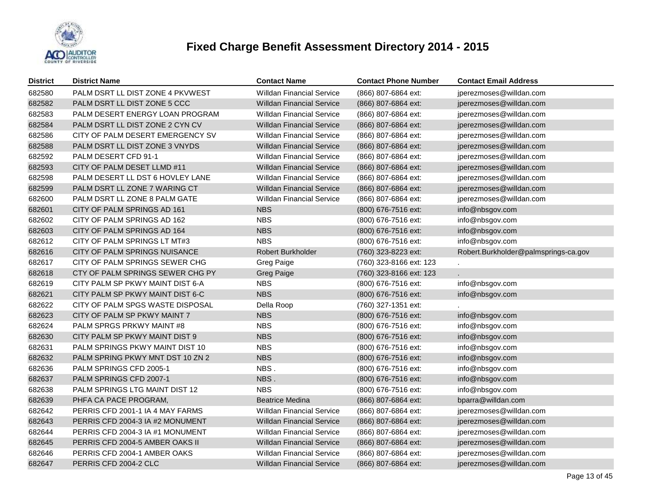

| <b>District</b> | <b>District Name</b>             | <b>Contact Name</b>              | <b>Contact Phone Number</b> | <b>Contact Email Address</b>         |
|-----------------|----------------------------------|----------------------------------|-----------------------------|--------------------------------------|
| 682580          | PALM DSRT LL DIST ZONE 4 PKVWEST | <b>Willdan Financial Service</b> | (866) 807-6864 ext:         | jperezmoses@willdan.com              |
| 682582          | PALM DSRT LL DIST ZONE 5 CCC     | <b>Willdan Financial Service</b> | (866) 807-6864 ext:         | jperezmoses@willdan.com              |
| 682583          | PALM DESERT ENERGY LOAN PROGRAM  | <b>Willdan Financial Service</b> | (866) 807-6864 ext:         | jperezmoses@willdan.com              |
| 682584          | PALM DSRT LL DIST ZONE 2 CYN CV  | <b>Willdan Financial Service</b> | (866) 807-6864 ext:         | jperezmoses@willdan.com              |
| 682586          | CITY OF PALM DESERT EMERGENCY SV | <b>Willdan Financial Service</b> | (866) 807-6864 ext:         | jperezmoses@willdan.com              |
| 682588          | PALM DSRT LL DIST ZONE 3 VNYDS   | <b>Willdan Financial Service</b> | (866) 807-6864 ext:         | jperezmoses@willdan.com              |
| 682592          | PALM DESERT CFD 91-1             | <b>Willdan Financial Service</b> | (866) 807-6864 ext:         | jperezmoses@willdan.com              |
| 682593          | CITY OF PALM DESET LLMD #11      | <b>Willdan Financial Service</b> | (866) 807-6864 ext:         | jperezmoses@willdan.com              |
| 682598          | PALM DESERT LL DST 6 HOVLEY LANE | <b>Willdan Financial Service</b> | (866) 807-6864 ext:         | jperezmoses@willdan.com              |
| 682599          | PALM DSRT LL ZONE 7 WARING CT    | <b>Willdan Financial Service</b> | (866) 807-6864 ext:         | jperezmoses@willdan.com              |
| 682600          | PALM DSRT LL ZONE 8 PALM GATE    | <b>Willdan Financial Service</b> | (866) 807-6864 ext:         | jperezmoses@willdan.com              |
| 682601          | CITY OF PALM SPRINGS AD 161      | <b>NBS</b>                       | (800) 676-7516 ext:         | info@nbsgov.com                      |
| 682602          | CITY OF PALM SPRINGS AD 162      | <b>NBS</b>                       | (800) 676-7516 ext:         | info@nbsgov.com                      |
| 682603          | CITY OF PALM SPRINGS AD 164      | <b>NBS</b>                       | (800) 676-7516 ext:         | info@nbsgov.com                      |
| 682612          | CITY OF PALM SPRINGS LT MT#3     | <b>NBS</b>                       | (800) 676-7516 ext:         | info@nbsgov.com                      |
| 682616          | CITY OF PALM SPRINGS NUISANCE    | Robert Burkholder                | (760) 323-8223 ext:         | Robert.Burkholder@palmsprings-ca.gov |
| 682617          | CITY OF PALM SPRINGS SEWER CHG   | Greg Paige                       | (760) 323-8166 ext: 123     |                                      |
| 682618          | CTY OF PALM SPRINGS SEWER CHG PY | <b>Greg Paige</b>                | (760) 323-8166 ext: 123     |                                      |
| 682619          | CITY PALM SP PKWY MAINT DIST 6-A | <b>NBS</b>                       | (800) 676-7516 ext:         | info@nbsgov.com                      |
| 682621          | CITY PALM SP PKWY MAINT DIST 6-C | <b>NBS</b>                       | (800) 676-7516 ext:         | info@nbsgov.com                      |
| 682622          | CITY OF PALM SPGS WASTE DISPOSAL | Della Roop                       | (760) 327-1351 ext:         |                                      |
| 682623          | CITY OF PALM SP PKWY MAINT 7     | <b>NBS</b>                       | (800) 676-7516 ext:         | info@nbsgov.com                      |
| 682624          | PALM SPRGS PRKWY MAINT #8        | <b>NBS</b>                       | (800) 676-7516 ext:         | info@nbsgov.com                      |
| 682630          | CITY PALM SP PKWY MAINT DIST 9   | <b>NBS</b>                       | (800) 676-7516 ext:         | info@nbsgov.com                      |
| 682631          | PALM SPRINGS PKWY MAINT DIST 10  | <b>NBS</b>                       | (800) 676-7516 ext:         | info@nbsgov.com                      |
| 682632          | PALM SPRING PKWY MNT DST 10 ZN 2 | <b>NBS</b>                       | (800) 676-7516 ext:         | info@nbsgov.com                      |
| 682636          | PALM SPRINGS CFD 2005-1          | NBS.                             | (800) 676-7516 ext:         | info@nbsgov.com                      |
| 682637          | PALM SPRINGS CFD 2007-1          | NBS.                             | (800) 676-7516 ext:         | info@nbsgov.com                      |
| 682638          | PALM SPRINGS LTG MAINT DIST 12   | <b>NBS</b>                       | (800) 676-7516 ext:         | info@nbsgov.com                      |
| 682639          | PHFA CA PACE PROGRAM,            | <b>Beatrice Medina</b>           | (866) 807-6864 ext:         | bparra@willdan.com                   |
| 682642          | PERRIS CFD 2001-1 IA 4 MAY FARMS | <b>Willdan Financial Service</b> | (866) 807-6864 ext:         | jperezmoses@willdan.com              |
| 682643          | PERRIS CFD 2004-3 IA #2 MONUMENT | <b>Willdan Financial Service</b> | (866) 807-6864 ext:         | jperezmoses@willdan.com              |
| 682644          | PERRIS CFD 2004-3 IA #1 MONUMENT | <b>Willdan Financial Service</b> | (866) 807-6864 ext:         | jperezmoses@willdan.com              |
| 682645          | PERRIS CFD 2004-5 AMBER OAKS II  | <b>Willdan Financial Service</b> | (866) 807-6864 ext:         | jperezmoses@willdan.com              |
| 682646          | PERRIS CFD 2004-1 AMBER OAKS     | <b>Willdan Financial Service</b> | (866) 807-6864 ext:         | jperezmoses@willdan.com              |
| 682647          | PERRIS CFD 2004-2 CLC            | <b>Willdan Financial Service</b> | (866) 807-6864 ext:         | jperezmoses@willdan.com              |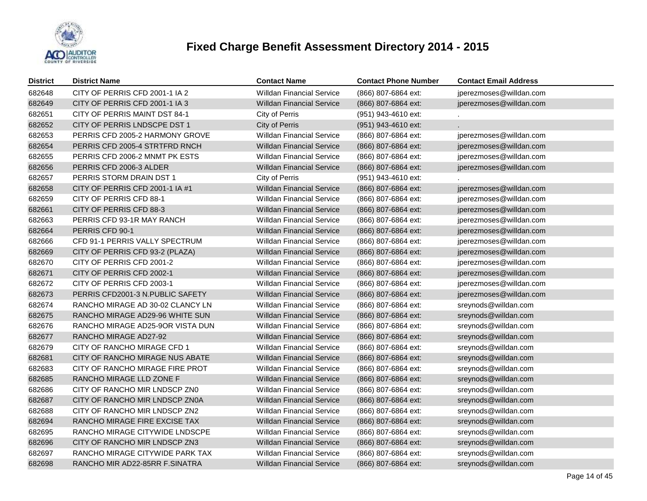

| <b>District</b> | <b>District Name</b>             | <b>Contact Name</b>              | <b>Contact Phone Number</b> | <b>Contact Email Address</b> |
|-----------------|----------------------------------|----------------------------------|-----------------------------|------------------------------|
| 682648          | CITY OF PERRIS CFD 2001-1 IA 2   | <b>Willdan Financial Service</b> | (866) 807-6864 ext:         | jperezmoses@willdan.com      |
| 682649          | CITY OF PERRIS CFD 2001-1 IA 3   | <b>Willdan Financial Service</b> | (866) 807-6864 ext:         | jperezmoses@willdan.com      |
| 682651          | CITY OF PERRIS MAINT DST 84-1    | City of Perris                   | (951) 943-4610 ext:         |                              |
| 682652          | CITY OF PERRIS LNDSCPE DST 1     | City of Perris                   | (951) 943-4610 ext:         |                              |
| 682653          | PERRIS CFD 2005-2 HARMONY GROVE  | <b>Willdan Financial Service</b> | (866) 807-6864 ext:         | jperezmoses@willdan.com      |
| 682654          | PERRIS CFD 2005-4 STRTFRD RNCH   | <b>Willdan Financial Service</b> | (866) 807-6864 ext:         | jperezmoses@willdan.com      |
| 682655          | PERRIS CFD 2006-2 MNMT PK ESTS   | <b>Willdan Financial Service</b> | (866) 807-6864 ext:         | jperezmoses@willdan.com      |
| 682656          | PERRIS CFD 2006-3 ALDER          | <b>Willdan Financial Service</b> | (866) 807-6864 ext:         | jperezmoses@willdan.com      |
| 682657          | PERRIS STORM DRAIN DST 1         | City of Perris                   | (951) 943-4610 ext:         |                              |
| 682658          | CITY OF PERRIS CFD 2001-1 IA #1  | <b>Willdan Financial Service</b> | (866) 807-6864 ext:         | jperezmoses@willdan.com      |
| 682659          | CITY OF PERRIS CFD 88-1          | <b>Willdan Financial Service</b> | (866) 807-6864 ext:         | jperezmoses@willdan.com      |
| 682661          | CITY OF PERRIS CFD 88-3          | <b>Willdan Financial Service</b> | (866) 807-6864 ext:         | jperezmoses@willdan.com      |
| 682663          | PERRIS CFD 93-1R MAY RANCH       | <b>Willdan Financial Service</b> | (866) 807-6864 ext:         | jperezmoses@willdan.com      |
| 682664          | PERRIS CFD 90-1                  | <b>Willdan Financial Service</b> | (866) 807-6864 ext:         | jperezmoses@willdan.com      |
| 682666          | CFD 91-1 PERRIS VALLY SPECTRUM   | <b>Willdan Financial Service</b> | (866) 807-6864 ext:         | jperezmoses@willdan.com      |
| 682669          | CITY OF PERRIS CFD 93-2 (PLAZA)  | <b>Willdan Financial Service</b> | (866) 807-6864 ext:         | jperezmoses@willdan.com      |
| 682670          | CITY OF PERRIS CFD 2001-2        | <b>Willdan Financial Service</b> | (866) 807-6864 ext:         | jperezmoses@willdan.com      |
| 682671          | CITY OF PERRIS CFD 2002-1        | <b>Willdan Financial Service</b> | (866) 807-6864 ext:         | jperezmoses@willdan.com      |
| 682672          | CITY OF PERRIS CFD 2003-1        | <b>Willdan Financial Service</b> | (866) 807-6864 ext:         | jperezmoses@willdan.com      |
| 682673          | PERRIS CFD2001-3 N.PUBLIC SAFETY | <b>Willdan Financial Service</b> | (866) 807-6864 ext:         | jperezmoses@willdan.com      |
| 682674          | RANCHO MIRAGE AD 30-02 CLANCY LN | <b>Willdan Financial Service</b> | (866) 807-6864 ext:         | sreynods@willdan.com         |
| 682675          | RANCHO MIRAGE AD29-96 WHITE SUN  | <b>Willdan Financial Service</b> | (866) 807-6864 ext:         | sreynods@willdan.com         |
| 682676          | RANCHO MIRAGE AD25-9OR VISTA DUN | <b>Willdan Financial Service</b> | (866) 807-6864 ext:         | sreynods@willdan.com         |
| 682677          | RANCHO MIRAGE AD27-92            | <b>Willdan Financial Service</b> | (866) 807-6864 ext:         | sreynods@willdan.com         |
| 682679          | CITY OF RANCHO MIRAGE CFD 1      | <b>Willdan Financial Service</b> | (866) 807-6864 ext:         | sreynods@willdan.com         |
| 682681          | CITY OF RANCHO MIRAGE NUS ABATE  | <b>Willdan Financial Service</b> | (866) 807-6864 ext:         | sreynods@willdan.com         |
| 682683          | CITY OF RANCHO MIRAGE FIRE PROT  | <b>Willdan Financial Service</b> | (866) 807-6864 ext:         | sreynods@willdan.com         |
| 682685          | RANCHO MIRAGE LLD ZONE F         | <b>Willdan Financial Service</b> | (866) 807-6864 ext:         | sreynods@willdan.com         |
| 682686          | CITY OF RANCHO MIR LNDSCP ZN0    | <b>Willdan Financial Service</b> | (866) 807-6864 ext:         | sreynods@willdan.com         |
| 682687          | CITY OF RANCHO MIR LNDSCP ZN0A   | <b>Willdan Financial Service</b> | (866) 807-6864 ext:         | sreynods@willdan.com         |
| 682688          | CITY OF RANCHO MIR LNDSCP ZN2    | <b>Willdan Financial Service</b> | (866) 807-6864 ext:         | sreynods@willdan.com         |
| 682694          | RANCHO MIRAGE FIRE EXCISE TAX    | <b>Willdan Financial Service</b> | (866) 807-6864 ext:         | sreynods@willdan.com         |
| 682695          | RANCHO MIRAGE CITYWIDE LNDSCPE   | <b>Willdan Financial Service</b> | (866) 807-6864 ext:         | sreynods@willdan.com         |
| 682696          | CITY OF RANCHO MIR LNDSCP ZN3    | <b>Willdan Financial Service</b> | (866) 807-6864 ext:         | sreynods@willdan.com         |
| 682697          | RANCHO MIRAGE CITYWIDE PARK TAX  | <b>Willdan Financial Service</b> | (866) 807-6864 ext:         | sreynods@willdan.com         |
| 682698          | RANCHO MIR AD22-85RR F.SINATRA   | <b>Willdan Financial Service</b> | (866) 807-6864 ext:         | sreynods@willdan.com         |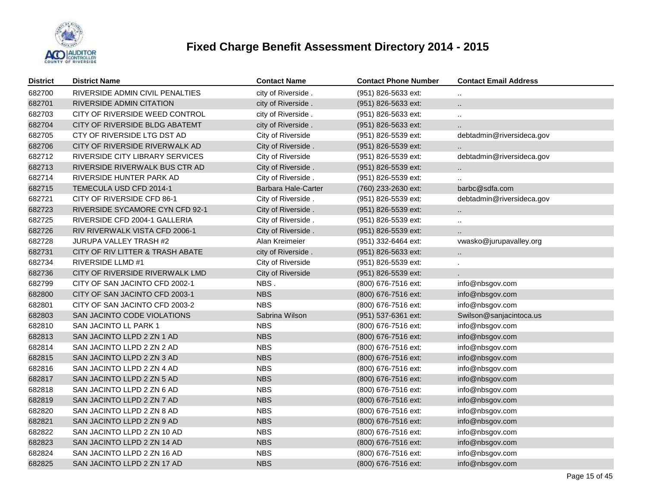

| <b>District</b> | <b>District Name</b>             | <b>Contact Name</b>        | <b>Contact Phone Number</b> | <b>Contact Email Address</b> |
|-----------------|----------------------------------|----------------------------|-----------------------------|------------------------------|
| 682700          | RIVERSIDE ADMIN CIVIL PENALTIES  | city of Riverside.         | (951) 826-5633 ext:         |                              |
| 682701          | RIVERSIDE ADMIN CITATION         | city of Riverside.         | (951) 826-5633 ext:         |                              |
| 682703          | CITY OF RIVERSIDE WEED CONTROL   | city of Riverside.         | (951) 826-5633 ext:         | Ω.                           |
| 682704          | CITY OF RIVERSIDE BLDG ABATEMT   | city of Riverside.         | (951) 826-5633 ext:         |                              |
| 682705          | CTY OF RIVERSIDE LTG DST AD      | City of Riverside          | (951) 826-5539 ext:         | debtadmin@riversideca.gov    |
| 682706          | CITY OF RIVERSIDE RIVERWALK AD   | City of Riverside.         | (951) 826-5539 ext:         |                              |
| 682712          | RIVERSIDE CITY LIBRARY SERVICES  | City of Riverside          | (951) 826-5539 ext:         | debtadmin@riversideca.gov    |
| 682713          | RIVERSIDE RIVERWALK BUS CTR AD   | City of Riverside.         | (951) 826-5539 ext:         | $\ddotsc$                    |
| 682714          | RIVERSIDE HUNTER PARK AD         | City of Riverside.         | (951) 826-5539 ext:         |                              |
| 682715          | TEMECULA USD CFD 2014-1          | <b>Barbara Hale-Carter</b> | (760) 233-2630 ext:         | barbc@sdfa.com               |
| 682721          | CITY OF RIVERSIDE CFD 86-1       | City of Riverside.         | (951) 826-5539 ext:         | debtadmin@riversideca.gov    |
| 682723          | RIVERSIDE SYCAMORE CYN CFD 92-1  | City of Riverside.         | (951) 826-5539 ext:         | $\ddotsc$                    |
| 682725          | RIVERSIDE CFD 2004-1 GALLERIA    | City of Riverside.         | (951) 826-5539 ext:         | ä.                           |
| 682726          | RIV RIVERWALK VISTA CFD 2006-1   | City of Riverside.         | (951) 826-5539 ext:         | Ω.                           |
| 682728          | JURUPA VALLEY TRASH #2           | Alan Kreimeier             | (951) 332-6464 ext:         | vwasko@jurupavalley.org      |
| 682731          | CITY OF RIV LITTER & TRASH ABATE | city of Riverside.         | (951) 826-5633 ext:         | $\ddotsc$                    |
| 682734          | <b>RIVERSIDE LLMD #1</b>         | City of Riverside          | (951) 826-5539 ext:         |                              |
| 682736          | CITY OF RIVERSIDE RIVERWALK LMD  | <b>City of Riverside</b>   | (951) 826-5539 ext:         |                              |
| 682799          | CITY OF SAN JACINTO CFD 2002-1   | NBS.                       | (800) 676-7516 ext:         | info@nbsgov.com              |
| 682800          | CITY OF SAN JACINTO CFD 2003-1   | <b>NBS</b>                 | (800) 676-7516 ext:         | info@nbsgov.com              |
| 682801          | CITY OF SAN JACINTO CFD 2003-2   | <b>NBS</b>                 | (800) 676-7516 ext:         | info@nbsgov.com              |
| 682803          | SAN JACINTO CODE VIOLATIONS      | Sabrina Wilson             | (951) 537-6361 ext:         | Swilson@sanjacintoca.us      |
| 682810          | <b>SAN JACINTO LL PARK 1</b>     | <b>NBS</b>                 | (800) 676-7516 ext:         | info@nbsgov.com              |
| 682813          | SAN JACINTO LLPD 2 ZN 1 AD       | <b>NBS</b>                 | (800) 676-7516 ext:         | info@nbsgov.com              |
| 682814          | SAN JACINTO LLPD 2 ZN 2 AD       | <b>NBS</b>                 | (800) 676-7516 ext:         | info@nbsgov.com              |
| 682815          | SAN JACINTO LLPD 2 ZN 3 AD       | <b>NBS</b>                 | (800) 676-7516 ext:         | info@nbsgov.com              |
| 682816          | SAN JACINTO LLPD 2 ZN 4 AD       | <b>NBS</b>                 | (800) 676-7516 ext:         | info@nbsgov.com              |
| 682817          | SAN JACINTO LLPD 2 ZN 5 AD       | <b>NBS</b>                 | (800) 676-7516 ext:         | info@nbsgov.com              |
| 682818          | SAN JACINTO LLPD 2 ZN 6 AD       | <b>NBS</b>                 | (800) 676-7516 ext:         | info@nbsgov.com              |
| 682819          | SAN JACINTO LLPD 2 ZN 7 AD       | <b>NBS</b>                 | (800) 676-7516 ext:         | info@nbsgov.com              |
| 682820          | SAN JACINTO LLPD 2 ZN 8 AD       | <b>NBS</b>                 | (800) 676-7516 ext:         | info@nbsgov.com              |
| 682821          | SAN JACINTO LLPD 2 ZN 9 AD       | <b>NBS</b>                 | (800) 676-7516 ext:         | info@nbsgov.com              |
| 682822          | SAN JACINTO LLPD 2 ZN 10 AD      | <b>NBS</b>                 | (800) 676-7516 ext:         | info@nbsgov.com              |
| 682823          | SAN JACINTO LLPD 2 ZN 14 AD      | <b>NBS</b>                 | (800) 676-7516 ext:         | info@nbsgov.com              |
| 682824          | SAN JACINTO LLPD 2 ZN 16 AD      | <b>NBS</b>                 | (800) 676-7516 ext:         | info@nbsgov.com              |
| 682825          | SAN JACINTO LLPD 2 ZN 17 AD      | <b>NBS</b>                 | (800) 676-7516 ext:         | info@nbsgov.com              |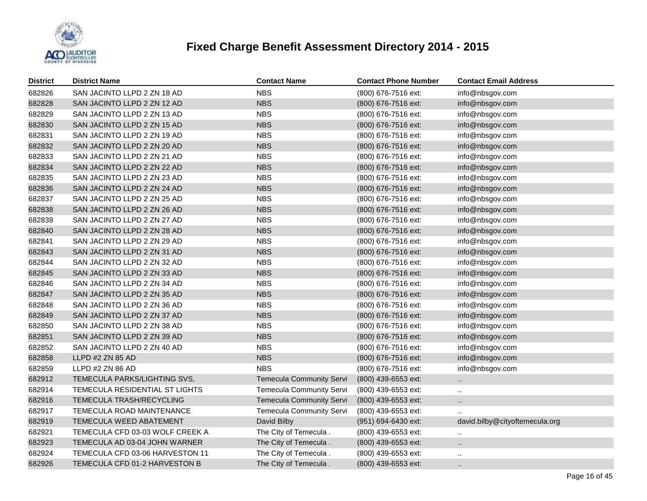

| <b>District</b> | <b>District Name</b>            | <b>Contact Name</b>             | <b>Contact Phone Number</b> | <b>Contact Email Address</b>   |
|-----------------|---------------------------------|---------------------------------|-----------------------------|--------------------------------|
| 682826          | SAN JACINTO LLPD 2 ZN 18 AD     | <b>NBS</b>                      | (800) 676-7516 ext:         | info@nbsgov.com                |
| 682828          | SAN JACINTO LLPD 2 ZN 12 AD     | <b>NBS</b>                      | (800) 676-7516 ext:         | info@nbsgov.com                |
| 682829          | SAN JACINTO LLPD 2 ZN 13 AD     | <b>NBS</b>                      | (800) 676-7516 ext:         | info@nbsgov.com                |
| 682830          | SAN JACINTO LLPD 2 ZN 15 AD     | <b>NBS</b>                      | (800) 676-7516 ext:         | info@nbsgov.com                |
| 682831          | SAN JACINTO LLPD 2 ZN 19 AD     | <b>NBS</b>                      | (800) 676-7516 ext:         | info@nbsgov.com                |
| 682832          | SAN JACINTO LLPD 2 ZN 20 AD     | <b>NBS</b>                      | (800) 676-7516 ext:         | info@nbsgov.com                |
| 682833          | SAN JACINTO LLPD 2 ZN 21 AD     | <b>NBS</b>                      | (800) 676-7516 ext:         | info@nbsgov.com                |
| 682834          | SAN JACINTO LLPD 2 ZN 22 AD     | <b>NBS</b>                      | (800) 676-7516 ext:         | info@nbsgov.com                |
| 682835          | SAN JACINTO LLPD 2 ZN 23 AD     | <b>NBS</b>                      | (800) 676-7516 ext:         | info@nbsgov.com                |
| 682836          | SAN JACINTO LLPD 2 ZN 24 AD     | <b>NBS</b>                      | (800) 676-7516 ext:         | info@nbsgov.com                |
| 682837          | SAN JACINTO LLPD 2 ZN 25 AD     | <b>NBS</b>                      | (800) 676-7516 ext:         | info@nbsgov.com                |
| 682838          | SAN JACINTO LLPD 2 ZN 26 AD     | <b>NBS</b>                      | (800) 676-7516 ext:         | info@nbsgov.com                |
| 682839          | SAN JACINTO LLPD 2 ZN 27 AD     | <b>NBS</b>                      | (800) 676-7516 ext:         | info@nbsgov.com                |
| 682840          | SAN JACINTO LLPD 2 ZN 28 AD     | <b>NBS</b>                      | (800) 676-7516 ext:         | info@nbsgov.com                |
| 682841          | SAN JACINTO LLPD 2 ZN 29 AD     | <b>NBS</b>                      | (800) 676-7516 ext:         | info@nbsgov.com                |
| 682843          | SAN JACINTO LLPD 2 ZN 31 AD     | <b>NBS</b>                      | (800) 676-7516 ext:         | info@nbsgov.com                |
| 682844          | SAN JACINTO LLPD 2 ZN 32 AD     | <b>NBS</b>                      | (800) 676-7516 ext:         | info@nbsgov.com                |
| 682845          | SAN JACINTO LLPD 2 ZN 33 AD     | <b>NBS</b>                      | (800) 676-7516 ext:         | info@nbsgov.com                |
| 682846          | SAN JACINTO LLPD 2 ZN 34 AD     | <b>NBS</b>                      | (800) 676-7516 ext:         | info@nbsgov.com                |
| 682847          | SAN JACINTO LLPD 2 ZN 35 AD     | <b>NBS</b>                      | (800) 676-7516 ext:         | info@nbsgov.com                |
| 682848          | SAN JACINTO LLPD 2 ZN 36 AD     | <b>NBS</b>                      | (800) 676-7516 ext:         | info@nbsgov.com                |
| 682849          | SAN JACINTO LLPD 2 ZN 37 AD     | <b>NBS</b>                      | (800) 676-7516 ext:         | info@nbsgov.com                |
| 682850          | SAN JACINTO LLPD 2 ZN 38 AD     | <b>NBS</b>                      | (800) 676-7516 ext:         | info@nbsgov.com                |
| 682851          | SAN JACINTO LLPD 2 ZN 39 AD     | <b>NBS</b>                      | (800) 676-7516 ext:         | info@nbsgov.com                |
| 682852          | SAN JACINTO LLPD 2 ZN 40 AD     | <b>NBS</b>                      | (800) 676-7516 ext:         | info@nbsgov.com                |
| 682858          | LLPD #2 ZN 85 AD                | <b>NBS</b>                      | (800) 676-7516 ext:         | info@nbsgov.com                |
| 682859          | LLPD #2 ZN 86 AD                | <b>NBS</b>                      | (800) 676-7516 ext:         | info@nbsgov.com                |
| 682912          | TEMECULA PARKS/LIGHTING SVS,    | <b>Temecula Community Servi</b> | (800) 439-6553 ext:         | $\ddotsc$                      |
| 682914          | TEMECULA RESIDENTIAL ST LIGHTS  | Temecula Community Servi        | (800) 439-6553 ext:         | $\ddotsc$                      |
| 682916          | TEMECULA TRASH/RECYCLING        | <b>Temecula Community Servi</b> | (800) 439-6553 ext:         | $\ddot{\phantom{a}}$           |
| 682917          | TEMECULA ROAD MAINTENANCE       | <b>Temecula Community Servi</b> | (800) 439-6553 ext:         |                                |
| 682919          | TEMECULA WEED ABATEMENT         | David Bilby                     | (951) 694-6430 ext:         | david.bilby@cityoftemecula.org |
| 682921          | TEMECULA CFD 03-03 WOLF CREEK A | The City of Temecula.           | (800) 439-6553 ext:         | $\ddot{\phantom{a}}$           |
| 682923          | TEMECULA AD 03-04 JOHN WARNER   | The City of Temecula.           | (800) 439-6553 ext:         | $\ddotsc$                      |
| 682924          | TEMECULA CFD 03-06 HARVESTON 11 | The City of Temecula.           | (800) 439-6553 ext:         | $\ddotsc$                      |
| 682926          | TEMECULA CFD 01-2 HARVESTON B   | The City of Temecula.           | (800) 439-6553 ext:         | $\cdot$ .                      |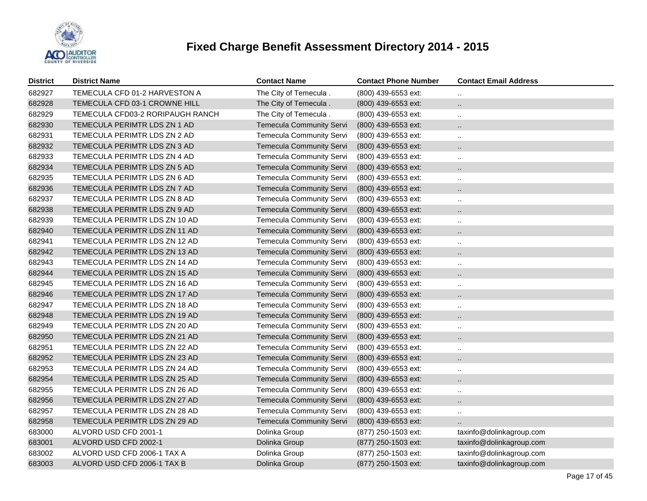

| <b>District</b> | <b>District Name</b>             | <b>Contact Name</b>             | <b>Contact Phone Number</b> | <b>Contact Email Address</b> |
|-----------------|----------------------------------|---------------------------------|-----------------------------|------------------------------|
| 682927          | TEMECULA CFD 01-2 HARVESTON A    | The City of Temecula.           | (800) 439-6553 ext:         | $\ddot{\phantom{a}}$         |
| 682928          | TEMECULA CFD 03-1 CROWNE HILL    | The City of Temecula.           | (800) 439-6553 ext:         | $\ddot{\phantom{1}}$         |
| 682929          | TEMECULA CFD03-2 RORIPAUGH RANCH | The City of Temecula.           | (800) 439-6553 ext:         | $\cdot$ .                    |
| 682930          | TEMECULA PERIMTR LDS ZN 1 AD     | <b>Temecula Community Servi</b> | (800) 439-6553 ext:         | $\cdot$ .                    |
| 682931          | TEMECULA PERIMTR LDS ZN 2 AD     | <b>Temecula Community Servi</b> | (800) 439-6553 ext:         | $\ddotsc$                    |
| 682932          | TEMECULA PERIMTR LDS ZN 3 AD     | <b>Temecula Community Servi</b> | (800) 439-6553 ext:         | $\ddot{\phantom{a}}$         |
| 682933          | TEMECULA PERIMTR LDS ZN 4 AD     | <b>Temecula Community Servi</b> | (800) 439-6553 ext:         | $\ddotsc$                    |
| 682934          | TEMECULA PERIMTR LDS ZN 5 AD     | <b>Temecula Community Servi</b> | (800) 439-6553 ext:         | $\ddot{\phantom{a}}$         |
| 682935          | TEMECULA PERIMTR LDS ZN 6 AD     | Temecula Community Servi        | (800) 439-6553 ext:         | $\ddot{\phantom{a}}$         |
| 682936          | TEMECULA PERIMTR LDS ZN 7 AD     | <b>Temecula Community Servi</b> | (800) 439-6553 ext:         | $\ddot{\phantom{1}}$         |
| 682937          | TEMECULA PERIMTR LDS ZN 8 AD     | <b>Temecula Community Servi</b> | (800) 439-6553 ext:         | $\ddot{\phantom{a}}$         |
| 682938          | TEMECULA PERIMTR LDS ZN 9 AD     | <b>Temecula Community Servi</b> | (800) 439-6553 ext:         | $\ddotsc$                    |
| 682939          | TEMECULA PERIMTR LDS ZN 10 AD    | <b>Temecula Community Servi</b> | (800) 439-6553 ext:         | $\ddotsc$                    |
| 682940          | TEMECULA PERIMTR LDS ZN 11 AD    | <b>Temecula Community Servi</b> | (800) 439-6553 ext:         | $\ddot{\phantom{a}}$         |
| 682941          | TEMECULA PERIMTR LDS ZN 12 AD    | <b>Temecula Community Servi</b> | (800) 439-6553 ext:         | $\ddotsc$                    |
| 682942          | TEMECULA PERIMTR LDS ZN 13 AD    | <b>Temecula Community Servi</b> | (800) 439-6553 ext:         | $\ddot{\phantom{a}}$         |
| 682943          | TEMECULA PERIMTR LDS ZN 14 AD    | <b>Temecula Community Servi</b> | (800) 439-6553 ext:         | $\ddotsc$                    |
| 682944          | TEMECULA PERIMTR LDS ZN 15 AD    | <b>Temecula Community Servi</b> | (800) 439-6553 ext:         | $\ddotsc$                    |
| 682945          | TEMECULA PERIMTR LDS ZN 16 AD    | <b>Temecula Community Servi</b> | (800) 439-6553 ext:         | $\ddotsc$                    |
| 682946          | TEMECULA PERIMTR LDS ZN 17 AD    | <b>Temecula Community Servi</b> | (800) 439-6553 ext:         | $\ddotsc$                    |
| 682947          | TEMECULA PERIMTR LDS ZN 18 AD    | <b>Temecula Community Servi</b> | $(800)$ 439-6553 ext:       | $\ddotsc$                    |
| 682948          | TEMECULA PERIMTR LDS ZN 19 AD    | <b>Temecula Community Servi</b> | (800) 439-6553 ext:         | $\ddot{\phantom{a}}$         |
| 682949          | TEMECULA PERIMTR LDS ZN 20 AD    | <b>Temecula Community Servi</b> | (800) 439-6553 ext:         | $\ddotsc$                    |
| 682950          | TEMECULA PERIMTR LDS ZN 21 AD    | <b>Temecula Community Servi</b> | (800) 439-6553 ext:         |                              |
| 682951          | TEMECULA PERIMTR LDS ZN 22 AD    | <b>Temecula Community Servi</b> | (800) 439-6553 ext:         | $\ddot{\phantom{a}}$         |
| 682952          | TEMECULA PERIMTR LDS ZN 23 AD    | <b>Temecula Community Servi</b> | (800) 439-6553 ext:         | $\ddotsc$                    |
| 682953          | TEMECULA PERIMTR LDS ZN 24 AD    | <b>Temecula Community Servi</b> | (800) 439-6553 ext:         | $\ddotsc$                    |
| 682954          | TEMECULA PERIMTR LDS ZN 25 AD    | <b>Temecula Community Servi</b> | (800) 439-6553 ext:         | $\ddotsc$                    |
| 682955          | TEMECULA PERIMTR LDS ZN 26 AD    | Temecula Community Servi        | (800) 439-6553 ext:         | $\ddotsc$                    |
| 682956          | TEMECULA PERIMTR LDS ZN 27 AD    | <b>Temecula Community Servi</b> | (800) 439-6553 ext:         | $\ddot{\phantom{a}}$         |
| 682957          | TEMECULA PERIMTR LDS ZN 28 AD    | <b>Temecula Community Servi</b> | (800) 439-6553 ext:         | $\ddot{\phantom{a}}$         |
| 682958          | TEMECULA PERIMTR LDS ZN 29 AD    | <b>Temecula Community Servi</b> | (800) 439-6553 ext:         |                              |
| 683000          | ALVORD USD CFD 2001-1            | Dolinka Group                   | (877) 250-1503 ext:         | taxinfo@dolinkagroup.com     |
| 683001          | ALVORD USD CFD 2002-1            | Dolinka Group                   | (877) 250-1503 ext:         | taxinfo@dolinkagroup.com     |
| 683002          | ALVORD USD CFD 2006-1 TAX A      | Dolinka Group                   | (877) 250-1503 ext:         | taxinfo@dolinkagroup.com     |
| 683003          | ALVORD USD CFD 2006-1 TAX B      | Dolinka Group                   | (877) 250-1503 ext:         | taxinfo@dolinkagroup.com     |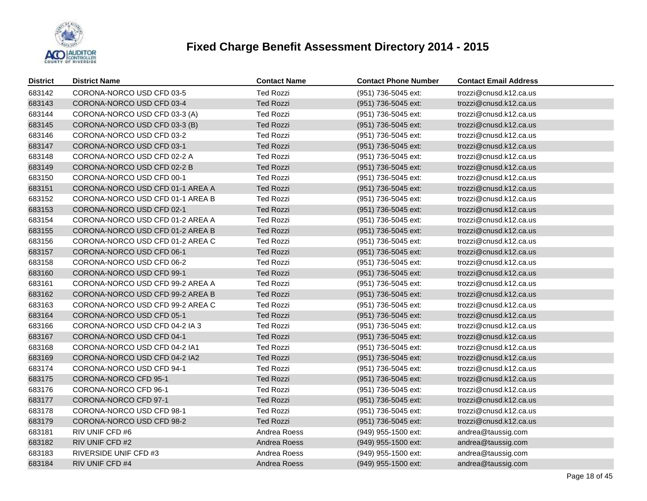

| <b>District</b> | <b>District Name</b>             | <b>Contact Name</b> | <b>Contact Phone Number</b> | <b>Contact Email Address</b> |
|-----------------|----------------------------------|---------------------|-----------------------------|------------------------------|
| 683142          | CORONA-NORCO USD CFD 03-5        | <b>Ted Rozzi</b>    | (951) 736-5045 ext:         | trozzi@cnusd.k12.ca.us       |
| 683143          | CORONA-NORCO USD CFD 03-4        | <b>Ted Rozzi</b>    | (951) 736-5045 ext:         | trozzi@cnusd.k12.ca.us       |
| 683144          | CORONA-NORCO USD CFD 03-3 (A)    | <b>Ted Rozzi</b>    | (951) 736-5045 ext:         | trozzi@cnusd.k12.ca.us       |
| 683145          | CORONA-NORCO USD CFD 03-3 (B)    | <b>Ted Rozzi</b>    | (951) 736-5045 ext:         | trozzi@cnusd.k12.ca.us       |
| 683146          | CORONA-NORCO USD CFD 03-2        | <b>Ted Rozzi</b>    | (951) 736-5045 ext:         | trozzi@cnusd.k12.ca.us       |
| 683147          | CORONA-NORCO USD CFD 03-1        | <b>Ted Rozzi</b>    | (951) 736-5045 ext:         | trozzi@cnusd.k12.ca.us       |
| 683148          | CORONA-NORCO USD CFD 02-2 A      | <b>Ted Rozzi</b>    | (951) 736-5045 ext:         | trozzi@cnusd.k12.ca.us       |
| 683149          | CORONA-NORCO USD CFD 02-2 B      | <b>Ted Rozzi</b>    | (951) 736-5045 ext:         | trozzi@cnusd.k12.ca.us       |
| 683150          | CORONA-NORCO USD CFD 00-1        | <b>Ted Rozzi</b>    | (951) 736-5045 ext:         | trozzi@cnusd.k12.ca.us       |
| 683151          | CORONA-NORCO USD CFD 01-1 AREA A | <b>Ted Rozzi</b>    | (951) 736-5045 ext:         | trozzi@cnusd.k12.ca.us       |
| 683152          | CORONA-NORCO USD CFD 01-1 AREA B | <b>Ted Rozzi</b>    | (951) 736-5045 ext:         | trozzi@cnusd.k12.ca.us       |
| 683153          | CORONA-NORCO USD CFD 02-1        | <b>Ted Rozzi</b>    | (951) 736-5045 ext:         | trozzi@cnusd.k12.ca.us       |
| 683154          | CORONA-NORCO USD CFD 01-2 AREA A | <b>Ted Rozzi</b>    | (951) 736-5045 ext:         | trozzi@cnusd.k12.ca.us       |
| 683155          | CORONA-NORCO USD CFD 01-2 AREA B | <b>Ted Rozzi</b>    | (951) 736-5045 ext:         | trozzi@cnusd.k12.ca.us       |
| 683156          | CORONA-NORCO USD CFD 01-2 AREA C | <b>Ted Rozzi</b>    | (951) 736-5045 ext:         | trozzi@cnusd.k12.ca.us       |
| 683157          | CORONA-NORCO USD CFD 06-1        | <b>Ted Rozzi</b>    | (951) 736-5045 ext:         | trozzi@cnusd.k12.ca.us       |
| 683158          | CORONA-NORCO USD CFD 06-2        | <b>Ted Rozzi</b>    | (951) 736-5045 ext:         | trozzi@cnusd.k12.ca.us       |
| 683160          | CORONA-NORCO USD CFD 99-1        | <b>Ted Rozzi</b>    | (951) 736-5045 ext:         | trozzi@cnusd.k12.ca.us       |
| 683161          | CORONA-NORCO USD CFD 99-2 AREA A | <b>Ted Rozzi</b>    | (951) 736-5045 ext:         | trozzi@cnusd.k12.ca.us       |
| 683162          | CORONA-NORCO USD CFD 99-2 AREA B | <b>Ted Rozzi</b>    | (951) 736-5045 ext:         | trozzi@cnusd.k12.ca.us       |
| 683163          | CORONA-NORCO USD CFD 99-2 AREA C | <b>Ted Rozzi</b>    | (951) 736-5045 ext:         | trozzi@cnusd.k12.ca.us       |
| 683164          | CORONA-NORCO USD CFD 05-1        | <b>Ted Rozzi</b>    | (951) 736-5045 ext:         | trozzi@cnusd.k12.ca.us       |
| 683166          | CORONA-NORCO USD CFD 04-2 IA 3   | <b>Ted Rozzi</b>    | (951) 736-5045 ext:         | trozzi@cnusd.k12.ca.us       |
| 683167          | CORONA-NORCO USD CFD 04-1        | <b>Ted Rozzi</b>    | (951) 736-5045 ext:         | trozzi@cnusd.k12.ca.us       |
| 683168          | CORONA-NORCO USD CFD 04-2 IA1    | <b>Ted Rozzi</b>    | (951) 736-5045 ext:         | trozzi@cnusd.k12.ca.us       |
| 683169          | CORONA-NORCO USD CFD 04-2 IA2    | <b>Ted Rozzi</b>    | (951) 736-5045 ext:         | trozzi@cnusd.k12.ca.us       |
| 683174          | CORONA-NORCO USD CFD 94-1        | <b>Ted Rozzi</b>    | (951) 736-5045 ext:         | trozzi@cnusd.k12.ca.us       |
| 683175          | CORONA-NORCO CFD 95-1            | <b>Ted Rozzi</b>    | (951) 736-5045 ext:         | trozzi@cnusd.k12.ca.us       |
| 683176          | CORONA-NORCO CFD 96-1            | <b>Ted Rozzi</b>    | (951) 736-5045 ext:         | trozzi@cnusd.k12.ca.us       |
| 683177          | CORONA-NORCO CFD 97-1            | <b>Ted Rozzi</b>    | (951) 736-5045 ext:         | trozzi@cnusd.k12.ca.us       |
| 683178          | CORONA-NORCO USD CFD 98-1        | <b>Ted Rozzi</b>    | (951) 736-5045 ext:         | trozzi@cnusd.k12.ca.us       |
| 683179          | CORONA-NORCO USD CFD 98-2        | <b>Ted Rozzi</b>    | (951) 736-5045 ext:         | trozzi@cnusd.k12.ca.us       |
| 683181          | RIV UNIF CFD #6                  | Andrea Roess        | (949) 955-1500 ext:         | andrea@taussig.com           |
| 683182          | RIV UNIF CFD #2                  | Andrea Roess        | (949) 955-1500 ext:         | andrea@taussig.com           |
| 683183          | RIVERSIDE UNIF CFD #3            | Andrea Roess        | (949) 955-1500 ext:         | andrea@taussig.com           |
| 683184          | RIV UNIF CFD #4                  | Andrea Roess        | (949) 955-1500 ext:         | andrea@taussig.com           |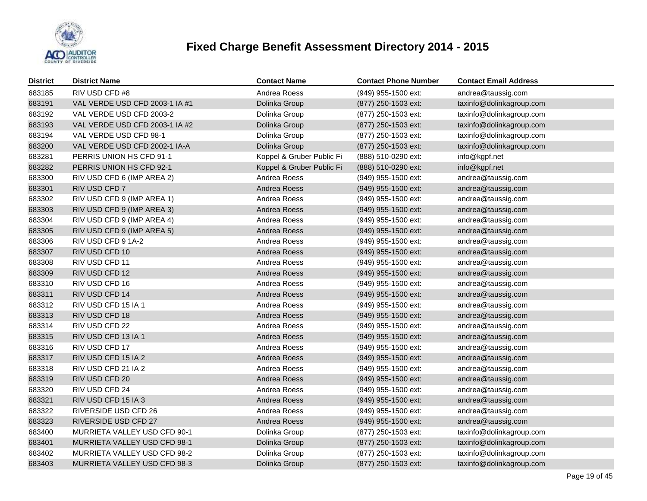

| <b>District</b> | <b>District Name</b>           | <b>Contact Name</b>       | <b>Contact Phone Number</b> | <b>Contact Email Address</b> |
|-----------------|--------------------------------|---------------------------|-----------------------------|------------------------------|
| 683185          | RIV USD CFD #8                 | Andrea Roess              | (949) 955-1500 ext:         | andrea@taussig.com           |
| 683191          | VAL VERDE USD CFD 2003-1 IA #1 | Dolinka Group             | (877) 250-1503 ext:         | taxinfo@dolinkagroup.com     |
| 683192          | VAL VERDE USD CFD 2003-2       | Dolinka Group             | (877) 250-1503 ext:         | taxinfo@dolinkagroup.com     |
| 683193          | VAL VERDE USD CFD 2003-1 IA #2 | Dolinka Group             | (877) 250-1503 ext:         | taxinfo@dolinkagroup.com     |
| 683194          | VAL VERDE USD CFD 98-1         | Dolinka Group             | (877) 250-1503 ext:         | taxinfo@dolinkagroup.com     |
| 683200          | VAL VERDE USD CFD 2002-1 IA-A  | Dolinka Group             | (877) 250-1503 ext:         | taxinfo@dolinkagroup.com     |
| 683281          | PERRIS UNION HS CFD 91-1       | Koppel & Gruber Public Fi | (888) 510-0290 ext:         | info@kgpf.net                |
| 683282          | PERRIS UNION HS CFD 92-1       | Koppel & Gruber Public Fi | (888) 510-0290 ext:         | info@kgpf.net                |
| 683300          | RIV USD CFD 6 (IMP AREA 2)     | Andrea Roess              | (949) 955-1500 ext:         | andrea@taussig.com           |
| 683301          | RIV USD CFD 7                  | Andrea Roess              | (949) 955-1500 ext:         | andrea@taussig.com           |
| 683302          | RIV USD CFD 9 (IMP AREA 1)     | Andrea Roess              | (949) 955-1500 ext:         | andrea@taussig.com           |
| 683303          | RIV USD CFD 9 (IMP AREA 3)     | Andrea Roess              | (949) 955-1500 ext:         | andrea@taussig.com           |
| 683304          | RIV USD CFD 9 (IMP AREA 4)     | Andrea Roess              | (949) 955-1500 ext:         | andrea@taussig.com           |
| 683305          | RIV USD CFD 9 (IMP AREA 5)     | Andrea Roess              | (949) 955-1500 ext:         | andrea@taussig.com           |
| 683306          | RIV USD CFD 9 1A-2             | Andrea Roess              | (949) 955-1500 ext:         | andrea@taussig.com           |
| 683307          | RIV USD CFD 10                 | Andrea Roess              | (949) 955-1500 ext:         | andrea@taussig.com           |
| 683308          | RIV USD CFD 11                 | Andrea Roess              | (949) 955-1500 ext:         | andrea@taussig.com           |
| 683309          | RIV USD CFD 12                 | Andrea Roess              | (949) 955-1500 ext:         | andrea@taussig.com           |
| 683310          | RIV USD CFD 16                 | Andrea Roess              | (949) 955-1500 ext:         | andrea@taussig.com           |
| 683311          | RIV USD CFD 14                 | Andrea Roess              | (949) 955-1500 ext:         | andrea@taussig.com           |
| 683312          | RIV USD CFD 15 IA 1            | Andrea Roess              | (949) 955-1500 ext:         | andrea@taussig.com           |
| 683313          | RIV USD CFD 18                 | Andrea Roess              | (949) 955-1500 ext:         | andrea@taussig.com           |
| 683314          | RIV USD CFD 22                 | Andrea Roess              | (949) 955-1500 ext:         | andrea@taussig.com           |
| 683315          | RIV USD CFD 13 IA 1            | Andrea Roess              | (949) 955-1500 ext:         | andrea@taussig.com           |
| 683316          | RIV USD CFD 17                 | Andrea Roess              | (949) 955-1500 ext:         | andrea@taussig.com           |
| 683317          | RIV USD CFD 15 IA 2            | Andrea Roess              | $(949)$ 955-1500 ext:       | andrea@taussig.com           |
| 683318          | RIV USD CFD 21 IA 2            | Andrea Roess              | (949) 955-1500 ext:         | andrea@taussig.com           |
| 683319          | RIV USD CFD 20                 | Andrea Roess              | (949) 955-1500 ext:         | andrea@taussig.com           |
| 683320          | RIV USD CFD 24                 | Andrea Roess              | (949) 955-1500 ext:         | andrea@taussig.com           |
| 683321          | RIV USD CFD 15 IA 3            | Andrea Roess              | (949) 955-1500 ext:         | andrea@taussig.com           |
| 683322          | RIVERSIDE USD CFD 26           | Andrea Roess              | (949) 955-1500 ext:         | andrea@taussig.com           |
| 683323          | RIVERSIDE USD CFD 27           | Andrea Roess              | (949) 955-1500 ext:         | andrea@taussig.com           |
| 683400          | MURRIETA VALLEY USD CFD 90-1   | Dolinka Group             | (877) 250-1503 ext:         | taxinfo@dolinkagroup.com     |
| 683401          | MURRIETA VALLEY USD CFD 98-1   | Dolinka Group             | (877) 250-1503 ext:         | taxinfo@dolinkagroup.com     |
| 683402          | MURRIETA VALLEY USD CFD 98-2   | Dolinka Group             | (877) 250-1503 ext:         | taxinfo@dolinkagroup.com     |
| 683403          | MURRIETA VALLEY USD CFD 98-3   | Dolinka Group             | (877) 250-1503 ext:         | taxinfo@dolinkagroup.com     |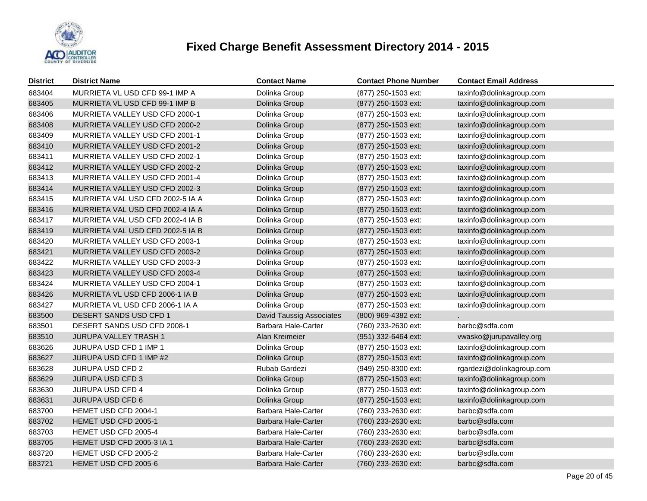

| <b>District</b> | <b>District Name</b>             | <b>Contact Name</b>             | <b>Contact Phone Number</b> | <b>Contact Email Address</b> |
|-----------------|----------------------------------|---------------------------------|-----------------------------|------------------------------|
| 683404          | MURRIETA VL USD CFD 99-1 IMP A   | Dolinka Group                   | (877) 250-1503 ext:         | taxinfo@dolinkagroup.com     |
| 683405          | MURRIETA VL USD CFD 99-1 IMP B   | Dolinka Group                   | (877) 250-1503 ext:         | taxinfo@dolinkagroup.com     |
| 683406          | MURRIETA VALLEY USD CFD 2000-1   | Dolinka Group                   | (877) 250-1503 ext:         | taxinfo@dolinkagroup.com     |
| 683408          | MURRIETA VALLEY USD CFD 2000-2   | Dolinka Group                   | (877) 250-1503 ext:         | taxinfo@dolinkagroup.com     |
| 683409          | MURRIETA VALLEY USD CFD 2001-1   | Dolinka Group                   | (877) 250-1503 ext:         | taxinfo@dolinkagroup.com     |
| 683410          | MURRIETA VALLEY USD CFD 2001-2   | Dolinka Group                   | (877) 250-1503 ext:         | taxinfo@dolinkagroup.com     |
| 683411          | MURRIETA VALLEY USD CFD 2002-1   | Dolinka Group                   | (877) 250-1503 ext:         | taxinfo@dolinkagroup.com     |
| 683412          | MURRIETA VALLEY USD CFD 2002-2   | Dolinka Group                   | (877) 250-1503 ext:         | taxinfo@dolinkagroup.com     |
| 683413          | MURRIETA VALLEY USD CFD 2001-4   | Dolinka Group                   | (877) 250-1503 ext:         | taxinfo@dolinkagroup.com     |
| 683414          | MURRIETA VALLEY USD CFD 2002-3   | Dolinka Group                   | $(877)$ 250-1503 ext:       | taxinfo@dolinkagroup.com     |
| 683415          | MURRIETA VAL USD CFD 2002-5 IA A | Dolinka Group                   | (877) 250-1503 ext:         | taxinfo@dolinkagroup.com     |
| 683416          | MURRIETA VAL USD CFD 2002-4 IA A | Dolinka Group                   | (877) 250-1503 ext:         | taxinfo@dolinkagroup.com     |
| 683417          | MURRIETA VAL USD CFD 2002-4 IA B | Dolinka Group                   | (877) 250-1503 ext:         | taxinfo@dolinkagroup.com     |
| 683419          | MURRIETA VAL USD CFD 2002-5 IA B | Dolinka Group                   | (877) 250-1503 ext:         | taxinfo@dolinkagroup.com     |
| 683420          | MURRIETA VALLEY USD CFD 2003-1   | Dolinka Group                   | (877) 250-1503 ext:         | taxinfo@dolinkagroup.com     |
| 683421          | MURRIETA VALLEY USD CFD 2003-2   | Dolinka Group                   | (877) 250-1503 ext:         | taxinfo@dolinkagroup.com     |
| 683422          | MURRIETA VALLEY USD CFD 2003-3   | Dolinka Group                   | (877) 250-1503 ext:         | taxinfo@dolinkagroup.com     |
| 683423          | MURRIETA VALLEY USD CFD 2003-4   | Dolinka Group                   | (877) 250-1503 ext:         | taxinfo@dolinkagroup.com     |
| 683424          | MURRIETA VALLEY USD CFD 2004-1   | Dolinka Group                   | (877) 250-1503 ext:         | taxinfo@dolinkagroup.com     |
| 683426          | MURRIETA VL USD CFD 2006-1 IA B  | Dolinka Group                   | (877) 250-1503 ext:         | taxinfo@dolinkagroup.com     |
| 683427          | MURRIETA VL USD CFD 2006-1 IA A  | Dolinka Group                   | (877) 250-1503 ext:         | taxinfo@dolinkagroup.com     |
| 683500          | DESERT SANDS USD CFD 1           | <b>David Taussig Associates</b> | (800) 969-4382 ext:         |                              |
| 683501          | DESERT SANDS USD CFD 2008-1      | <b>Barbara Hale-Carter</b>      | (760) 233-2630 ext:         | barbc@sdfa.com               |
| 683510          | <b>JURUPA VALLEY TRASH 1</b>     | Alan Kreimeier                  | (951) 332-6464 ext:         | vwasko@jurupavalley.org      |
| 683626          | JURUPA USD CFD 1 IMP 1           | Dolinka Group                   | (877) 250-1503 ext:         | taxinfo@dolinkagroup.com     |
| 683627          | JURUPA USD CFD 1 IMP #2          | Dolinka Group                   | (877) 250-1503 ext:         | taxinfo@dolinkagroup.com     |
| 683628          | <b>JURUPA USD CFD 2</b>          | Rubab Gardezi                   | (949) 250-8300 ext:         | rgardezi@dolinkagroup.com    |
| 683629          | JURUPA USD CFD 3                 | Dolinka Group                   | (877) 250-1503 ext:         | taxinfo@dolinkagroup.com     |
| 683630          | <b>JURUPA USD CFD 4</b>          | Dolinka Group                   | (877) 250-1503 ext:         | taxinfo@dolinkagroup.com     |
| 683631          | JURUPA USD CFD 6                 | Dolinka Group                   | (877) 250-1503 ext:         | taxinfo@dolinkagroup.com     |
| 683700          | HEMET USD CFD 2004-1             | <b>Barbara Hale-Carter</b>      | (760) 233-2630 ext:         | barbc@sdfa.com               |
| 683702          | HEMET USD CFD 2005-1             | <b>Barbara Hale-Carter</b>      | (760) 233-2630 ext:         | barbc@sdfa.com               |
| 683703          | HEMET USD CFD 2005-4             | Barbara Hale-Carter             | (760) 233-2630 ext:         | barbc@sdfa.com               |
| 683705          | HEMET USD CFD 2005-3 IA 1        | <b>Barbara Hale-Carter</b>      | (760) 233-2630 ext:         | barbc@sdfa.com               |
| 683720          | HEMET USD CFD 2005-2             | Barbara Hale-Carter             | (760) 233-2630 ext:         | barbc@sdfa.com               |
| 683721          | HEMET USD CFD 2005-6             | Barbara Hale-Carter             | (760) 233-2630 ext:         | barbc@sdfa.com               |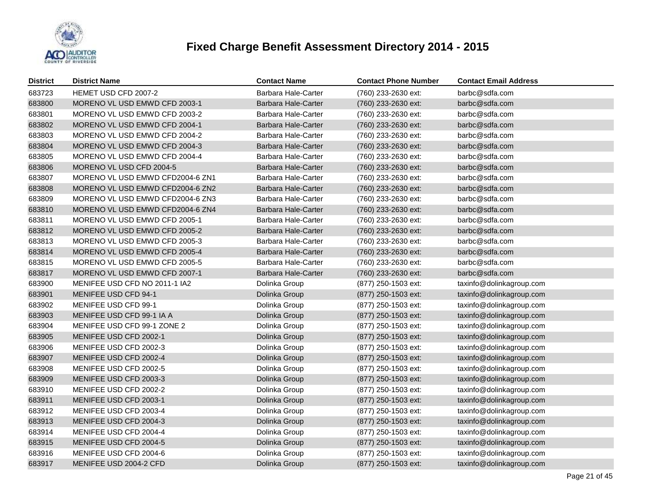

| <b>District</b> | <b>District Name</b>             | <b>Contact Name</b>        | <b>Contact Phone Number</b> | <b>Contact Email Address</b> |
|-----------------|----------------------------------|----------------------------|-----------------------------|------------------------------|
| 683723          | HEMET USD CFD 2007-2             | Barbara Hale-Carter        | (760) 233-2630 ext:         | barbc@sdfa.com               |
| 683800          | MORENO VL USD EMWD CFD 2003-1    | <b>Barbara Hale-Carter</b> | (760) 233-2630 ext:         | barbc@sdfa.com               |
| 683801          | MORENO VL USD EMWD CFD 2003-2    | Barbara Hale-Carter        | (760) 233-2630 ext:         | barbc@sdfa.com               |
| 683802          | MORENO VL USD EMWD CFD 2004-1    | Barbara Hale-Carter        | (760) 233-2630 ext:         | barbc@sdfa.com               |
| 683803          | MORENO VL USD EMWD CFD 2004-2    | Barbara Hale-Carter        | (760) 233-2630 ext:         | barbc@sdfa.com               |
| 683804          | MORENO VL USD EMWD CFD 2004-3    | Barbara Hale-Carter        | (760) 233-2630 ext:         | barbc@sdfa.com               |
| 683805          | MORENO VL USD EMWD CFD 2004-4    | Barbara Hale-Carter        | (760) 233-2630 ext:         | barbc@sdfa.com               |
| 683806          | MORENO VL USD CFD 2004-5         | Barbara Hale-Carter        | (760) 233-2630 ext:         | barbc@sdfa.com               |
| 683807          | MORENO VL USD EMWD CFD2004-6 ZN1 | Barbara Hale-Carter        | (760) 233-2630 ext:         | barbc@sdfa.com               |
| 683808          | MORENO VL USD EMWD CFD2004-6 ZN2 | Barbara Hale-Carter        | (760) 233-2630 ext:         | barbc@sdfa.com               |
| 683809          | MORENO VL USD EMWD CFD2004-6 ZN3 | Barbara Hale-Carter        | (760) 233-2630 ext:         | barbc@sdfa.com               |
| 683810          | MORENO VL USD EMWD CFD2004-6 ZN4 | Barbara Hale-Carter        | (760) 233-2630 ext:         | barbc@sdfa.com               |
| 683811          | MORENO VL USD EMWD CFD 2005-1    | Barbara Hale-Carter        | (760) 233-2630 ext:         | barbc@sdfa.com               |
| 683812          | MORENO VL USD EMWD CFD 2005-2    | Barbara Hale-Carter        | (760) 233-2630 ext:         | barbc@sdfa.com               |
| 683813          | MORENO VL USD EMWD CFD 2005-3    | Barbara Hale-Carter        | (760) 233-2630 ext:         | barbc@sdfa.com               |
| 683814          | MORENO VL USD EMWD CFD 2005-4    | <b>Barbara Hale-Carter</b> | (760) 233-2630 ext:         | barbc@sdfa.com               |
| 683815          | MORENO VL USD EMWD CFD 2005-5    | Barbara Hale-Carter        | (760) 233-2630 ext:         | barbc@sdfa.com               |
| 683817          | MORENO VL USD EMWD CFD 2007-1    | Barbara Hale-Carter        | (760) 233-2630 ext:         | barbc@sdfa.com               |
| 683900          | MENIFEE USD CFD NO 2011-1 IA2    | Dolinka Group              | (877) 250-1503 ext:         | taxinfo@dolinkagroup.com     |
| 683901          | MENIFEE USD CFD 94-1             | Dolinka Group              | $(877)$ 250-1503 ext:       | taxinfo@dolinkagroup.com     |
| 683902          | MENIFEE USD CFD 99-1             | Dolinka Group              | (877) 250-1503 ext:         | taxinfo@dolinkagroup.com     |
| 683903          | MENIFEE USD CFD 99-1 IA A        | Dolinka Group              | (877) 250-1503 ext:         | taxinfo@dolinkagroup.com     |
| 683904          | MENIFEE USD CFD 99-1 ZONE 2      | Dolinka Group              | (877) 250-1503 ext:         | taxinfo@dolinkagroup.com     |
| 683905          | MENIFEE USD CFD 2002-1           | Dolinka Group              | (877) 250-1503 ext:         | taxinfo@dolinkagroup.com     |
| 683906          | MENIFEE USD CFD 2002-3           | Dolinka Group              | (877) 250-1503 ext:         | taxinfo@dolinkagroup.com     |
| 683907          | MENIFEE USD CFD 2002-4           | Dolinka Group              | (877) 250-1503 ext:         | taxinfo@dolinkagroup.com     |
| 683908          | MENIFEE USD CFD 2002-5           | Dolinka Group              | (877) 250-1503 ext:         | taxinfo@dolinkagroup.com     |
| 683909          | MENIFEE USD CFD 2003-3           | Dolinka Group              | (877) 250-1503 ext:         | taxinfo@dolinkagroup.com     |
| 683910          | MENIFEE USD CFD 2002-2           | Dolinka Group              | (877) 250-1503 ext:         | taxinfo@dolinkagroup.com     |
| 683911          | MENIFEE USD CFD 2003-1           | Dolinka Group              | (877) 250-1503 ext:         | taxinfo@dolinkagroup.com     |
| 683912          | MENIFEE USD CFD 2003-4           | Dolinka Group              | (877) 250-1503 ext:         | taxinfo@dolinkagroup.com     |
| 683913          | MENIFEE USD CFD 2004-3           | Dolinka Group              | (877) 250-1503 ext:         | taxinfo@dolinkagroup.com     |
| 683914          | MENIFEE USD CFD 2004-4           | Dolinka Group              | (877) 250-1503 ext:         | taxinfo@dolinkagroup.com     |
| 683915          | MENIFEE USD CFD 2004-5           | Dolinka Group              | (877) 250-1503 ext:         | taxinfo@dolinkagroup.com     |
| 683916          | MENIFEE USD CFD 2004-6           | Dolinka Group              | (877) 250-1503 ext:         | taxinfo@dolinkagroup.com     |
| 683917          | MENIFEE USD 2004-2 CFD           | Dolinka Group              | (877) 250-1503 ext:         | taxinfo@dolinkagroup.com     |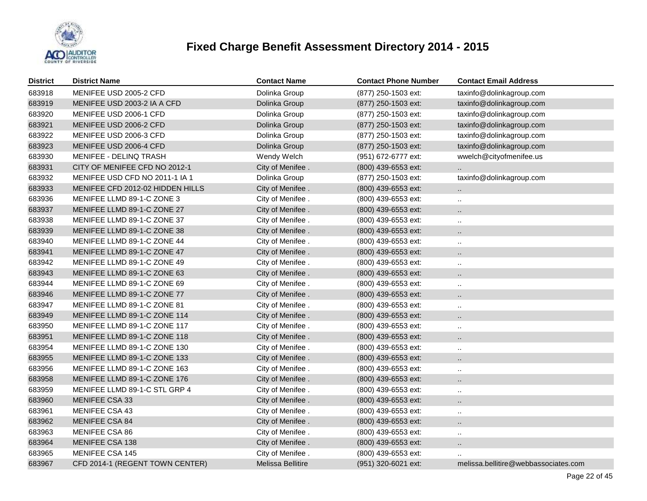

| <b>District</b> | <b>District Name</b>             | <b>Contact Name</b> | <b>Contact Phone Number</b> | <b>Contact Email Address</b>         |
|-----------------|----------------------------------|---------------------|-----------------------------|--------------------------------------|
| 683918          | MENIFEE USD 2005-2 CFD           | Dolinka Group       | (877) 250-1503 ext:         | taxinfo@dolinkagroup.com             |
| 683919          | MENIFEE USD 2003-2 IA A CFD      | Dolinka Group       | (877) 250-1503 ext:         | taxinfo@dolinkagroup.com             |
| 683920          | MENIFEE USD 2006-1 CFD           | Dolinka Group       | (877) 250-1503 ext:         | taxinfo@dolinkagroup.com             |
| 683921          | MENIFEE USD 2006-2 CFD           | Dolinka Group       | (877) 250-1503 ext:         | taxinfo@dolinkagroup.com             |
| 683922          | MENIFEE USD 2006-3 CFD           | Dolinka Group       | (877) 250-1503 ext:         | taxinfo@dolinkagroup.com             |
| 683923          | MENIFEE USD 2006-4 CFD           | Dolinka Group       | (877) 250-1503 ext:         | taxinfo@dolinkagroup.com             |
| 683930          | <b>MENIFEE - DELINQ TRASH</b>    | Wendy Welch         | (951) 672-6777 ext:         | wwelch@cityofmenifee.us              |
| 683931          | CITY OF MENIFEE CFD NO 2012-1    | City of Menifee.    | (800) 439-6553 ext:         |                                      |
| 683932          | MENIFEE USD CFD NO 2011-1 IA 1   | Dolinka Group       | (877) 250-1503 ext:         | taxinfo@dolinkagroup.com             |
| 683933          | MENIFEE CFD 2012-02 HIDDEN HILLS | City of Menifee.    | (800) 439-6553 ext:         | $\ddot{\phantom{1}}$                 |
| 683936          | MENIFEE LLMD 89-1-C ZONE 3       | City of Menifee.    | (800) 439-6553 ext:         | $\ddotsc$                            |
| 683937          | MENIFEE LLMD 89-1-C ZONE 27      | City of Menifee.    | (800) 439-6553 ext:         |                                      |
| 683938          | MENIFEE LLMD 89-1-C ZONE 37      | City of Menifee.    | (800) 439-6553 ext:         | $\ldots$                             |
| 683939          | MENIFEE LLMD 89-1-C ZONE 38      | City of Menifee.    | (800) 439-6553 ext:         | ٠.                                   |
| 683940          | MENIFEE LLMD 89-1-C ZONE 44      | City of Menifee.    | (800) 439-6553 ext:         | $\ddot{\phantom{a}}$                 |
| 683941          | MENIFEE LLMD 89-1-C ZONE 47      | City of Menifee.    | $(800)$ 439-6553 ext:       | н.                                   |
| 683942          | MENIFEE LLMD 89-1-C ZONE 49      | City of Menifee.    | (800) 439-6553 ext:         | $\cdots$                             |
| 683943          | MENIFEE LLMD 89-1-C ZONE 63      | City of Menifee.    | (800) 439-6553 ext:         | ٠.                                   |
| 683944          | MENIFEE LLMD 89-1-C ZONE 69      | City of Menifee.    | (800) 439-6553 ext:         | $\ddot{\phantom{a}}$                 |
| 683946          | MENIFEE LLMD 89-1-C ZONE 77      | City of Menifee.    | (800) 439-6553 ext:         | ٠.                                   |
| 683947          | MENIFEE LLMD 89-1-C ZONE 81      | City of Menifee.    | (800) 439-6553 ext:         | $\cdot$ .                            |
| 683949          | MENIFEE LLMD 89-1-C ZONE 114     | City of Menifee.    | (800) 439-6553 ext:         | ٠.                                   |
| 683950          | MENIFEE LLMD 89-1-C ZONE 117     | City of Menifee.    | (800) 439-6553 ext:         | $\ddotsc$                            |
| 683951          | MENIFEE LLMD 89-1-C ZONE 118     | City of Menifee.    | (800) 439-6553 ext:         | $\ddot{\phantom{a}}$                 |
| 683954          | MENIFEE LLMD 89-1-C ZONE 130     | City of Menifee.    | (800) 439-6553 ext:         | ٠.                                   |
| 683955          | MENIFEE LLMD 89-1-C ZONE 133     | City of Menifee.    | $(800)$ 439-6553 ext:       | Ω.                                   |
| 683956          | MENIFEE LLMD 89-1-C ZONE 163     | City of Menifee.    | $(800)$ 439-6553 ext:       | $\ddotsc$                            |
| 683958          | MENIFEE LLMD 89-1-C ZONE 176     | City of Menifee.    | (800) 439-6553 ext:         | Ω.                                   |
| 683959          | MENIFEE LLMD 89-1-C STL GRP 4    | City of Menifee.    | (800) 439-6553 ext:         | $\ddotsc$                            |
| 683960          | <b>MENIFEE CSA 33</b>            | City of Menifee.    | (800) 439-6553 ext:         | Ω.                                   |
| 683961          | MENIFEE CSA 43                   | City of Menifee.    | (800) 439-6553 ext:         | $\ddotsc$                            |
| 683962          | MENIFEE CSA 84                   | City of Menifee.    | $(800)$ 439-6553 ext:       | Ω.                                   |
| 683963          | MENIFEE CSA 86                   | City of Menifee.    | (800) 439-6553 ext:         | $\ldots$                             |
| 683964          | <b>MENIFEE CSA 138</b>           | City of Menifee.    | (800) 439-6553 ext:         | н.                                   |
| 683965          | MENIFEE CSA 145                  | City of Menifee.    | (800) 439-6553 ext:         |                                      |
| 683967          | CFD 2014-1 (REGENT TOWN CENTER)  | Melissa Bellitire   | (951) 320-6021 ext:         | melissa.bellitire@webbassociates.com |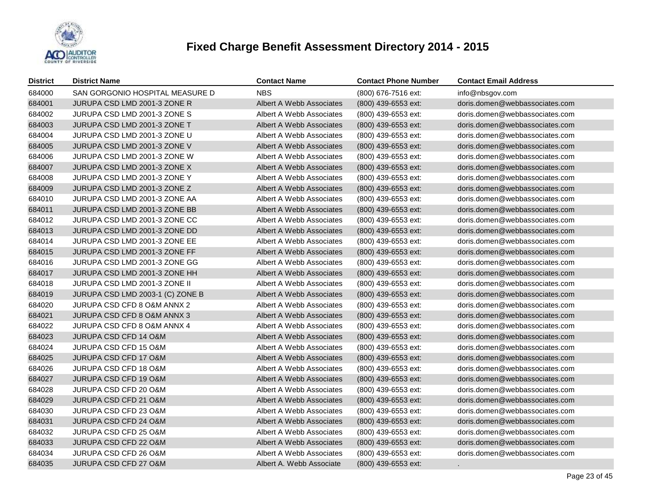

| <b>District</b> | <b>District Name</b>             | <b>Contact Name</b>      | <b>Contact Phone Number</b> | <b>Contact Email Address</b>   |
|-----------------|----------------------------------|--------------------------|-----------------------------|--------------------------------|
| 684000          | SAN GORGONIO HOSPITAL MEASURE D  | <b>NBS</b>               | (800) 676-7516 ext:         | info@nbsgov.com                |
| 684001          | JURUPA CSD LMD 2001-3 ZONE R     | Albert A Webb Associates | (800) 439-6553 ext:         | doris.domen@webbassociates.com |
| 684002          | JURUPA CSD LMD 2001-3 ZONE S     | Albert A Webb Associates | (800) 439-6553 ext:         | doris.domen@webbassociates.com |
| 684003          | JURUPA CSD LMD 2001-3 ZONE T     | Albert A Webb Associates | (800) 439-6553 ext:         | doris.domen@webbassociates.com |
| 684004          | JURUPA CSD LMD 2001-3 ZONE U     | Albert A Webb Associates | (800) 439-6553 ext:         | doris.domen@webbassociates.com |
| 684005          | JURUPA CSD LMD 2001-3 ZONE V     | Albert A Webb Associates | (800) 439-6553 ext:         | doris.domen@webbassociates.com |
| 684006          | JURUPA CSD LMD 2001-3 ZONE W     | Albert A Webb Associates | (800) 439-6553 ext:         | doris.domen@webbassociates.com |
| 684007          | JURUPA CSD LMD 2001-3 ZONE X     | Albert A Webb Associates | (800) 439-6553 ext:         | doris.domen@webbassociates.com |
| 684008          | JURUPA CSD LMD 2001-3 ZONE Y     | Albert A Webb Associates | (800) 439-6553 ext:         | doris.domen@webbassociates.com |
| 684009          | JURUPA CSD LMD 2001-3 ZONE Z     | Albert A Webb Associates | (800) 439-6553 ext:         | doris.domen@webbassociates.com |
| 684010          | JURUPA CSD LMD 2001-3 ZONE AA    | Albert A Webb Associates | (800) 439-6553 ext:         | doris.domen@webbassociates.com |
| 684011          | JURUPA CSD LMD 2001-3 ZONE BB    | Albert A Webb Associates | (800) 439-6553 ext:         | doris.domen@webbassociates.com |
| 684012          | JURUPA CSD LMD 2001-3 ZONE CC    | Albert A Webb Associates | (800) 439-6553 ext:         | doris.domen@webbassociates.com |
| 684013          | JURUPA CSD LMD 2001-3 ZONE DD    | Albert A Webb Associates | (800) 439-6553 ext:         | doris.domen@webbassociates.com |
| 684014          | JURUPA CSD LMD 2001-3 ZONE EE    | Albert A Webb Associates | (800) 439-6553 ext:         | doris.domen@webbassociates.com |
| 684015          | JURUPA CSD LMD 2001-3 ZONE FF    | Albert A Webb Associates | (800) 439-6553 ext:         | doris.domen@webbassociates.com |
| 684016          | JURUPA CSD LMD 2001-3 ZONE GG    | Albert A Webb Associates | (800) 439-6553 ext:         | doris.domen@webbassociates.com |
| 684017          | JURUPA CSD LMD 2001-3 ZONE HH    | Albert A Webb Associates | (800) 439-6553 ext:         | doris.domen@webbassociates.com |
| 684018          | JURUPA CSD LMD 2001-3 ZONE II    | Albert A Webb Associates | (800) 439-6553 ext:         | doris.domen@webbassociates.com |
| 684019          | JURUPA CSD LMD 2003-1 (C) ZONE B | Albert A Webb Associates | (800) 439-6553 ext:         | doris.domen@webbassociates.com |
| 684020          | JURUPA CSD CFD 8 O&M ANNX 2      | Albert A Webb Associates | (800) 439-6553 ext:         | doris.domen@webbassociates.com |
| 684021          | JURUPA CSD CFD 8 O&M ANNX 3      | Albert A Webb Associates | (800) 439-6553 ext:         | doris.domen@webbassociates.com |
| 684022          | JURUPA CSD CFD 8 O&M ANNX 4      | Albert A Webb Associates | (800) 439-6553 ext:         | doris.domen@webbassociates.com |
| 684023          | JURUPA CSD CFD 14 O&M            | Albert A Webb Associates | (800) 439-6553 ext:         | doris.domen@webbassociates.com |
| 684024          | JURUPA CSD CFD 15 O&M            | Albert A Webb Associates | (800) 439-6553 ext:         | doris.domen@webbassociates.com |
| 684025          | JURUPA CSD CFD 17 O&M            | Albert A Webb Associates | (800) 439-6553 ext:         | doris.domen@webbassociates.com |
| 684026          | JURUPA CSD CFD 18 O&M            | Albert A Webb Associates | (800) 439-6553 ext:         | doris.domen@webbassociates.com |
| 684027          | JURUPA CSD CFD 19 O&M            | Albert A Webb Associates | (800) 439-6553 ext:         | doris.domen@webbassociates.com |
| 684028          | JURUPA CSD CFD 20 O&M            | Albert A Webb Associates | (800) 439-6553 ext:         | doris.domen@webbassociates.com |
| 684029          | JURUPA CSD CFD 21 O&M            | Albert A Webb Associates | (800) 439-6553 ext:         | doris.domen@webbassociates.com |
| 684030          | JURUPA CSD CFD 23 O&M            | Albert A Webb Associates | (800) 439-6553 ext:         | doris.domen@webbassociates.com |
| 684031          | JURUPA CSD CFD 24 O&M            | Albert A Webb Associates | (800) 439-6553 ext:         | doris.domen@webbassociates.com |
| 684032          | JURUPA CSD CFD 25 O&M            | Albert A Webb Associates | (800) 439-6553 ext:         | doris.domen@webbassociates.com |
| 684033          | JURUPA CSD CFD 22 O&M            | Albert A Webb Associates | (800) 439-6553 ext:         | doris.domen@webbassociates.com |
| 684034          | <b>JURUPA CSD CFD 26 O&amp;M</b> | Albert A Webb Associates | (800) 439-6553 ext:         | doris.domen@webbassociates.com |
| 684035          | <b>JURUPA CSD CFD 27 O&amp;M</b> | Albert A. Webb Associate | (800) 439-6553 ext:         |                                |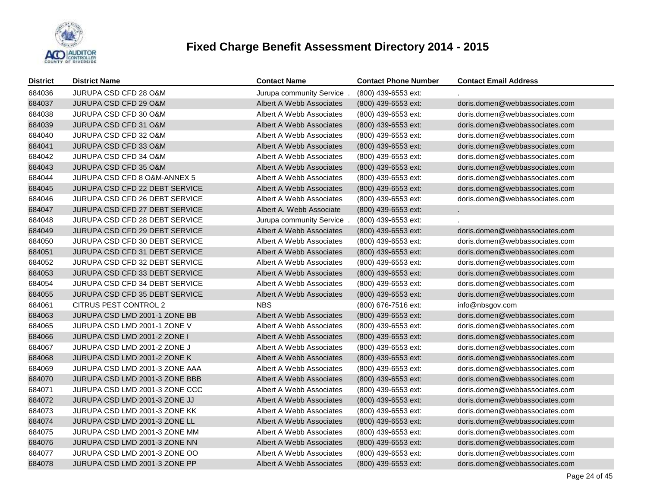

| <b>District</b> | <b>District Name</b>                  | <b>Contact Name</b>       | <b>Contact Phone Number</b> | <b>Contact Email Address</b>   |
|-----------------|---------------------------------------|---------------------------|-----------------------------|--------------------------------|
| 684036          | JURUPA CSD CFD 28 O&M                 | Jurupa community Service. | (800) 439-6553 ext:         |                                |
| 684037          | JURUPA CSD CFD 29 O&M                 | Albert A Webb Associates  | (800) 439-6553 ext:         | doris.domen@webbassociates.com |
| 684038          | JURUPA CSD CFD 30 O&M                 | Albert A Webb Associates  | (800) 439-6553 ext:         | doris.domen@webbassociates.com |
| 684039          | JURUPA CSD CFD 31 O&M                 | Albert A Webb Associates  | (800) 439-6553 ext:         | doris.domen@webbassociates.com |
| 684040          | JURUPA CSD CFD 32 O&M                 | Albert A Webb Associates  | (800) 439-6553 ext:         | doris.domen@webbassociates.com |
| 684041          | JURUPA CSD CFD 33 O&M                 | Albert A Webb Associates  | (800) 439-6553 ext:         | doris.domen@webbassociates.com |
| 684042          | JURUPA CSD CFD 34 O&M                 | Albert A Webb Associates  | (800) 439-6553 ext:         | doris.domen@webbassociates.com |
| 684043          | JURUPA CSD CFD 35 O&M                 | Albert A Webb Associates  | (800) 439-6553 ext:         | doris.domen@webbassociates.com |
| 684044          | JURUPA CSD CFD 8 O&M-ANNEX 5          | Albert A Webb Associates  | (800) 439-6553 ext:         | doris.domen@webbassociates.com |
| 684045          | <b>JURUPA CSD CFD 22 DEBT SERVICE</b> | Albert A Webb Associates  | (800) 439-6553 ext:         | doris.domen@webbassociates.com |
| 684046          | JURUPA CSD CFD 26 DEBT SERVICE        | Albert A Webb Associates  | (800) 439-6553 ext:         | doris.domen@webbassociates.com |
| 684047          | JURUPA CSD CFD 27 DEBT SERVICE        | Albert A. Webb Associate  | (800) 439-6553 ext:         |                                |
| 684048          | JURUPA CSD CFD 28 DEBT SERVICE        | Jurupa community Service. | (800) 439-6553 ext:         |                                |
| 684049          | <b>JURUPA CSD CFD 29 DEBT SERVICE</b> | Albert A Webb Associates  | $(800)$ 439-6553 ext:       | doris.domen@webbassociates.com |
| 684050          | JURUPA CSD CFD 30 DEBT SERVICE        | Albert A Webb Associates  | (800) 439-6553 ext:         | doris.domen@webbassociates.com |
| 684051          | JURUPA CSD CFD 31 DEBT SERVICE        | Albert A Webb Associates  | (800) 439-6553 ext:         | doris.domen@webbassociates.com |
| 684052          | JURUPA CSD CFD 32 DEBT SERVICE        | Albert A Webb Associates  | (800) 439-6553 ext:         | doris.domen@webbassociates.com |
| 684053          | JURUPA CSD CFD 33 DEBT SERVICE        | Albert A Webb Associates  | $(800)$ 439-6553 ext:       | doris.domen@webbassociates.com |
| 684054          | <b>JURUPA CSD CFD 34 DEBT SERVICE</b> | Albert A Webb Associates  | (800) 439-6553 ext:         | doris.domen@webbassociates.com |
| 684055          | JURUPA CSD CFD 35 DEBT SERVICE        | Albert A Webb Associates  | (800) 439-6553 ext:         | doris.domen@webbassociates.com |
| 684061          | CITRUS PEST CONTROL 2                 | <b>NBS</b>                | (800) 676-7516 ext:         | info@nbsgov.com                |
| 684063          | JURUPA CSD LMD 2001-1 ZONE BB         | Albert A Webb Associates  | (800) 439-6553 ext:         | doris.domen@webbassociates.com |
| 684065          | JURUPA CSD LMD 2001-1 ZONE V          | Albert A Webb Associates  | (800) 439-6553 ext:         | doris.domen@webbassociates.com |
| 684066          | JURUPA CSD LMD 2001-2 ZONE I          | Albert A Webb Associates  | (800) 439-6553 ext:         | doris.domen@webbassociates.com |
| 684067          | JURUPA CSD LMD 2001-2 ZONE J          | Albert A Webb Associates  | (800) 439-6553 ext:         | doris.domen@webbassociates.com |
| 684068          | JURUPA CSD LMD 2001-2 ZONE K          | Albert A Webb Associates  | $(800)$ 439-6553 ext:       | doris.domen@webbassociates.com |
| 684069          | JURUPA CSD LMD 2001-3 ZONE AAA        | Albert A Webb Associates  | (800) 439-6553 ext:         | doris.domen@webbassociates.com |
| 684070          | JURUPA CSD LMD 2001-3 ZONE BBB        | Albert A Webb Associates  | (800) 439-6553 ext:         | doris.domen@webbassociates.com |
| 684071          | JURUPA CSD LMD 2001-3 ZONE CCC        | Albert A Webb Associates  | (800) 439-6553 ext:         | doris.domen@webbassociates.com |
| 684072          | JURUPA CSD LMD 2001-3 ZONE JJ         | Albert A Webb Associates  | (800) 439-6553 ext:         | doris.domen@webbassociates.com |
| 684073          | JURUPA CSD LMD 2001-3 ZONE KK         | Albert A Webb Associates  | (800) 439-6553 ext:         | doris.domen@webbassociates.com |
| 684074          | JURUPA CSD LMD 2001-3 ZONE LL         | Albert A Webb Associates  | (800) 439-6553 ext:         | doris.domen@webbassociates.com |
| 684075          | JURUPA CSD LMD 2001-3 ZONE MM         | Albert A Webb Associates  | (800) 439-6553 ext:         | doris.domen@webbassociates.com |
| 684076          | JURUPA CSD LMD 2001-3 ZONE NN         | Albert A Webb Associates  | (800) 439-6553 ext:         | doris.domen@webbassociates.com |
| 684077          | JURUPA CSD LMD 2001-3 ZONE OO         | Albert A Webb Associates  | (800) 439-6553 ext:         | doris.domen@webbassociates.com |
| 684078          | JURUPA CSD LMD 2001-3 ZONE PP         | Albert A Webb Associates  | (800) 439-6553 ext:         | doris.domen@webbassociates.com |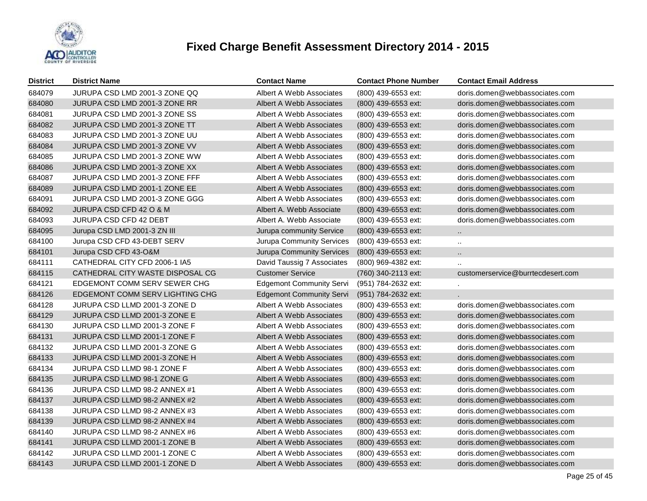

| <b>District</b> | <b>District Name</b>             | <b>Contact Name</b>             | <b>Contact Phone Number</b> | <b>Contact Email Address</b>      |
|-----------------|----------------------------------|---------------------------------|-----------------------------|-----------------------------------|
| 684079          | JURUPA CSD LMD 2001-3 ZONE QQ    | Albert A Webb Associates        | (800) 439-6553 ext:         | doris.domen@webbassociates.com    |
| 684080          | JURUPA CSD LMD 2001-3 ZONE RR    | Albert A Webb Associates        | (800) 439-6553 ext:         | doris.domen@webbassociates.com    |
| 684081          | JURUPA CSD LMD 2001-3 ZONE SS    | Albert A Webb Associates        | (800) 439-6553 ext:         | doris.domen@webbassociates.com    |
| 684082          | JURUPA CSD LMD 2001-3 ZONE TT    | Albert A Webb Associates        | (800) 439-6553 ext:         | doris.domen@webbassociates.com    |
| 684083          | JURUPA CSD LMD 2001-3 ZONE UU    | Albert A Webb Associates        | (800) 439-6553 ext:         | doris.domen@webbassociates.com    |
| 684084          | JURUPA CSD LMD 2001-3 ZONE VV    | Albert A Webb Associates        | (800) 439-6553 ext:         | doris.domen@webbassociates.com    |
| 684085          | JURUPA CSD LMD 2001-3 ZONE WW    | Albert A Webb Associates        | (800) 439-6553 ext:         | doris.domen@webbassociates.com    |
| 684086          | JURUPA CSD LMD 2001-3 ZONE XX    | Albert A Webb Associates        | (800) 439-6553 ext:         | doris.domen@webbassociates.com    |
| 684087          | JURUPA CSD LMD 2001-3 ZONE FFF   | Albert A Webb Associates        | (800) 439-6553 ext:         | doris.domen@webbassociates.com    |
| 684089          | JURUPA CSD LMD 2001-1 ZONE EE    | Albert A Webb Associates        | (800) 439-6553 ext:         | doris.domen@webbassociates.com    |
| 684091          | JURUPA CSD LMD 2001-3 ZONE GGG   | Albert A Webb Associates        | (800) 439-6553 ext:         | doris.domen@webbassociates.com    |
| 684092          | JURUPA CSD CFD 42 O & M          | Albert A. Webb Associate        | (800) 439-6553 ext:         | doris.domen@webbassociates.com    |
| 684093          | JURUPA CSD CFD 42 DEBT           | Albert A. Webb Associate        | (800) 439-6553 ext:         | doris.domen@webbassociates.com    |
| 684095          | Jurupa CSD LMD 2001-3 ZN III     | Jurupa community Service        | $(800)$ 439-6553 ext:       | $\ddotsc$                         |
| 684100          | Jurupa CSD CFD 43-DEBT SERV      | Jurupa Community Services       | (800) 439-6553 ext:         | $\ddotsc$                         |
| 684101          | Jurupa CSD CFD 43-O&M            | Jurupa Community Services       | (800) 439-6553 ext:         | $\ddot{\phantom{a}}$              |
| 684111          | CATHEDRAL CITY CFD 2006-1 IA5    | David Taussig 7 Associates      | (800) 969-4382 ext:         |                                   |
| 684115          | CATHEDRAL CITY WASTE DISPOSAL CG | <b>Customer Service</b>         | (760) 340-2113 ext:         | customerservice@burrtecdesert.com |
| 684121          | EDGEMONT COMM SERV SEWER CHG     | <b>Edgemont Community Servi</b> | (951) 784-2632 ext:         |                                   |
| 684126          | EDGEMONT COMM SERV LIGHTING CHG  | <b>Edgemont Community Servi</b> | (951) 784-2632 ext:         |                                   |
| 684128          | JURUPA CSD LLMD 2001-3 ZONE D    | Albert A Webb Associates        | (800) 439-6553 ext:         | doris.domen@webbassociates.com    |
| 684129          | JURUPA CSD LLMD 2001-3 ZONE E    | Albert A Webb Associates        | (800) 439-6553 ext:         | doris.domen@webbassociates.com    |
| 684130          | JURUPA CSD LLMD 2001-3 ZONE F    | Albert A Webb Associates        | (800) 439-6553 ext:         | doris.domen@webbassociates.com    |
| 684131          | JURUPA CSD LLMD 2001-1 ZONE F    | Albert A Webb Associates        | (800) 439-6553 ext:         | doris.domen@webbassociates.com    |
| 684132          | JURUPA CSD LLMD 2001-3 ZONE G    | Albert A Webb Associates        | (800) 439-6553 ext:         | doris.domen@webbassociates.com    |
| 684133          | JURUPA CSD LLMD 2001-3 ZONE H    | Albert A Webb Associates        | (800) 439-6553 ext:         | doris.domen@webbassociates.com    |
| 684134          | JURUPA CSD LLMD 98-1 ZONE F      | Albert A Webb Associates        | (800) 439-6553 ext:         | doris.domen@webbassociates.com    |
| 684135          | JURUPA CSD LLMD 98-1 ZONE G      | Albert A Webb Associates        | (800) 439-6553 ext:         | doris.domen@webbassociates.com    |
| 684136          | JURUPA CSD LLMD 98-2 ANNEX #1    | Albert A Webb Associates        | (800) 439-6553 ext:         | doris.domen@webbassociates.com    |
| 684137          | JURUPA CSD LLMD 98-2 ANNEX #2    | Albert A Webb Associates        | (800) 439-6553 ext:         | doris.domen@webbassociates.com    |
| 684138          | JURUPA CSD LLMD 98-2 ANNEX #3    | Albert A Webb Associates        | (800) 439-6553 ext:         | doris.domen@webbassociates.com    |
| 684139          | JURUPA CSD LLMD 98-2 ANNEX #4    | Albert A Webb Associates        | (800) 439-6553 ext:         | doris.domen@webbassociates.com    |
| 684140          | JURUPA CSD LLMD 98-2 ANNEX #6    | Albert A Webb Associates        | (800) 439-6553 ext:         | doris.domen@webbassociates.com    |
| 684141          | JURUPA CSD LLMD 2001-1 ZONE B    | Albert A Webb Associates        | (800) 439-6553 ext:         | doris.domen@webbassociates.com    |
| 684142          | JURUPA CSD LLMD 2001-1 ZONE C    | Albert A Webb Associates        | (800) 439-6553 ext:         | doris.domen@webbassociates.com    |
| 684143          | JURUPA CSD LLMD 2001-1 ZONE D    | Albert A Webb Associates        | (800) 439-6553 ext:         | doris.domen@webbassociates.com    |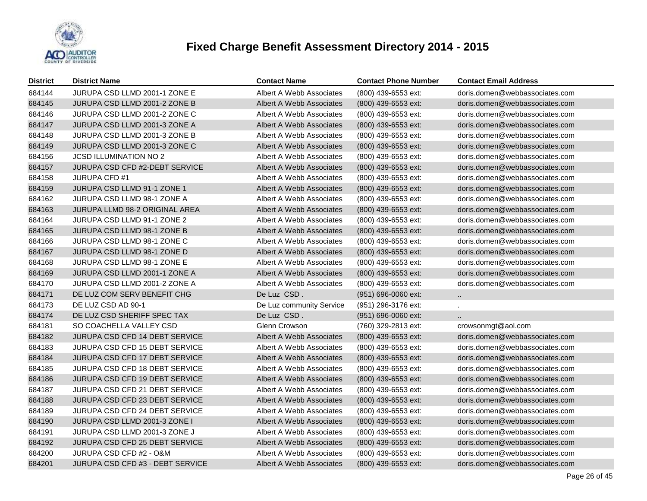

| <b>District</b> | <b>District Name</b>                  | <b>Contact Name</b>      | <b>Contact Phone Number</b> | <b>Contact Email Address</b>   |
|-----------------|---------------------------------------|--------------------------|-----------------------------|--------------------------------|
| 684144          | JURUPA CSD LLMD 2001-1 ZONE E         | Albert A Webb Associates | (800) 439-6553 ext:         | doris.domen@webbassociates.com |
| 684145          | JURUPA CSD LLMD 2001-2 ZONE B         | Albert A Webb Associates | (800) 439-6553 ext:         | doris.domen@webbassociates.com |
| 684146          | JURUPA CSD LLMD 2001-2 ZONE C         | Albert A Webb Associates | (800) 439-6553 ext:         | doris.domen@webbassociates.com |
| 684147          | JURUPA CSD LLMD 2001-3 ZONE A         | Albert A Webb Associates | (800) 439-6553 ext:         | doris.domen@webbassociates.com |
| 684148          | JURUPA CSD LLMD 2001-3 ZONE B         | Albert A Webb Associates | (800) 439-6553 ext:         | doris.domen@webbassociates.com |
| 684149          | JURUPA CSD LLMD 2001-3 ZONE C         | Albert A Webb Associates | (800) 439-6553 ext:         | doris.domen@webbassociates.com |
| 684156          | <b>JCSD ILLUMINATION NO 2</b>         | Albert A Webb Associates | (800) 439-6553 ext:         | doris.domen@webbassociates.com |
| 684157          | JURUPA CSD CFD #2-DEBT SERVICE        | Albert A Webb Associates | (800) 439-6553 ext:         | doris.domen@webbassociates.com |
| 684158          | <b>JURUPA CFD #1</b>                  | Albert A Webb Associates | (800) 439-6553 ext:         | doris.domen@webbassociates.com |
| 684159          | JURUPA CSD LLMD 91-1 ZONE 1           | Albert A Webb Associates | (800) 439-6553 ext:         | doris.domen@webbassociates.com |
| 684162          | JURUPA CSD LLMD 98-1 ZONE A           | Albert A Webb Associates | (800) 439-6553 ext:         | doris.domen@webbassociates.com |
| 684163          | JURUPA LLMD 98-2 ORIGINAL AREA        | Albert A Webb Associates | (800) 439-6553 ext:         | doris.domen@webbassociates.com |
| 684164          | JURUPA CSD LLMD 91-1 ZONE 2           | Albert A Webb Associates | (800) 439-6553 ext:         | doris.domen@webbassociates.com |
| 684165          | JURUPA CSD LLMD 98-1 ZONE B           | Albert A Webb Associates | (800) 439-6553 ext:         | doris.domen@webbassociates.com |
| 684166          | JURUPA CSD LLMD 98-1 ZONE C           | Albert A Webb Associates | (800) 439-6553 ext:         | doris.domen@webbassociates.com |
| 684167          | JURUPA CSD LLMD 98-1 ZONE D           | Albert A Webb Associates | (800) 439-6553 ext:         | doris.domen@webbassociates.com |
| 684168          | JURUPA CSD LLMD 98-1 ZONE E           | Albert A Webb Associates | (800) 439-6553 ext:         | doris.domen@webbassociates.com |
| 684169          | JURUPA CSD LLMD 2001-1 ZONE A         | Albert A Webb Associates | (800) 439-6553 ext:         | doris.domen@webbassociates.com |
| 684170          | JURUPA CSD LLMD 2001-2 ZONE A         | Albert A Webb Associates | (800) 439-6553 ext:         | doris.domen@webbassociates.com |
| 684171          | DE LUZ COM SERV BENEFIT CHG           | De Luz CSD.              | (951) 696-0060 ext:         | $\sim$                         |
| 684173          | DE LUZ CSD AD 90-1                    | De Luz community Service | (951) 296-3176 ext:         |                                |
| 684174          | DE LUZ CSD SHERIFF SPEC TAX           | De Luz CSD.              | (951) 696-0060 ext:         | $\ddotsc$                      |
| 684181          | SO COACHELLA VALLEY CSD               | Glenn Crowson            | (760) 329-2813 ext:         | crowsonmgt@aol.com             |
| 684182          | JURUPA CSD CFD 14 DEBT SERVICE        | Albert A Webb Associates | (800) 439-6553 ext:         | doris.domen@webbassociates.com |
| 684183          | JURUPA CSD CFD 15 DEBT SERVICE        | Albert A Webb Associates | (800) 439-6553 ext:         | doris.domen@webbassociates.com |
| 684184          | JURUPA CSD CFD 17 DEBT SERVICE        | Albert A Webb Associates | (800) 439-6553 ext:         | doris.domen@webbassociates.com |
| 684185          | <b>JURUPA CSD CFD 18 DEBT SERVICE</b> | Albert A Webb Associates | (800) 439-6553 ext:         | doris.domen@webbassociates.com |
| 684186          | JURUPA CSD CFD 19 DEBT SERVICE        | Albert A Webb Associates | (800) 439-6553 ext:         | doris.domen@webbassociates.com |
| 684187          | JURUPA CSD CFD 21 DEBT SERVICE        | Albert A Webb Associates | (800) 439-6553 ext:         | doris.domen@webbassociates.com |
| 684188          | JURUPA CSD CFD 23 DEBT SERVICE        | Albert A Webb Associates | (800) 439-6553 ext:         | doris.domen@webbassociates.com |
| 684189          | JURUPA CSD CFD 24 DEBT SERVICE        | Albert A Webb Associates | (800) 439-6553 ext:         | doris.domen@webbassociates.com |
| 684190          | JURUPA CSD LLMD 2001-3 ZONE I         | Albert A Webb Associates | (800) 439-6553 ext:         | doris.domen@webbassociates.com |
| 684191          | JURUPA CSD LLMD 2001-3 ZONE J         | Albert A Webb Associates | (800) 439-6553 ext:         | doris.domen@webbassociates.com |
| 684192          | JURUPA CSD CFD 25 DEBT SERVICE        | Albert A Webb Associates | (800) 439-6553 ext:         | doris.domen@webbassociates.com |
| 684200          | JURUPA CSD CFD #2 - O&M               | Albert A Webb Associates | (800) 439-6553 ext:         | doris.domen@webbassociates.com |
| 684201          | JURUPA CSD CFD #3 - DEBT SERVICE      | Albert A Webb Associates | (800) 439-6553 ext:         | doris.domen@webbassociates.com |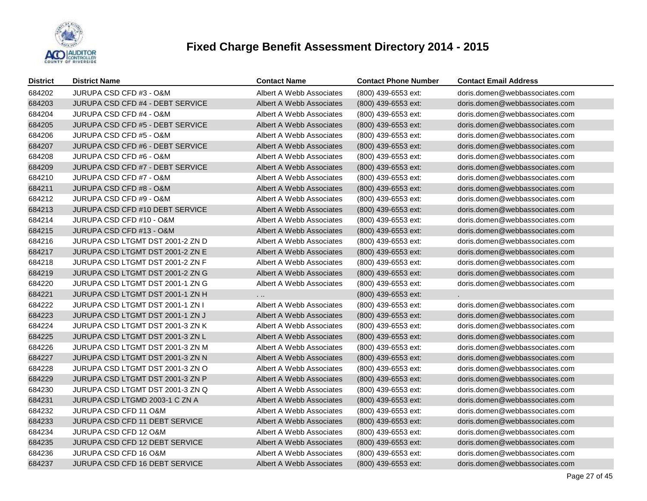

| <b>District</b> | <b>District Name</b>             | <b>Contact Name</b>      | <b>Contact Phone Number</b> | <b>Contact Email Address</b>   |
|-----------------|----------------------------------|--------------------------|-----------------------------|--------------------------------|
| 684202          | JURUPA CSD CFD #3 - O&M          | Albert A Webb Associates | (800) 439-6553 ext:         | doris.domen@webbassociates.com |
| 684203          | JURUPA CSD CFD #4 - DEBT SERVICE | Albert A Webb Associates | (800) 439-6553 ext:         | doris.domen@webbassociates.com |
| 684204          | JURUPA CSD CFD #4 - O&M          | Albert A Webb Associates | (800) 439-6553 ext:         | doris.domen@webbassociates.com |
| 684205          | JURUPA CSD CFD #5 - DEBT SERVICE | Albert A Webb Associates | (800) 439-6553 ext:         | doris.domen@webbassociates.com |
| 684206          | JURUPA CSD CFD #5 - O&M          | Albert A Webb Associates | (800) 439-6553 ext:         | doris.domen@webbassociates.com |
| 684207          | JURUPA CSD CFD #6 - DEBT SERVICE | Albert A Webb Associates | (800) 439-6553 ext:         | doris.domen@webbassociates.com |
| 684208          | JURUPA CSD CFD #6 - O&M          | Albert A Webb Associates | (800) 439-6553 ext:         | doris.domen@webbassociates.com |
| 684209          | JURUPA CSD CFD #7 - DEBT SERVICE | Albert A Webb Associates | (800) 439-6553 ext:         | doris.domen@webbassociates.com |
| 684210          | JURUPA CSD CFD #7 - O&M          | Albert A Webb Associates | (800) 439-6553 ext:         | doris.domen@webbassociates.com |
| 684211          | JURUPA CSD CFD #8 - O&M          | Albert A Webb Associates | (800) 439-6553 ext:         | doris.domen@webbassociates.com |
| 684212          | JURUPA CSD CFD #9 - O&M          | Albert A Webb Associates | (800) 439-6553 ext:         | doris.domen@webbassociates.com |
| 684213          | JURUPA CSD CFD #10 DEBT SERVICE  | Albert A Webb Associates | (800) 439-6553 ext:         | doris.domen@webbassociates.com |
| 684214          | JURUPA CSD CFD #10 - O&M         | Albert A Webb Associates | (800) 439-6553 ext:         | doris.domen@webbassociates.com |
| 684215          | JURUPA CSD CFD #13 - O&M         | Albert A Webb Associates | (800) 439-6553 ext:         | doris.domen@webbassociates.com |
| 684216          | JURUPA CSD LTGMT DST 2001-2 ZN D | Albert A Webb Associates | (800) 439-6553 ext:         | doris.domen@webbassociates.com |
| 684217          | JURUPA CSD LTGMT DST 2001-2 ZN E | Albert A Webb Associates | (800) 439-6553 ext:         | doris.domen@webbassociates.com |
| 684218          | JURUPA CSD LTGMT DST 2001-2 ZN F | Albert A Webb Associates | (800) 439-6553 ext:         | doris.domen@webbassociates.com |
| 684219          | JURUPA CSD LTGMT DST 2001-2 ZN G | Albert A Webb Associates | (800) 439-6553 ext:         | doris.domen@webbassociates.com |
| 684220          | JURUPA CSD LTGMT DST 2001-1 ZN G | Albert A Webb Associates | (800) 439-6553 ext:         | doris.domen@webbassociates.com |
| 684221          | JURUPA CSD LTGMT DST 2001-1 ZN H | $\ldots$                 | (800) 439-6553 ext:         |                                |
| 684222          | JURUPA CSD LTGMT DST 2001-1 ZN I | Albert A Webb Associates | (800) 439-6553 ext:         | doris.domen@webbassociates.com |
| 684223          | JURUPA CSD LTGMT DST 2001-1 ZN J | Albert A Webb Associates | (800) 439-6553 ext:         | doris.domen@webbassociates.com |
| 684224          | JURUPA CSD LTGMT DST 2001-3 ZN K | Albert A Webb Associates | (800) 439-6553 ext:         | doris.domen@webbassociates.com |
| 684225          | JURUPA CSD LTGMT DST 2001-3 ZN L | Albert A Webb Associates | (800) 439-6553 ext:         | doris.domen@webbassociates.com |
| 684226          | JURUPA CSD LTGMT DST 2001-3 ZN M | Albert A Webb Associates | (800) 439-6553 ext:         | doris.domen@webbassociates.com |
| 684227          | JURUPA CSD LTGMT DST 2001-3 ZN N | Albert A Webb Associates | (800) 439-6553 ext:         | doris.domen@webbassociates.com |
| 684228          | JURUPA CSD LTGMT DST 2001-3 ZN O | Albert A Webb Associates | (800) 439-6553 ext:         | doris.domen@webbassociates.com |
| 684229          | JURUPA CSD LTGMT DST 2001-3 ZN P | Albert A Webb Associates | (800) 439-6553 ext:         | doris.domen@webbassociates.com |
| 684230          | JURUPA CSD LTGMT DST 2001-3 ZN Q | Albert A Webb Associates | (800) 439-6553 ext:         | doris.domen@webbassociates.com |
| 684231          | JURUPA CSD LTGMD 2003-1 C ZN A   | Albert A Webb Associates | (800) 439-6553 ext:         | doris.domen@webbassociates.com |
| 684232          | JURUPA CSD CFD 11 O&M            | Albert A Webb Associates | (800) 439-6553 ext:         | doris.domen@webbassociates.com |
| 684233          | JURUPA CSD CFD 11 DEBT SERVICE   | Albert A Webb Associates | (800) 439-6553 ext:         | doris.domen@webbassociates.com |
| 684234          | JURUPA CSD CFD 12 O&M            | Albert A Webb Associates | (800) 439-6553 ext:         | doris.domen@webbassociates.com |
| 684235          | JURUPA CSD CFD 12 DEBT SERVICE   | Albert A Webb Associates | (800) 439-6553 ext:         | doris.domen@webbassociates.com |
| 684236          | JURUPA CSD CFD 16 O&M            | Albert A Webb Associates | (800) 439-6553 ext:         | doris.domen@webbassociates.com |
| 684237          | JURUPA CSD CFD 16 DEBT SERVICE   | Albert A Webb Associates | (800) 439-6553 ext:         | doris.domen@webbassociates.com |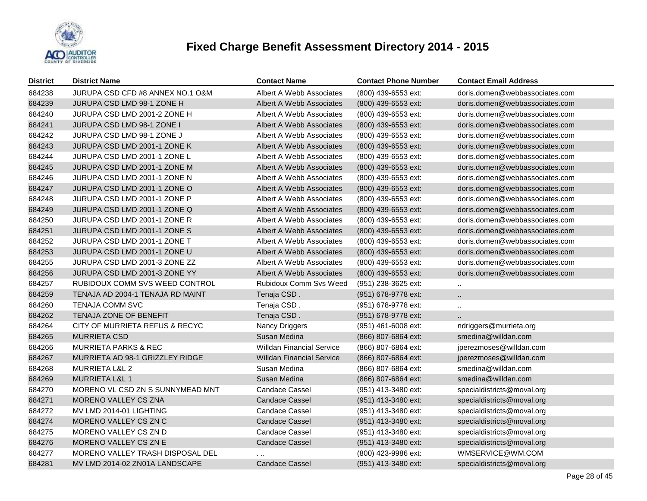

| <b>District</b> | <b>District Name</b>                   | <b>Contact Name</b>              | <b>Contact Phone Number</b> | <b>Contact Email Address</b>   |
|-----------------|----------------------------------------|----------------------------------|-----------------------------|--------------------------------|
| 684238          | JURUPA CSD CFD #8 ANNEX NO.1 O&M       | Albert A Webb Associates         | (800) 439-6553 ext:         | doris.domen@webbassociates.com |
| 684239          | JURUPA CSD LMD 98-1 ZONE H             | Albert A Webb Associates         | (800) 439-6553 ext:         | doris.domen@webbassociates.com |
| 684240          | JURUPA CSD LMD 2001-2 ZONE H           | Albert A Webb Associates         | (800) 439-6553 ext:         | doris.domen@webbassociates.com |
| 684241          | JURUPA CSD LMD 98-1 ZONE I             | Albert A Webb Associates         | (800) 439-6553 ext:         | doris.domen@webbassociates.com |
| 684242          | JURUPA CSD LMD 98-1 ZONE J             | Albert A Webb Associates         | (800) 439-6553 ext:         | doris.domen@webbassociates.com |
| 684243          | JURUPA CSD LMD 2001-1 ZONE K           | Albert A Webb Associates         | (800) 439-6553 ext:         | doris.domen@webbassociates.com |
| 684244          | JURUPA CSD LMD 2001-1 ZONE L           | Albert A Webb Associates         | (800) 439-6553 ext:         | doris.domen@webbassociates.com |
| 684245          | JURUPA CSD LMD 2001-1 ZONE M           | Albert A Webb Associates         | (800) 439-6553 ext:         | doris.domen@webbassociates.com |
| 684246          | JURUPA CSD LMD 2001-1 ZONE N           | Albert A Webb Associates         | (800) 439-6553 ext:         | doris.domen@webbassociates.com |
| 684247          | JURUPA CSD LMD 2001-1 ZONE O           | Albert A Webb Associates         | (800) 439-6553 ext:         | doris.domen@webbassociates.com |
| 684248          | JURUPA CSD LMD 2001-1 ZONE P           | Albert A Webb Associates         | (800) 439-6553 ext:         | doris.domen@webbassociates.com |
| 684249          | JURUPA CSD LMD 2001-1 ZONE Q           | Albert A Webb Associates         | $(800)$ 439-6553 ext:       | doris.domen@webbassociates.com |
| 684250          | JURUPA CSD LMD 2001-1 ZONE R           | Albert A Webb Associates         | (800) 439-6553 ext:         | doris.domen@webbassociates.com |
| 684251          | JURUPA CSD LMD 2001-1 ZONE S           | Albert A Webb Associates         | $(800)$ 439-6553 ext:       | doris.domen@webbassociates.com |
| 684252          | JURUPA CSD LMD 2001-1 ZONE T           | Albert A Webb Associates         | (800) 439-6553 ext:         | doris.domen@webbassociates.com |
| 684253          | JURUPA CSD LMD 2001-1 ZONE U           | Albert A Webb Associates         | (800) 439-6553 ext:         | doris.domen@webbassociates.com |
| 684255          | JURUPA CSD LMD 2001-3 ZONE ZZ          | Albert A Webb Associates         | (800) 439-6553 ext:         | doris.domen@webbassociates.com |
| 684256          | JURUPA CSD LMD 2001-3 ZONE YY          | Albert A Webb Associates         | (800) 439-6553 ext:         | doris.domen@webbassociates.com |
| 684257          | RUBIDOUX COMM SVS WEED CONTROL         | <b>Rubidoux Comm Svs Weed</b>    | (951) 238-3625 ext:         |                                |
| 684259          | TENAJA AD 2004-1 TENAJA RD MAINT       | Tenaja CSD.                      | (951) 678-9778 ext:         | $\ddotsc$                      |
| 684260          | TENAJA COMM SVC                        | Tenaja CSD.                      | (951) 678-9778 ext:         | $\ddotsc$                      |
| 684262          | TENAJA ZONE OF BENEFIT                 | Tenaja CSD.                      | (951) 678-9778 ext:         |                                |
| 684264          | CITY OF MURRIETA REFUS & RECYC         | Nancy Driggers                   | (951) 461-6008 ext:         | ndriggers@murrieta.org         |
| 684265          | <b>MURRIETA CSD</b>                    | Susan Medina                     | (866) 807-6864 ext:         | smedina@willdan.com            |
| 684266          | <b>MURRIETA PARKS &amp; REC</b>        | <b>Willdan Financial Service</b> | (866) 807-6864 ext:         | jperezmoses@willdan.com        |
| 684267          | <b>MURRIETA AD 98-1 GRIZZLEY RIDGE</b> | <b>Willdan Financial Service</b> | (866) 807-6864 ext:         | jperezmoses@willdan.com        |
| 684268          | <b>MURRIETA L&amp;L 2</b>              | Susan Medina                     | (866) 807-6864 ext:         | smedina@willdan.com            |
| 684269          | <b>MURRIETA L&amp;L 1</b>              | Susan Medina                     | (866) 807-6864 ext:         | smedina@willdan.com            |
| 684270          | MORENO VL CSD ZN S SUNNYMEAD MNT       | <b>Candace Cassel</b>            | (951) 413-3480 ext:         | specialdistricts@moval.org     |
| 684271          | <b>MORENO VALLEY CS ZNA</b>            | <b>Candace Cassel</b>            | (951) 413-3480 ext:         | specialdistricts@moval.org     |
| 684272          | MV LMD 2014-01 LIGHTING                | <b>Candace Cassel</b>            | (951) 413-3480 ext:         | specialdistricts@moval.org     |
| 684274          | MORENO VALLEY CS ZN C                  | <b>Candace Cassel</b>            | (951) 413-3480 ext:         | specialdistricts@moval.org     |
| 684275          | MORENO VALLEY CS ZN D                  | <b>Candace Cassel</b>            | (951) 413-3480 ext:         | specialdistricts@moval.org     |
| 684276          | MORENO VALLEY CS ZN E                  | <b>Candace Cassel</b>            | (951) 413-3480 ext:         | specialdistricts@moval.org     |
| 684277          | MORENO VALLEY TRASH DISPOSAL DEL       | $\cdots$                         | (800) 423-9986 ext:         | WMSERVICE@WM.COM               |
| 684281          | MV LMD 2014-02 ZN01A LANDSCAPE         | <b>Candace Cassel</b>            | (951) 413-3480 ext:         | specialdistricts@moval.org     |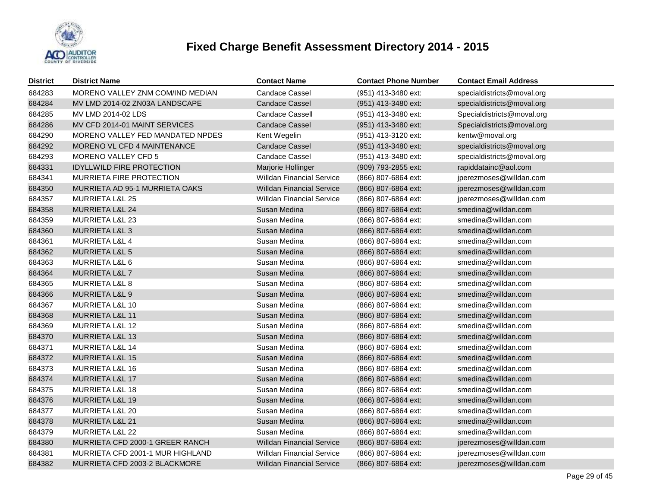

| District | <b>District Name</b>             | <b>Contact Name</b>              | <b>Contact Phone Number</b> | <b>Contact Email Address</b> |
|----------|----------------------------------|----------------------------------|-----------------------------|------------------------------|
| 684283   | MORENO VALLEY ZNM COM/IND MEDIAN | <b>Candace Cassel</b>            | (951) 413-3480 ext:         | specialdistricts@moval.org   |
| 684284   | MV LMD 2014-02 ZN03A LANDSCAPE   | Candace Cassel                   | (951) 413-3480 ext:         | specialdistricts@moval.org   |
| 684285   | MV LMD 2014-02 LDS               | Candace Cassell                  | (951) 413-3480 ext:         | Specialdistricts@moval.org   |
| 684286   | MV CFD 2014-01 MAINT SERVICES    | <b>Candace Cassel</b>            | (951) 413-3480 ext:         | Specialdistricts@moval.org   |
| 684290   | MORENO VALLEY FED MANDATED NPDES | Kent Wegelin                     | (951) 413-3120 ext:         | kentw@moval.org              |
| 684292   | MORENO VL CFD 4 MAINTENANCE      | Candace Cassel                   | (951) 413-3480 ext:         | specialdistricts@moval.org   |
| 684293   | <b>MORENO VALLEY CFD 5</b>       | Candace Cassel                   | (951) 413-3480 ext:         | specialdistricts@moval.org   |
| 684331   | <b>IDYLLWILD FIRE PROTECTION</b> | Marjorie Hollinger               | (909) 793-2855 ext:         | rapiddatainc@aol.com         |
| 684341   | <b>MURRIETA FIRE PROTECTION</b>  | <b>Willdan Financial Service</b> | (866) 807-6864 ext:         | jperezmoses@willdan.com      |
| 684350   | MURRIETA AD 95-1 MURRIETA OAKS   | <b>Willdan Financial Service</b> | (866) 807-6864 ext:         | jperezmoses@willdan.com      |
| 684357   | <b>MURRIETA L&amp;L 25</b>       | <b>Willdan Financial Service</b> | (866) 807-6864 ext:         | jperezmoses@willdan.com      |
| 684358   | MURRIETA L&L 24                  | Susan Medina                     | (866) 807-6864 ext:         | smedina@willdan.com          |
| 684359   | MURRIETA L&L 23                  | Susan Medina                     | (866) 807-6864 ext:         | smedina@willdan.com          |
| 684360   | MURRIETA L&L 3                   | Susan Medina                     | (866) 807-6864 ext:         | smedina@willdan.com          |
| 684361   | MURRIETA L&L 4                   | Susan Medina                     | (866) 807-6864 ext:         | smedina@willdan.com          |
| 684362   | MURRIETA L&L 5                   | Susan Medina                     | (866) 807-6864 ext:         | smedina@willdan.com          |
| 684363   | MURRIETA L&L 6                   | Susan Medina                     | (866) 807-6864 ext:         | smedina@willdan.com          |
| 684364   | MURRIETA L&L 7                   | Susan Medina                     | (866) 807-6864 ext:         | smedina@willdan.com          |
| 684365   | MURRIETA L&L 8                   | Susan Medina                     | (866) 807-6864 ext:         | smedina@willdan.com          |
| 684366   | <b>MURRIETA L&amp;L 9</b>        | Susan Medina                     | (866) 807-6864 ext:         | smedina@willdan.com          |
| 684367   | MURRIETA L&L 10                  | Susan Medina                     | (866) 807-6864 ext:         | smedina@willdan.com          |
| 684368   | <b>MURRIETA L&amp;L 11</b>       | Susan Medina                     | (866) 807-6864 ext:         | smedina@willdan.com          |
| 684369   | MURRIETA L&L 12                  | Susan Medina                     | (866) 807-6864 ext:         | smedina@willdan.com          |
| 684370   | <b>MURRIETA L&amp;L 13</b>       | Susan Medina                     | (866) 807-6864 ext:         | smedina@willdan.com          |
| 684371   | MURRIETA L&L 14                  | Susan Medina                     | (866) 807-6864 ext:         | smedina@willdan.com          |
| 684372   | MURRIETA L&L 15                  | Susan Medina                     | (866) 807-6864 ext:         | smedina@willdan.com          |
| 684373   | MURRIETA L&L 16                  | Susan Medina                     | (866) 807-6864 ext:         | smedina@willdan.com          |
| 684374   | <b>MURRIETA L&amp;L 17</b>       | Susan Medina                     | (866) 807-6864 ext:         | smedina@willdan.com          |
| 684375   | MURRIETA L&L 18                  | Susan Medina                     | (866) 807-6864 ext:         | smedina@willdan.com          |
| 684376   | <b>MURRIETA L&amp;L 19</b>       | Susan Medina                     | (866) 807-6864 ext:         | smedina@willdan.com          |
| 684377   | MURRIETA L&L 20                  | Susan Medina                     | (866) 807-6864 ext:         | smedina@willdan.com          |
| 684378   | MURRIETA L&L 21                  | Susan Medina                     | (866) 807-6864 ext:         | smedina@willdan.com          |
| 684379   | <b>MURRIETA L&amp;L 22</b>       | Susan Medina                     | (866) 807-6864 ext:         | smedina@willdan.com          |
| 684380   | MURRIETA CFD 2000-1 GREER RANCH  | <b>Willdan Financial Service</b> | (866) 807-6864 ext:         | jperezmoses@willdan.com      |
| 684381   | MURRIETA CFD 2001-1 MUR HIGHLAND | <b>Willdan Financial Service</b> | (866) 807-6864 ext:         | jperezmoses@willdan.com      |
| 684382   | MURRIETA CFD 2003-2 BLACKMORE    | <b>Willdan Financial Service</b> | (866) 807-6864 ext:         | jperezmoses@willdan.com      |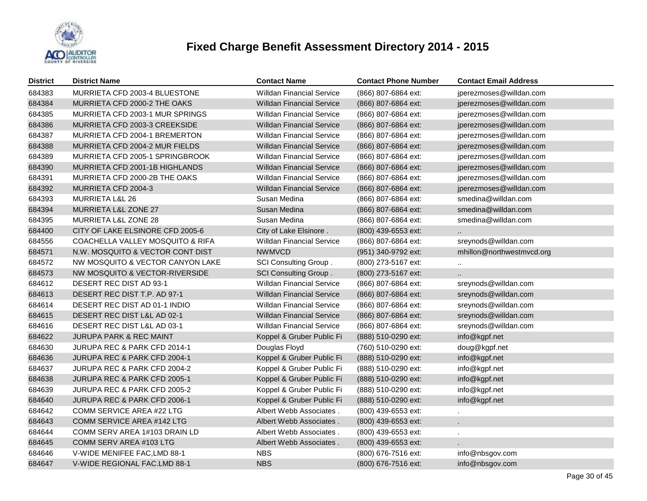

| <b>District</b> | <b>District Name</b>             | <b>Contact Name</b>              | <b>Contact Phone Number</b> | <b>Contact Email Address</b> |
|-----------------|----------------------------------|----------------------------------|-----------------------------|------------------------------|
| 684383          | MURRIETA CFD 2003-4 BLUESTONE    | <b>Willdan Financial Service</b> | (866) 807-6864 ext:         | jperezmoses@willdan.com      |
| 684384          | MURRIETA CFD 2000-2 THE OAKS     | Willdan Financial Service        | (866) 807-6864 ext:         | jperezmoses@willdan.com      |
| 684385          | MURRIETA CFD 2003-1 MUR SPRINGS  | <b>Willdan Financial Service</b> | (866) 807-6864 ext:         | jperezmoses@willdan.com      |
| 684386          | MURRIETA CFD 2003-3 CREEKSIDE    | <b>Willdan Financial Service</b> | (866) 807-6864 ext:         | jperezmoses@willdan.com      |
| 684387          | MURRIETA CFD 2004-1 BREMERTON    | <b>Willdan Financial Service</b> | (866) 807-6864 ext:         | jperezmoses@willdan.com      |
| 684388          | MURRIETA CFD 2004-2 MUR FIELDS   | <b>Willdan Financial Service</b> | (866) 807-6864 ext:         | jperezmoses@willdan.com      |
| 684389          | MURRIETA CFD 2005-1 SPRINGBROOK  | <b>Willdan Financial Service</b> | (866) 807-6864 ext:         | jperezmoses@willdan.com      |
| 684390          | MURRIETA CFD 2001-1B HIGHLANDS   | <b>Willdan Financial Service</b> | (866) 807-6864 ext:         | jperezmoses@willdan.com      |
| 684391          | MURRIETA CFD 2000-2B THE OAKS    | <b>Willdan Financial Service</b> | (866) 807-6864 ext:         | jperezmoses@willdan.com      |
| 684392          | MURRIETA CFD 2004-3              | <b>Willdan Financial Service</b> | (866) 807-6864 ext:         | jperezmoses@willdan.com      |
| 684393          | <b>MURRIETA L&amp;L 26</b>       | Susan Medina                     | (866) 807-6864 ext:         | smedina@willdan.com          |
| 684394          | MURRIETA L&L ZONE 27             | Susan Medina                     | (866) 807-6864 ext:         | smedina@willdan.com          |
| 684395          | <b>MURRIETA L&amp;L ZONE 28</b>  | Susan Medina                     | (866) 807-6864 ext:         | smedina@willdan.com          |
| 684400          | CITY OF LAKE ELSINORE CFD 2005-6 | City of Lake Elsinore.           | (800) 439-6553 ext:         |                              |
| 684556          | COACHELLA VALLEY MOSQUITO & RIFA | <b>Willdan Financial Service</b> | (866) 807-6864 ext:         | sreynods@willdan.com         |
| 684571          | N.W. MOSQUITO & VECTOR CONT DIST | <b>NWMVCD</b>                    | (951) 340-9792 ext:         | mhillon@northwestmvcd.org    |
| 684572          | NW MOSQUITO & VECTOR CANYON LAKE | SCI Consulting Group.            | (800) 273-5167 ext:         |                              |
| 684573          | NW MOSQUITO & VECTOR-RIVERSIDE   | <b>SCI Consulting Group.</b>     | (800) 273-5167 ext:         |                              |
| 684612          | DESERT REC DIST AD 93-1          | <b>Willdan Financial Service</b> | (866) 807-6864 ext:         | sreynods@willdan.com         |
| 684613          | DESERT REC DIST T.P. AD 97-1     | <b>Willdan Financial Service</b> | (866) 807-6864 ext:         | sreynods@willdan.com         |
| 684614          | DESERT REC DIST AD 01-1 INDIO    | <b>Willdan Financial Service</b> | (866) 807-6864 ext:         | sreynods@willdan.com         |
| 684615          | DESERT REC DIST L&L AD 02-1      | <b>Willdan Financial Service</b> | (866) 807-6864 ext:         | sreynods@willdan.com         |
| 684616          | DESERT REC DIST L&L AD 03-1      | <b>Willdan Financial Service</b> | (866) 807-6864 ext:         | sreynods@willdan.com         |
| 684622          | JURUPA PARK & REC MAINT          | Koppel & Gruber Public Fi        | (888) 510-0290 ext:         | info@kgpf.net                |
| 684630          | JURUPA REC & PARK CFD 2014-1     | Douglas Floyd                    | (760) 510-0290 ext:         | doug@kgpf.net                |
| 684636          | JURUPA REC & PARK CFD 2004-1     | Koppel & Gruber Public Fi        | (888) 510-0290 ext:         | info@kgpf.net                |
| 684637          | JURUPA REC & PARK CFD 2004-2     | Koppel & Gruber Public Fi        | (888) 510-0290 ext:         | info@kgpf.net                |
| 684638          | JURUPA REC & PARK CFD 2005-1     | Koppel & Gruber Public Fi        | (888) 510-0290 ext:         | info@kgpf.net                |
| 684639          | JURUPA REC & PARK CFD 2005-2     | Koppel & Gruber Public Fi        | (888) 510-0290 ext:         | info@kgpf.net                |
| 684640          | JURUPA REC & PARK CFD 2006-1     | Koppel & Gruber Public Fi        | (888) 510-0290 ext:         | info@kgpf.net                |
| 684642          | COMM SERVICE AREA #22 LTG        | Albert Webb Associates.          | (800) 439-6553 ext:         |                              |
| 684643          | COMM SERVICE AREA #142 LTG       | Albert Webb Associates.          | (800) 439-6553 ext:         |                              |
| 684644          | COMM SERV AREA 1#103 DRAIN LD    | Albert Webb Associates.          | (800) 439-6553 ext:         |                              |
| 684645          | COMM SERV AREA #103 LTG          | Albert Webb Associates.          | (800) 439-6553 ext:         |                              |
| 684646          | V-WIDE MENIFEE FAC, LMD 88-1     | <b>NBS</b>                       | (800) 676-7516 ext:         | info@nbsgov.com              |
| 684647          | V-WIDE REGIONAL FAC.LMD 88-1     | <b>NBS</b>                       | (800) 676-7516 ext:         | info@nbsgov.com              |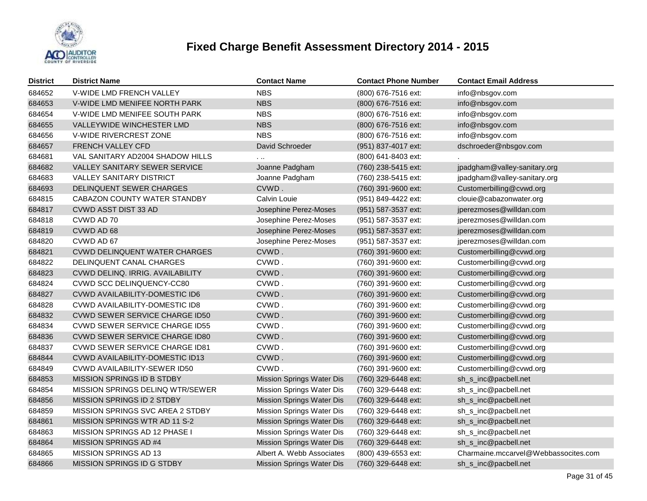

| <b>District</b> | <b>District Name</b>                  | <b>Contact Name</b>              | <b>Contact Phone Number</b> | <b>Contact Email Address</b>         |
|-----------------|---------------------------------------|----------------------------------|-----------------------------|--------------------------------------|
| 684652          | V-WIDE LMD FRENCH VALLEY              | <b>NBS</b>                       | (800) 676-7516 ext:         | info@nbsgov.com                      |
| 684653          | V-WIDE LMD MENIFEE NORTH PARK         | <b>NBS</b>                       | (800) 676-7516 ext:         | info@nbsgov.com                      |
| 684654          | V-WIDE LMD MENIFEE SOUTH PARK         | <b>NBS</b>                       | (800) 676-7516 ext:         | info@nbsgov.com                      |
| 684655          | <b>VALLEYWIDE WINCHESTER LMD</b>      | <b>NBS</b>                       | (800) 676-7516 ext:         | info@nbsgov.com                      |
| 684656          | <b>V-WIDE RIVERCREST ZONE</b>         | <b>NBS</b>                       | (800) 676-7516 ext:         | info@nbsgov.com                      |
| 684657          | FRENCH VALLEY CFD                     | David Schroeder                  | (951) 837-4017 ext:         | dschroeder@nbsgov.com                |
| 684681          | VAL SANITARY AD2004 SHADOW HILLS      | .                                | (800) 641-8403 ext:         |                                      |
| 684682          | VALLEY SANITARY SEWER SERVICE         | Joanne Padgham                   | (760) 238-5415 ext:         | jpadgham@valley-sanitary.org         |
| 684683          | <b>VALLEY SANITARY DISTRICT</b>       | Joanne Padgham                   | (760) 238-5415 ext:         | jpadgham@valley-sanitary.org         |
| 684693          | DELINQUENT SEWER CHARGES              | CVWD.                            | (760) 391-9600 ext:         | Customerbilling@cvwd.org             |
| 684815          | CABAZON COUNTY WATER STANDBY          | Calvin Louie                     | (951) 849-4422 ext:         | clouie@cabazonwater.org              |
| 684817          | CVWD ASST DIST 33 AD                  | Josephine Perez-Moses            | (951) 587-3537 ext:         | jperezmoses@willdan.com              |
| 684818          | CVWD AD 70                            | Josephine Perez-Moses            | (951) 587-3537 ext:         | jperezmoses@willdan.com              |
| 684819          | CVWD AD 68                            | Josephine Perez-Moses            | (951) 587-3537 ext:         | jperezmoses@willdan.com              |
| 684820          | CVWD AD 67                            | Josephine Perez-Moses            | (951) 587-3537 ext:         | jperezmoses@willdan.com              |
| 684821          | <b>CVWD DELINQUENT WATER CHARGES</b>  | CVWD.                            | (760) 391-9600 ext:         | Customerbilling@cvwd.org             |
| 684822          | DELINQUENT CANAL CHARGES              | CVWD.                            | (760) 391-9600 ext:         | Customerbilling@cvwd.org             |
| 684823          | CVWD DELINQ. IRRIG. AVAILABILITY      | CVWD.                            | (760) 391-9600 ext:         | Customerbilling@cvwd.org             |
| 684824          | CVWD SCC DELINQUENCY-CC80             | CVWD.                            | (760) 391-9600 ext:         | Customerbilling@cvwd.org             |
| 684827          | <b>CVWD AVAILABILITY-DOMESTIC ID6</b> | CVWD.                            | (760) 391-9600 ext:         | Customerbilling@cvwd.org             |
| 684828          | CVWD AVAILABILITY-DOMESTIC ID8        | CVWD.                            | (760) 391-9600 ext:         | Customerbilling@cvwd.org             |
| 684832          | <b>CVWD SEWER SERVICE CHARGE ID50</b> | CVWD.                            | (760) 391-9600 ext:         | Customerbilling@cvwd.org             |
| 684834          | <b>CVWD SEWER SERVICE CHARGE ID55</b> | CVWD.                            | (760) 391-9600 ext:         | Customerbilling@cvwd.org             |
| 684836          | CVWD SEWER SERVICE CHARGE ID80        | CVWD.                            | (760) 391-9600 ext:         | Customerbilling@cvwd.org             |
| 684837          | <b>CVWD SEWER SERVICE CHARGE ID81</b> | CVWD.                            | (760) 391-9600 ext:         | Customerbilling@cvwd.org             |
| 684844          | CVWD AVAILABILITY-DOMESTIC ID13       | CVWD.                            | (760) 391-9600 ext:         | Customerbilling@cvwd.org             |
| 684849          | CVWD AVAILABILITY-SEWER ID50          | CVWD.                            | (760) 391-9600 ext:         | Customerbilling@cvwd.org             |
| 684853          | MISSION SPRINGS ID B STDBY            | <b>Mission Springs Water Dis</b> | (760) 329-6448 ext:         | sh_s_inc@pacbell.net                 |
| 684854          | MISSION SPRINGS DELINQ WTR/SEWER      | Mission Springs Water Dis        | (760) 329-6448 ext:         | sh_s_inc@pacbell.net                 |
| 684856          | MISSION SPRINGS ID 2 STDBY            | Mission Springs Water Dis        | (760) 329-6448 ext:         | sh_s_inc@pacbell.net                 |
| 684859          | MISSION SPRINGS SVC AREA 2 STDBY      | Mission Springs Water Dis        | (760) 329-6448 ext:         | sh_s_inc@pacbell.net                 |
| 684861          | MISSION SPRINGS WTR AD 11 S-2         | Mission Springs Water Dis        | (760) 329-6448 ext:         | sh_s_inc@pacbell.net                 |
| 684863          | MISSION SPRINGS AD 12 PHASE I         | Mission Springs Water Dis        | (760) 329-6448 ext:         | sh_s_inc@pacbell.net                 |
| 684864          | MISSION SPRINGS AD #4                 | Mission Springs Water Dis        | (760) 329-6448 ext:         | sh_s_inc@pacbell.net                 |
| 684865          | MISSION SPRINGS AD 13                 | Albert A. Webb Associates        | (800) 439-6553 ext:         | Charmaine.mccarvel@Webbassocites.com |
| 684866          | MISSION SPRINGS ID G STDBY            | <b>Mission Springs Water Dis</b> | (760) 329-6448 ext:         | sh_s_inc@pacbell.net                 |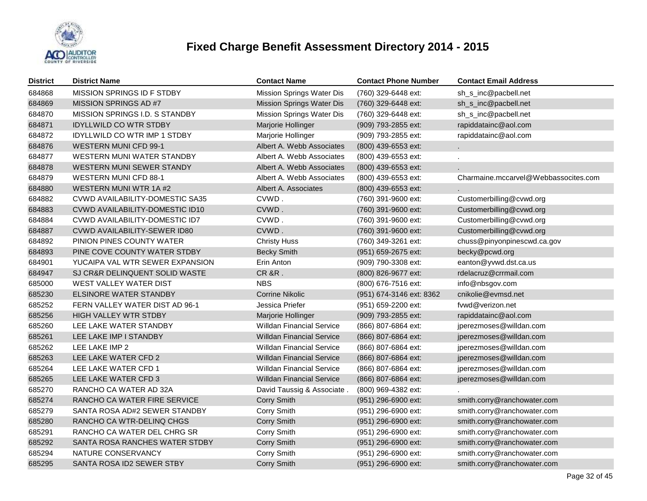

| <b>District</b> | <b>District Name</b>                   | <b>Contact Name</b>              | <b>Contact Phone Number</b> | <b>Contact Email Address</b>         |
|-----------------|----------------------------------------|----------------------------------|-----------------------------|--------------------------------------|
| 684868          | MISSION SPRINGS ID F STDBY             | Mission Springs Water Dis        | (760) 329-6448 ext:         | sh_s_inc@pacbell.net                 |
| 684869          | MISSION SPRINGS AD #7                  | Mission Springs Water Dis        | (760) 329-6448 ext:         | sh_s_inc@pacbell.net                 |
| 684870          | MISSION SPRINGS I.D. S STANDBY         | Mission Springs Water Dis        | (760) 329-6448 ext:         | sh_s_inc@pacbell.net                 |
| 684871          | <b>IDYLLWILD CO WTR STDBY</b>          | Marjorie Hollinger               | (909) 793-2855 ext:         | rapiddatainc@aol.com                 |
| 684872          | <b>IDYLLWILD CO WTR IMP 1 STDBY</b>    | Marjorie Hollinger               | (909) 793-2855 ext:         | rapiddatainc@aol.com                 |
| 684876          | <b>WESTERN MUNI CFD 99-1</b>           | Albert A. Webb Associates        | (800) 439-6553 ext:         |                                      |
| 684877          | WESTERN MUNI WATER STANDBY             | Albert A. Webb Associates        | (800) 439-6553 ext:         |                                      |
| 684878          | WESTERN MUNI SEWER STANDY              | Albert A. Webb Associates        | (800) 439-6553 ext:         |                                      |
| 684879          | <b>WESTERN MUNI CFD 88-1</b>           | Albert A. Webb Associates        | (800) 439-6553 ext:         | Charmaine.mccarvel@Webbassocites.com |
| 684880          | WESTERN MUNI WTR 1A #2                 | Albert A. Associates             | (800) 439-6553 ext:         |                                      |
| 684882          | <b>CVWD AVAILABILITY-DOMESTIC SA35</b> | CVWD.                            | (760) 391-9600 ext:         | Customerbilling@cvwd.org             |
| 684883          | CVWD AVAILABILITY-DOMESTIC ID10        | CVWD.                            | (760) 391-9600 ext:         | Customerbilling@cvwd.org             |
| 684884          | CVWD AVAILABILITY-DOMESTIC ID7         | CVWD.                            | (760) 391-9600 ext:         | Customerbilling@cvwd.org             |
| 684887          | CVWD AVAILABILITY-SEWER ID80           | CVWD.                            | (760) 391-9600 ext:         | Customerbilling@cvwd.org             |
| 684892          | PINION PINES COUNTY WATER              | <b>Christy Huss</b>              | (760) 349-3261 ext:         | chuss@pinyonpinescwd.ca.gov          |
| 684893          | PINE COVE COUNTY WATER STDBY           | <b>Becky Smith</b>               | (951) 659-2675 ext:         | becky@pcwd.org                       |
| 684901          | YUCAIPA VAL WTR SEWER EXPANSION        | Erin Anton                       | (909) 790-3308 ext:         | eanton@yvwd.dst.ca.us                |
| 684947          | SJ CR&R DELINQUENT SOLID WASTE         | <b>CR &amp;R.</b>                | (800) 826-9677 ext:         | rdelacruz@crrmail.com                |
| 685000          | WEST VALLEY WATER DIST                 | <b>NBS</b>                       | (800) 676-7516 ext:         | info@nbsgov.com                      |
| 685230          | ELSINORE WATER STANDBY                 | <b>Corrine Nikolic</b>           | (951) 674-3146 ext: 8362    | cnikolie@evmsd.net                   |
| 685252          | FERN VALLEY WATER DIST AD 96-1         | Jessica Priefer                  | (951) 659-2200 ext:         | fvwd@verizon.net                     |
| 685256          | HIGH VALLEY WTR STDBY                  | Marjorie Hollinger               | (909) 793-2855 ext:         | rapiddatainc@aol.com                 |
| 685260          | LEE LAKE WATER STANDBY                 | <b>Willdan Financial Service</b> | (866) 807-6864 ext:         | jperezmoses@willdan.com              |
| 685261          | LEE LAKE IMP I STANDBY                 | <b>Willdan Financial Service</b> | (866) 807-6864 ext:         | jperezmoses@willdan.com              |
| 685262          | LEE LAKE IMP 2                         | <b>Willdan Financial Service</b> | (866) 807-6864 ext:         | jperezmoses@willdan.com              |
| 685263          | LEE LAKE WATER CFD 2                   | <b>Willdan Financial Service</b> | (866) 807-6864 ext:         | jperezmoses@willdan.com              |
| 685264          | LEE LAKE WATER CFD 1                   | <b>Willdan Financial Service</b> | (866) 807-6864 ext:         | jperezmoses@willdan.com              |
| 685265          | LEE LAKE WATER CFD 3                   | <b>Willdan Financial Service</b> | (866) 807-6864 ext:         | jperezmoses@willdan.com              |
| 685270          | RANCHO CA WATER AD 32A                 | David Taussig & Associate.       | (800) 969-4382 ext:         |                                      |
| 685274          | RANCHO CA WATER FIRE SERVICE           | Corry Smith                      | (951) 296-6900 ext:         | smith.corry@ranchowater.com          |
| 685279          | SANTA ROSA AD#2 SEWER STANDBY          | Corry Smith                      | (951) 296-6900 ext:         | smith.corry@ranchowater.com          |
| 685280          | RANCHO CA WTR-DELINQ CHGS              | Corry Smith                      | (951) 296-6900 ext:         | smith.corry@ranchowater.com          |
| 685291          | RANCHO CA WATER DEL CHRG SR            | Corry Smith                      | (951) 296-6900 ext:         | smith.corry@ranchowater.com          |
| 685292          | SANTA ROSA RANCHES WATER STDBY         | Corry Smith                      | (951) 296-6900 ext:         | smith.corry@ranchowater.com          |
| 685294          | NATURE CONSERVANCY                     | Corry Smith                      | (951) 296-6900 ext:         | smith.corry@ranchowater.com          |
| 685295          | SANTA ROSA ID2 SEWER STBY              | Corry Smith                      | (951) 296-6900 ext:         | smith.corry@ranchowater.com          |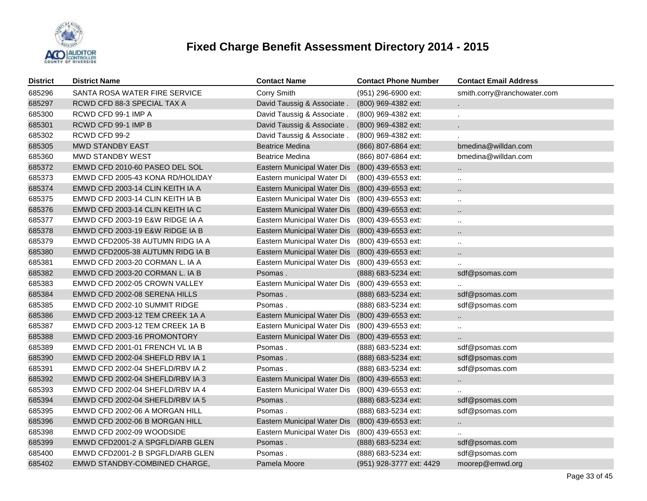

| <b>District</b> | <b>District Name</b>             | <b>Contact Name</b>         | <b>Contact Phone Number</b> | <b>Contact Email Address</b> |
|-----------------|----------------------------------|-----------------------------|-----------------------------|------------------------------|
| 685296          | SANTA ROSA WATER FIRE SERVICE    | Corry Smith                 | (951) 296-6900 ext:         | smith.corry@ranchowater.com  |
| 685297          | RCWD CFD 88-3 SPECIAL TAX A      | David Taussig & Associate   | (800) 969-4382 ext:         |                              |
| 685300          | RCWD CFD 99-1 IMP A              | David Taussig & Associate.  | (800) 969-4382 ext:         | $\epsilon$                   |
| 685301          | RCWD CFD 99-1 IMP B              | David Taussig & Associate.  | (800) 969-4382 ext:         |                              |
| 685302          | RCWD CFD 99-2                    | David Taussig & Associate.  | (800) 969-4382 ext:         |                              |
| 685305          | <b>MWD STANDBY EAST</b>          | <b>Beatrice Medina</b>      | (866) 807-6864 ext:         | bmedina@willdan.com          |
| 685360          | MWD STANDBY WEST                 | <b>Beatrice Medina</b>      | (866) 807-6864 ext:         | bmedina@willdan.com          |
| 685372          | EMWD CFD 2010-60 PASEO DEL SOL   | Eastern Municipal Water Dis | (800) 439-6553 ext:         |                              |
| 685373          | EMWD CFD 2005-43 KONA RD/HOLIDAY | Eastern municipal Water Di  | (800) 439-6553 ext:         | $\ddotsc$                    |
| 685374          | EMWD CFD 2003-14 CLIN KEITH IA A | Eastern Municipal Water Dis | (800) 439-6553 ext:         | $\ddotsc$                    |
| 685375          | EMWD CFD 2003-14 CLIN KEITH IA B | Eastern Municipal Water Dis | (800) 439-6553 ext:         | $\ddotsc$                    |
| 685376          | EMWD CFD 2003-14 CLIN KEITH IA C | Eastern Municipal Water Dis | (800) 439-6553 ext:         | $\ddotsc$                    |
| 685377          | EMWD CFD 2003-19 E&W RIDGE IA A  | Eastern Municipal Water Dis | (800) 439-6553 ext:         | $\ddotsc$                    |
| 685378          | EMWD CFD 2003-19 E&W RIDGE IA B  | Eastern Municipal Water Dis | (800) 439-6553 ext:         | $\ddot{\phantom{a}}$         |
| 685379          | EMWD CFD2005-38 AUTUMN RIDG IA A | Eastern Municipal Water Dis | (800) 439-6553 ext:         | $\ddotsc$                    |
| 685380          | EMWD CFD2005-38 AUTUMN RIDG IA B | Eastern Municipal Water Dis | (800) 439-6553 ext:         | $\ddot{\phantom{a}}$         |
| 685381          | EMWD CFD 2003-20 CORMAN L. IA A  | Eastern Municipal Water Dis | (800) 439-6553 ext:         | $\ddot{\phantom{a}}$         |
| 685382          | EMWD CFD 2003-20 CORMAN L. IA B  | Psomas.                     | (888) 683-5234 ext:         | sdf@psomas.com               |
| 685383          | EMWD CFD 2002-05 CROWN VALLEY    | Eastern Municipal Water Dis | (800) 439-6553 ext:         |                              |
| 685384          | EMWD CFD 2002-08 SERENA HILLS    | Psomas.                     | (888) 683-5234 ext:         | sdf@psomas.com               |
| 685385          | EMWD CFD 2002-10 SUMMIT RIDGE    | Psomas.                     | (888) 683-5234 ext:         | sdf@psomas.com               |
| 685386          | EMWD CFD 2003-12 TEM CREEK 1A A  | Eastern Municipal Water Dis | (800) 439-6553 ext:         | $\ddot{\phantom{1}}$         |
| 685387          | EMWD CFD 2003-12 TEM CREEK 1A B  | Eastern Municipal Water Dis | (800) 439-6553 ext:         | $\sim$                       |
| 685388          | EMWD CFD 2003-16 PROMONTORY      | Eastern Municipal Water Dis | (800) 439-6553 ext:         |                              |
| 685389          | EMWD CFD 2001-01 FRENCH VL IA B  | Psomas.                     | (888) 683-5234 ext:         | sdf@psomas.com               |
| 685390          | EMWD CFD 2002-04 SHEFLD RBV IA 1 | Psomas.                     | (888) 683-5234 ext:         | sdf@psomas.com               |
| 685391          | EMWD CFD 2002-04 SHEFLD/RBV IA 2 | Psomas.                     | (888) 683-5234 ext:         | sdf@psomas.com               |
| 685392          | EMWD CFD 2002-04 SHEFLD/RBV IA 3 | Eastern Municipal Water Dis | (800) 439-6553 ext:         | $\ddot{\phantom{1}}$         |
| 685393          | EMWD CFD 2002-04 SHEFLD/RBV IA 4 | Eastern Municipal Water Dis | (800) 439-6553 ext:         | $\ldots$                     |
| 685394          | EMWD CFD 2002-04 SHEFLD/RBV IA 5 | Psomas.                     | (888) 683-5234 ext:         | sdf@psomas.com               |
| 685395          | EMWD CFD 2002-06 A MORGAN HILL   | Psomas.                     | (888) 683-5234 ext:         | sdf@psomas.com               |
| 685396          | EMWD CFD 2002-06 B MORGAN HILL   | Eastern Municipal Water Dis | (800) 439-6553 ext:         | $\ddot{\phantom{1}}$         |
| 685398          | EMWD CFD 2002-09 WOODSIDE        | Eastern Municipal Water Dis | (800) 439-6553 ext:         | $\ddotsc$                    |
| 685399          | EMWD CFD2001-2 A SPGFLD/ARB GLEN | Psomas.                     | (888) 683-5234 ext:         | sdf@psomas.com               |
| 685400          | EMWD CFD2001-2 B SPGFLD/ARB GLEN | Psomas.                     | (888) 683-5234 ext:         | sdf@psomas.com               |
| 685402          | EMWD STANDBY-COMBINED CHARGE,    | Pamela Moore                | (951) 928-3777 ext: 4429    | moorep@emwd.org              |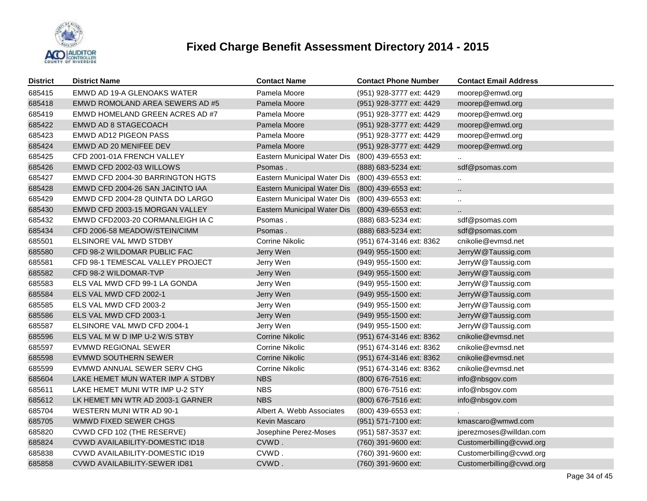

| <b>District</b> | <b>District Name</b>                   | <b>Contact Name</b>         | <b>Contact Phone Number</b> | <b>Contact Email Address</b> |
|-----------------|----------------------------------------|-----------------------------|-----------------------------|------------------------------|
| 685415          | EMWD AD 19-A GLENOAKS WATER            | Pamela Moore                | (951) 928-3777 ext: 4429    | moorep@emwd.org              |
| 685418          | EMWD ROMOLAND AREA SEWERS AD #5        | Pamela Moore                | (951) 928-3777 ext: 4429    | moorep@emwd.org              |
| 685419          | EMWD HOMELAND GREEN ACRES AD #7        | Pamela Moore                | (951) 928-3777 ext: 4429    | moorep@emwd.org              |
| 685422          | EMWD AD 8 STAGECOACH                   | Pamela Moore                | (951) 928-3777 ext: 4429    | moorep@emwd.org              |
| 685423          | EMWD AD12 PIGEON PASS                  | Pamela Moore                | (951) 928-3777 ext: 4429    | moorep@emwd.org              |
| 685424          | EMWD AD 20 MENIFEE DEV                 | Pamela Moore                | (951) 928-3777 ext: 4429    | moorep@emwd.org              |
| 685425          | CFD 2001-01A FRENCH VALLEY             | Eastern Municipal Water Dis | (800) 439-6553 ext:         |                              |
| 685426          | EMWD CFD 2002-03 WILLOWS               | Psomas.                     | (888) 683-5234 ext:         | sdf@psomas.com               |
| 685427          | EMWD CFD 2004-30 BARRINGTON HGTS       | Eastern Municipal Water Dis | (800) 439-6553 ext:         | Ω                            |
| 685428          | EMWD CFD 2004-26 SAN JACINTO IAA       | Eastern Municipal Water Dis | (800) 439-6553 ext:         |                              |
| 685429          | EMWD CFD 2004-28 QUINTA DO LARGO       | Eastern Municipal Water Dis | (800) 439-6553 ext:         | $\ddot{\phantom{1}}$         |
| 685430          | EMWD CFD 2003-15 MORGAN VALLEY         | Eastern Municipal Water Dis | (800) 439-6553 ext:         | Ш.                           |
| 685432          | EMWD CFD2003-20 CORMANLEIGH IA C       | Psomas.                     | (888) 683-5234 ext:         | sdf@psomas.com               |
| 685434          | CFD 2006-58 MEADOW/STEIN/CIMM          | Psomas.                     | (888) 683-5234 ext:         | sdf@psomas.com               |
| 685501          | ELSINORE VAL MWD STDBY                 | <b>Corrine Nikolic</b>      | (951) 674-3146 ext: 8362    | cnikolie@evmsd.net           |
| 685580          | CFD 98-2 WILDOMAR PUBLIC FAC           | Jerry Wen                   | (949) 955-1500 ext:         | JerryW@Taussig.com           |
| 685581          | CFD 98-1 TEMESCAL VALLEY PROJECT       | Jerry Wen                   | (949) 955-1500 ext:         | JerryW@Taussig.com           |
| 685582          | CFD 98-2 WILDOMAR-TVP                  | Jerry Wen                   | $(949)$ 955-1500 ext:       | JerryW@Taussig.com           |
| 685583          | ELS VAL MWD CFD 99-1 LA GONDA          | Jerry Wen                   | (949) 955-1500 ext:         | JerryW@Taussig.com           |
| 685584          | ELS VAL MWD CFD 2002-1                 | Jerry Wen                   | (949) 955-1500 ext:         | JerryW@Taussig.com           |
| 685585          | ELS VAL MWD CFD 2003-2                 | Jerry Wen                   | (949) 955-1500 ext:         | JerryW@Taussig.com           |
| 685586          | ELS VAL MWD CFD 2003-1                 | Jerry Wen                   | (949) 955-1500 ext:         | JerryW@Taussig.com           |
| 685587          | ELSINORE VAL MWD CFD 2004-1            | Jerry Wen                   | (949) 955-1500 ext:         | JerryW@Taussig.com           |
| 685596          | ELS VAL M W D IMP U-2 W/S STBY         | <b>Corrine Nikolic</b>      | (951) 674-3146 ext: 8362    | cnikolie@evmsd.net           |
| 685597          | EVMWD REGIONAL SEWER                   | <b>Corrine Nikolic</b>      | (951) 674-3146 ext: 8362    | cnikolie@evmsd.net           |
| 685598          | EVMWD SOUTHERN SEWER                   | Corrine Nikolic             | (951) 674-3146 ext: 8362    | cnikolie@evmsd.net           |
| 685599          | EVMWD ANNUAL SEWER SERV CHG            | <b>Corrine Nikolic</b>      | (951) 674-3146 ext: 8362    | cnikolie@evmsd.net           |
| 685604          | LAKE HEMET MUN WATER IMP A STDBY       | <b>NBS</b>                  | (800) 676-7516 ext:         | info@nbsgov.com              |
| 685611          | LAKE HEMET MUNI WTR IMP U-2 STY        | <b>NBS</b>                  | (800) 676-7516 ext:         | info@nbsgov.com              |
| 685612          | LK HEMET MN WTR AD 2003-1 GARNER       | <b>NBS</b>                  | (800) 676-7516 ext:         | info@nbsgov.com              |
| 685704          | WESTERN MUNI WTR AD 90-1               | Albert A. Webb Associates   | (800) 439-6553 ext:         |                              |
| 685705          | WMWD FIXED SEWER CHGS                  | Kevin Mascaro               | (951) 571-7100 ext:         | kmascaro@wmwd.com            |
| 685820          | CVWD CFD 102 (THE RESERVE)             | Josephine Perez-Moses       | (951) 587-3537 ext:         | jperezmoses@willdan.com      |
| 685824          | <b>CVWD AVAILABILITY-DOMESTIC ID18</b> | CVWD.                       | (760) 391-9600 ext:         | Customerbilling@cvwd.org     |
| 685838          | CVWD AVAILABILITY-DOMESTIC ID19        | CVWD.                       | (760) 391-9600 ext:         | Customerbilling@cvwd.org     |
| 685858          | CVWD AVAILABILITY-SEWER ID81           | CVWD.                       | (760) 391-9600 ext:         | Customerbilling@cvwd.org     |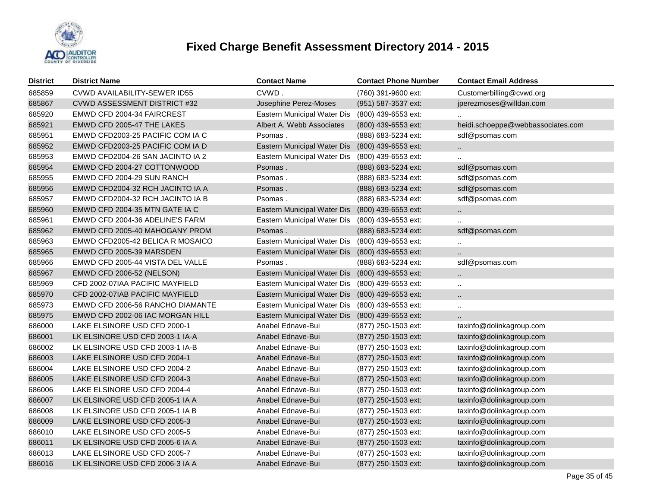

| <b>District</b> | <b>District Name</b>                | <b>Contact Name</b>                             | <b>Contact Phone Number</b> | <b>Contact Email Address</b>      |
|-----------------|-------------------------------------|-------------------------------------------------|-----------------------------|-----------------------------------|
| 685859          | <b>CVWD AVAILABILITY-SEWER ID55</b> | CVWD.                                           | (760) 391-9600 ext:         | Customerbilling@cvwd.org          |
| 685867          | <b>CVWD ASSESSMENT DISTRICT #32</b> | Josephine Perez-Moses                           | (951) 587-3537 ext:         | jperezmoses@willdan.com           |
| 685920          | EMWD CFD 2004-34 FAIRCREST          | Eastern Municipal Water Dis                     | (800) 439-6553 ext:         |                                   |
| 685921          | EMWD CFD 2005-47 THE LAKES          | Albert A. Webb Associates                       | (800) 439-6553 ext:         | heidi.schoeppe@webbassociates.com |
| 685951          | EMWD CFD2003-25 PACIFIC COM IA C    | Psomas.                                         | (888) 683-5234 ext:         | sdf@psomas.com                    |
| 685952          | EMWD CFD2003-25 PACIFIC COM IA D    | Eastern Municipal Water Dis                     | (800) 439-6553 ext:         | $\sim$                            |
| 685953          | EMWD CFD2004-26 SAN JACINTO IA 2    | Eastern Municipal Water Dis                     | (800) 439-6553 ext:         |                                   |
| 685954          | EMWD CFD 2004-27 COTTONWOOD         | Psomas.                                         | (888) 683-5234 ext:         | sdf@psomas.com                    |
| 685955          | EMWD CFD 2004-29 SUN RANCH          | Psomas.                                         | (888) 683-5234 ext:         | sdf@psomas.com                    |
| 685956          | EMWD CFD2004-32 RCH JACINTO IA A    | Psomas.                                         | (888) 683-5234 ext:         | sdf@psomas.com                    |
| 685957          | EMWD CFD2004-32 RCH JACINTO IA B    | Psomas.                                         | (888) 683-5234 ext:         | sdf@psomas.com                    |
| 685960          | EMWD CFD 2004-35 MTN GATE IA C      | Eastern Municipal Water Dis                     | (800) 439-6553 ext:         | $\ddotsc$                         |
| 685961          | EMWD CFD 2004-36 ADELINE'S FARM     | Eastern Municipal Water Dis                     | (800) 439-6553 ext:         |                                   |
| 685962          | EMWD CFD 2005-40 MAHOGANY PROM      | Psomas.                                         | (888) 683-5234 ext:         | sdf@psomas.com                    |
| 685963          | EMWD CFD2005-42 BELICA R MOSAICO    | Eastern Municipal Water Dis                     | (800) 439-6553 ext:         | $\mathbf{r}$                      |
| 685965          | EMWD CFD 2005-39 MARSDEN            | Eastern Municipal Water Dis                     | (800) 439-6553 ext:         | $\ddot{\phantom{a}}$              |
| 685966          | EMWD CFD 2005-44 VISTA DEL VALLE    | Psomas.                                         | (888) 683-5234 ext:         | sdf@psomas.com                    |
| 685967          | <b>EMWD CFD 2006-52 (NELSON)</b>    | Eastern Municipal Water Dis (800) 439-6553 ext: |                             | $\ddot{\phantom{1}}$              |
| 685969          | CFD 2002-07IAA PACIFIC MAYFIELD     | Eastern Municipal Water Dis                     | (800) 439-6553 ext:         | $\ddot{\phantom{a}}$              |
| 685970          | CFD 2002-07IAB PACIFIC MAYFIELD     | Eastern Municipal Water Dis (800) 439-6553 ext: |                             | $\ddotsc$                         |
| 685973          | EMWD CFD 2006-56 RANCHO DIAMANTE    | Eastern Municipal Water Dis                     | (800) 439-6553 ext:         | $\ddotsc$                         |
| 685975          | EMWD CFD 2002-06 IAC MORGAN HILL    | Eastern Municipal Water Dis                     | (800) 439-6553 ext:         | $\ddotsc$                         |
| 686000          | LAKE ELSINORE USD CFD 2000-1        | Anabel Ednave-Bui                               | (877) 250-1503 ext:         | taxinfo@dolinkagroup.com          |
| 686001          | LK ELSINORE USD CFD 2003-1 IA-A     | Anabel Ednave-Bui                               | (877) 250-1503 ext:         | taxinfo@dolinkagroup.com          |
| 686002          | LK ELSINORE USD CFD 2003-1 IA-B     | Anabel Ednave-Bui                               | (877) 250-1503 ext:         | taxinfo@dolinkagroup.com          |
| 686003          | LAKE ELSINORE USD CFD 2004-1        | Anabel Ednave-Bui                               | (877) 250-1503 ext:         | taxinfo@dolinkagroup.com          |
| 686004          | LAKE ELSINORE USD CFD 2004-2        | Anabel Ednave-Bui                               | (877) 250-1503 ext:         | taxinfo@dolinkagroup.com          |
| 686005          | LAKE ELSINORE USD CFD 2004-3        | Anabel Ednave-Bui                               | (877) 250-1503 ext:         | taxinfo@dolinkagroup.com          |
| 686006          | LAKE ELSINORE USD CFD 2004-4        | Anabel Ednave-Bui                               | (877) 250-1503 ext:         | taxinfo@dolinkagroup.com          |
| 686007          | LK ELSINORE USD CFD 2005-1 IA A     | Anabel Ednave-Bui                               | (877) 250-1503 ext:         | taxinfo@dolinkagroup.com          |
| 686008          | LK ELSINORE USD CFD 2005-1 IA B     | Anabel Ednave-Bui                               | (877) 250-1503 ext:         | taxinfo@dolinkagroup.com          |
| 686009          | LAKE ELSINORE USD CFD 2005-3        | Anabel Ednave-Bui                               | (877) 250-1503 ext:         | taxinfo@dolinkagroup.com          |
| 686010          | LAKE ELSINORE USD CFD 2005-5        | Anabel Ednave-Bui                               | (877) 250-1503 ext:         | taxinfo@dolinkagroup.com          |
| 686011          | LK ELSINORE USD CFD 2005-6 IA A     | Anabel Ednave-Bui                               | (877) 250-1503 ext:         | taxinfo@dolinkagroup.com          |
| 686013          | LAKE ELSINORE USD CFD 2005-7        | Anabel Ednave-Bui                               | (877) 250-1503 ext:         | taxinfo@dolinkagroup.com          |
| 686016          | LK ELSINORE USD CFD 2006-3 IA A     | Anabel Ednave-Bui                               | (877) 250-1503 ext:         | taxinfo@dolinkagroup.com          |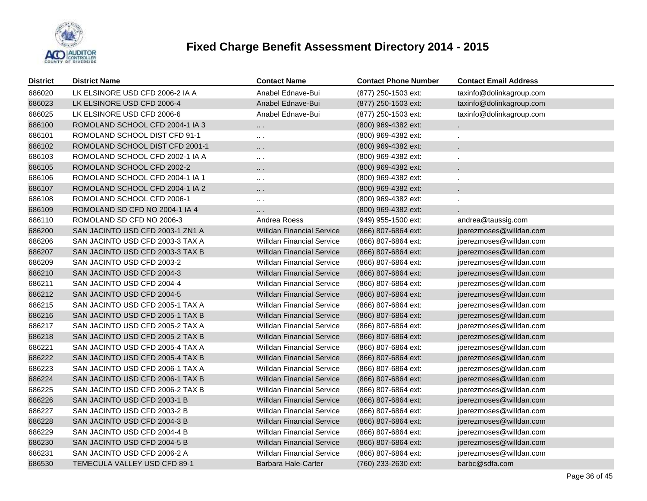

| <b>District</b> | <b>District Name</b>             | <b>Contact Name</b>              | <b>Contact Phone Number</b> | <b>Contact Email Address</b> |
|-----------------|----------------------------------|----------------------------------|-----------------------------|------------------------------|
| 686020          | LK ELSINORE USD CFD 2006-2 IA A  | Anabel Ednave-Bui                | (877) 250-1503 ext:         | taxinfo@dolinkagroup.com     |
| 686023          | LK ELSINORE USD CFD 2006-4       | Anabel Ednave-Bui                | (877) 250-1503 ext:         | taxinfo@dolinkagroup.com     |
| 686025          | LK ELSINORE USD CFD 2006-6       | Anabel Ednave-Bui                | (877) 250-1503 ext:         | taxinfo@dolinkagroup.com     |
| 686100          | ROMOLAND SCHOOL CFD 2004-1 IA 3  | .                                | (800) 969-4382 ext:         |                              |
| 686101          | ROMOLAND SCHOOL DIST CFD 91-1    | $\sim$ $\sim$                    | (800) 969-4382 ext:         | ä,                           |
| 686102          | ROMOLAND SCHOOL DIST CFD 2001-1  | $\cdots$                         | (800) 969-4382 ext:         | c.                           |
| 686103          | ROMOLAND SCHOOL CFD 2002-1 IA A  | $\sim 10$                        | (800) 969-4382 ext:         | ä,                           |
| 686105          | ROMOLAND SCHOOL CFD 2002-2       | $\cdots$                         | (800) 969-4382 ext:         | ä,                           |
| 686106          | ROMOLAND SCHOOL CFD 2004-1 IA 1  | $\sim$ $\sim$                    | (800) 969-4382 ext:         | ä,                           |
| 686107          | ROMOLAND SCHOOL CFD 2004-1 IA 2  | $\ddotsc$                        | (800) 969-4382 ext:         | ä,                           |
| 686108          | ROMOLAND SCHOOL CFD 2006-1       | $\ldots$ .                       | (800) 969-4382 ext:         | ä,                           |
| 686109          | ROMOLAND SD CFD NO 2004-1 IA 4   | .                                | (800) 969-4382 ext:         |                              |
| 686110          | ROMOLAND SD CFD NO 2006-3        | Andrea Roess                     | (949) 955-1500 ext:         | andrea@taussig.com           |
| 686200          | SAN JACINTO USD CFD 2003-1 ZN1 A | <b>Willdan Financial Service</b> | (866) 807-6864 ext:         | jperezmoses@willdan.com      |
| 686206          | SAN JACINTO USD CFD 2003-3 TAX A | <b>Willdan Financial Service</b> | (866) 807-6864 ext:         | jperezmoses@willdan.com      |
| 686207          | SAN JACINTO USD CFD 2003-3 TAX B | <b>Willdan Financial Service</b> | (866) 807-6864 ext:         | jperezmoses@willdan.com      |
| 686209          | SAN JACINTO USD CFD 2003-2       | <b>Willdan Financial Service</b> | (866) 807-6864 ext:         | jperezmoses@willdan.com      |
| 686210          | SAN JACINTO USD CFD 2004-3       | <b>Willdan Financial Service</b> | (866) 807-6864 ext:         | jperezmoses@willdan.com      |
| 686211          | SAN JACINTO USD CFD 2004-4       | <b>Willdan Financial Service</b> | (866) 807-6864 ext:         | jperezmoses@willdan.com      |
| 686212          | SAN JACINTO USD CFD 2004-5       | <b>Willdan Financial Service</b> | (866) 807-6864 ext:         | jperezmoses@willdan.com      |
| 686215          | SAN JACINTO USD CFD 2005-1 TAX A | <b>Willdan Financial Service</b> | (866) 807-6864 ext:         | jperezmoses@willdan.com      |
| 686216          | SAN JACINTO USD CFD 2005-1 TAX B | <b>Willdan Financial Service</b> | (866) 807-6864 ext:         | jperezmoses@willdan.com      |
| 686217          | SAN JACINTO USD CFD 2005-2 TAX A | <b>Willdan Financial Service</b> | (866) 807-6864 ext:         | jperezmoses@willdan.com      |
| 686218          | SAN JACINTO USD CFD 2005-2 TAX B | <b>Willdan Financial Service</b> | (866) 807-6864 ext:         | jperezmoses@willdan.com      |
| 686221          | SAN JACINTO USD CFD 2005-4 TAX A | <b>Willdan Financial Service</b> | (866) 807-6864 ext:         | jperezmoses@willdan.com      |
| 686222          | SAN JACINTO USD CFD 2005-4 TAX B | <b>Willdan Financial Service</b> | (866) 807-6864 ext:         | jperezmoses@willdan.com      |
| 686223          | SAN JACINTO USD CFD 2006-1 TAX A | <b>Willdan Financial Service</b> | (866) 807-6864 ext:         | jperezmoses@willdan.com      |
| 686224          | SAN JACINTO USD CFD 2006-1 TAX B | <b>Willdan Financial Service</b> | (866) 807-6864 ext:         | jperezmoses@willdan.com      |
| 686225          | SAN JACINTO USD CFD 2006-2 TAX B | <b>Willdan Financial Service</b> | (866) 807-6864 ext:         | jperezmoses@willdan.com      |
| 686226          | SAN JACINTO USD CFD 2003-1 B     | <b>Willdan Financial Service</b> | (866) 807-6864 ext:         | jperezmoses@willdan.com      |
| 686227          | SAN JACINTO USD CFD 2003-2 B     | <b>Willdan Financial Service</b> | (866) 807-6864 ext:         | jperezmoses@willdan.com      |
| 686228          | SAN JACINTO USD CFD 2004-3 B     | <b>Willdan Financial Service</b> | (866) 807-6864 ext:         | jperezmoses@willdan.com      |
| 686229          | SAN JACINTO USD CFD 2004-4 B     | <b>Willdan Financial Service</b> | (866) 807-6864 ext:         | jperezmoses@willdan.com      |
| 686230          | SAN JACINTO USD CFD 2004-5 B     | <b>Willdan Financial Service</b> | (866) 807-6864 ext:         | jperezmoses@willdan.com      |
| 686231          | SAN JACINTO USD CFD 2006-2 A     | <b>Willdan Financial Service</b> | (866) 807-6864 ext:         | jperezmoses@willdan.com      |
| 686530          | TEMECULA VALLEY USD CFD 89-1     | <b>Barbara Hale-Carter</b>       | (760) 233-2630 ext:         | barbc@sdfa.com               |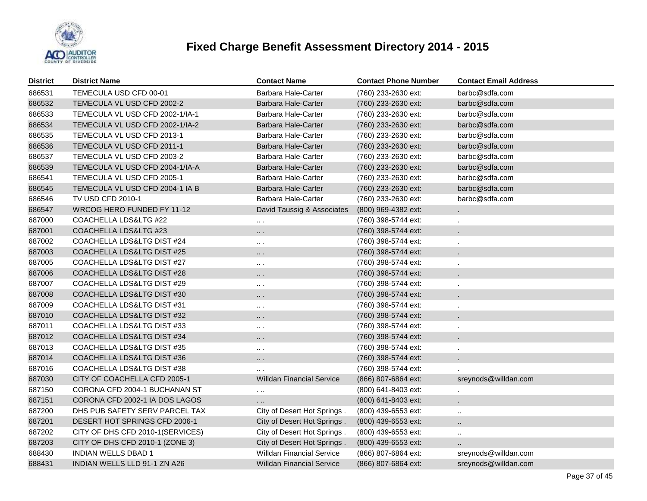

| <b>District</b> | <b>District Name</b>             | <b>Contact Name</b>              | <b>Contact Phone Number</b> | <b>Contact Email Address</b> |
|-----------------|----------------------------------|----------------------------------|-----------------------------|------------------------------|
| 686531          | TEMECULA USD CFD 00-01           | Barbara Hale-Carter              | (760) 233-2630 ext:         | barbc@sdfa.com               |
| 686532          | TEMECULA VL USD CFD 2002-2       | Barbara Hale-Carter              | (760) 233-2630 ext:         | barbc@sdfa.com               |
| 686533          | TEMECULA VL USD CFD 2002-1/IA-1  | Barbara Hale-Carter              | (760) 233-2630 ext:         | barbc@sdfa.com               |
| 686534          | TEMECULA VL USD CFD 2002-1/IA-2  | <b>Barbara Hale-Carter</b>       | (760) 233-2630 ext:         | barbc@sdfa.com               |
| 686535          | TEMECULA VL USD CFD 2013-1       | Barbara Hale-Carter              | (760) 233-2630 ext:         | barbc@sdfa.com               |
| 686536          | TEMECULA VL USD CFD 2011-1       | Barbara Hale-Carter              | (760) 233-2630 ext:         | barbc@sdfa.com               |
| 686537          | TEMECULA VL USD CFD 2003-2       | Barbara Hale-Carter              | (760) 233-2630 ext:         | barbc@sdfa.com               |
| 686539          | TEMECULA VL USD CFD 2004-1/IA-A  | <b>Barbara Hale-Carter</b>       | (760) 233-2630 ext:         | barbc@sdfa.com               |
| 686541          | TEMECULA VL USD CFD 2005-1       | Barbara Hale-Carter              | (760) 233-2630 ext:         | barbc@sdfa.com               |
| 686545          | TEMECULA VL USD CFD 2004-1 IA B  | Barbara Hale-Carter              | (760) 233-2630 ext:         | barbc@sdfa.com               |
| 686546          | TV USD CFD 2010-1                | <b>Barbara Hale-Carter</b>       | (760) 233-2630 ext:         | barbc@sdfa.com               |
| 686547          | WRCOG HERO FUNDED FY 11-12       | David Taussig & Associates       | (800) 969-4382 ext:         |                              |
| 687000          | COACHELLA LDS&LTG #22            | $\cdots$                         | (760) 398-5744 ext:         |                              |
| 687001          | COACHELLA LDS&LTG #23            | $\cdots$                         | (760) 398-5744 ext:         |                              |
| 687002          | COACHELLA LDS&LTG DIST #24       | $\ldots$ .                       | (760) 398-5744 ext:         |                              |
| 687003          | COACHELLA LDS&LTG DIST #25       | $\cdots$                         | (760) 398-5744 ext:         |                              |
| 687005          | COACHELLA LDS&LTG DIST #27       | $\cdots$                         | (760) 398-5744 ext:         |                              |
| 687006          | COACHELLA LDS&LTG DIST #28       | $\cdots$                         | (760) 398-5744 ext:         |                              |
| 687007          | COACHELLA LDS&LTG DIST #29       | $\sim$ $\sim$                    | (760) 398-5744 ext:         |                              |
| 687008          | COACHELLA LDS&LTG DIST #30       | $\cdots$                         | (760) 398-5744 ext:         |                              |
| 687009          | COACHELLA LDS&LTG DIST #31       | $\cdots$                         | (760) 398-5744 ext:         |                              |
| 687010          | COACHELLA LDS&LTG DIST #32       | .                                | (760) 398-5744 ext:         |                              |
| 687011          | COACHELLA LDS&LTG DIST #33       | $\cdots$                         | (760) 398-5744 ext:         |                              |
| 687012          | COACHELLA LDS&LTG DIST #34       | $\cdots$                         | (760) 398-5744 ext:         |                              |
| 687013          | COACHELLA LDS&LTG DIST #35       | $\sim$ $\sim$                    | (760) 398-5744 ext:         |                              |
| 687014          | COACHELLA LDS&LTG DIST #36       | $\cdots$                         | (760) 398-5744 ext:         |                              |
| 687016          | COACHELLA LDS&LTG DIST #38       | $\cdots$                         | (760) 398-5744 ext:         |                              |
| 687030          | CITY OF COACHELLA CFD 2005-1     | <b>Willdan Financial Service</b> | (866) 807-6864 ext:         | sreynods@willdan.com         |
| 687150          | CORONA CFD 2004-1 BUCHANAN ST    | $\sim$ 100                       | (800) 641-8403 ext:         | $\cdot$                      |
| 687151          | CORONA CFD 2002-1 IA DOS LAGOS   | .                                | (800) 641-8403 ext:         |                              |
| 687200          | DHS PUB SAFETY SERV PARCEL TAX   | City of Desert Hot Springs.      | (800) 439-6553 ext:         | $\ddotsc$                    |
| 687201          | DESERT HOT SPRINGS CFD 2006-1    | City of Desert Hot Springs.      | (800) 439-6553 ext:         | $\ddotsc$                    |
| 687202          | CITY OF DHS CFD 2010-1(SERVICES) | City of Desert Hot Springs.      | (800) 439-6553 ext:         | $\ddotsc$                    |
| 687203          | CITY OF DHS CFD 2010-1 (ZONE 3)  | City of Desert Hot Springs.      | (800) 439-6553 ext:         | $\ddot{\phantom{a}}$         |
| 688430          | <b>INDIAN WELLS DBAD 1</b>       | <b>Willdan Financial Service</b> | (866) 807-6864 ext:         | sreynods@willdan.com         |
| 688431          | INDIAN WELLS LLD 91-1 ZN A26     | Willdan Financial Service        | (866) 807-6864 ext:         | sreynods@willdan.com         |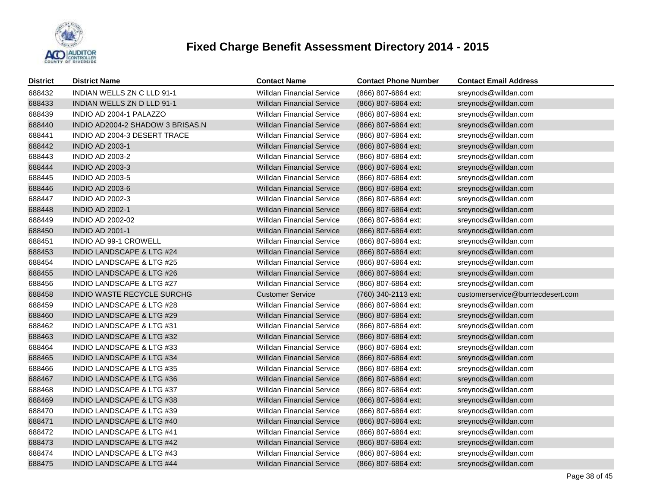

| <b>District</b> | <b>District Name</b>                 | <b>Contact Name</b>              | <b>Contact Phone Number</b> | <b>Contact Email Address</b>      |
|-----------------|--------------------------------------|----------------------------------|-----------------------------|-----------------------------------|
| 688432          | <b>INDIAN WELLS ZN C LLD 91-1</b>    | <b>Willdan Financial Service</b> | (866) 807-6864 ext:         | sreynods@willdan.com              |
| 688433          | INDIAN WELLS ZN D LLD 91-1           | Willdan Financial Service        | (866) 807-6864 ext:         | sreynods@willdan.com              |
| 688439          | INDIO AD 2004-1 PALAZZO              | <b>Willdan Financial Service</b> | (866) 807-6864 ext:         | sreynods@willdan.com              |
| 688440          | INDIO AD2004-2 SHADOW 3 BRISAS.N     | <b>Willdan Financial Service</b> | (866) 807-6864 ext:         | sreynods@willdan.com              |
| 688441          | INDIO AD 2004-3 DESERT TRACE         | <b>Willdan Financial Service</b> | (866) 807-6864 ext:         | sreynods@willdan.com              |
| 688442          | <b>INDIO AD 2003-1</b>               | <b>Willdan Financial Service</b> | (866) 807-6864 ext:         | sreynods@willdan.com              |
| 688443          | <b>INDIO AD 2003-2</b>               | <b>Willdan Financial Service</b> | (866) 807-6864 ext:         | sreynods@willdan.com              |
| 688444          | <b>INDIO AD 2003-3</b>               | <b>Willdan Financial Service</b> | (866) 807-6864 ext:         | sreynods@willdan.com              |
| 688445          | <b>INDIO AD 2003-5</b>               | <b>Willdan Financial Service</b> | (866) 807-6864 ext:         | sreynods@willdan.com              |
| 688446          | <b>INDIO AD 2003-6</b>               | Willdan Financial Service        | (866) 807-6864 ext:         | sreynods@willdan.com              |
| 688447          | <b>INDIO AD 2002-3</b>               | <b>Willdan Financial Service</b> | (866) 807-6864 ext:         | sreynods@willdan.com              |
| 688448          | <b>INDIO AD 2002-1</b>               | Willdan Financial Service        | (866) 807-6864 ext:         | sreynods@willdan.com              |
| 688449          | <b>INDIO AD 2002-02</b>              | <b>Willdan Financial Service</b> | (866) 807-6864 ext:         | sreynods@willdan.com              |
| 688450          | <b>INDIO AD 2001-1</b>               | Willdan Financial Service        | (866) 807-6864 ext:         | sreynods@willdan.com              |
| 688451          | INDIO AD 99-1 CROWELL                | <b>Willdan Financial Service</b> | (866) 807-6864 ext:         | sreynods@willdan.com              |
| 688453          | INDIO LANDSCAPE & LTG #24            | <b>Willdan Financial Service</b> | (866) 807-6864 ext:         | sreynods@willdan.com              |
| 688454          | <b>INDIO LANDSCAPE &amp; LTG #25</b> | <b>Willdan Financial Service</b> | (866) 807-6864 ext:         | sreynods@willdan.com              |
| 688455          | <b>INDIO LANDSCAPE &amp; LTG #26</b> | <b>Willdan Financial Service</b> | (866) 807-6864 ext:         | sreynods@willdan.com              |
| 688456          | <b>INDIO LANDSCAPE &amp; LTG #27</b> | <b>Willdan Financial Service</b> | (866) 807-6864 ext:         | sreynods@willdan.com              |
| 688458          | <b>INDIO WASTE RECYCLE SURCHG</b>    | <b>Customer Service</b>          | (760) 340-2113 ext:         | customerservice@burrtecdesert.com |
| 688459          | <b>INDIO LANDSCAPE &amp; LTG #28</b> | <b>Willdan Financial Service</b> | (866) 807-6864 ext:         | sreynods@willdan.com              |
| 688460          | <b>INDIO LANDSCAPE &amp; LTG #29</b> | <b>Willdan Financial Service</b> | (866) 807-6864 ext:         | sreynods@willdan.com              |
| 688462          | INDIO LANDSCAPE & LTG #31            | <b>Willdan Financial Service</b> | (866) 807-6864 ext:         | sreynods@willdan.com              |
| 688463          | INDIO LANDSCAPE & LTG #32            | <b>Willdan Financial Service</b> | (866) 807-6864 ext:         | sreynods@willdan.com              |
| 688464          | <b>INDIO LANDSCAPE &amp; LTG #33</b> | <b>Willdan Financial Service</b> | (866) 807-6864 ext:         | sreynods@willdan.com              |
| 688465          | INDIO LANDSCAPE & LTG #34            | <b>Willdan Financial Service</b> | (866) 807-6864 ext:         | sreynods@willdan.com              |
| 688466          | <b>INDIO LANDSCAPE &amp; LTG #35</b> | <b>Willdan Financial Service</b> | (866) 807-6864 ext:         | sreynods@willdan.com              |
| 688467          | <b>INDIO LANDSCAPE &amp; LTG #36</b> | <b>Willdan Financial Service</b> | (866) 807-6864 ext:         | sreynods@willdan.com              |
| 688468          | INDIO LANDSCAPE & LTG #37            | <b>Willdan Financial Service</b> | (866) 807-6864 ext:         | sreynods@willdan.com              |
| 688469          | <b>INDIO LANDSCAPE &amp; LTG #38</b> | <b>Willdan Financial Service</b> | (866) 807-6864 ext:         | sreynods@willdan.com              |
| 688470          | INDIO LANDSCAPE & LTG #39            | <b>Willdan Financial Service</b> | (866) 807-6864 ext:         | sreynods@willdan.com              |
| 688471          | <b>INDIO LANDSCAPE &amp; LTG #40</b> | <b>Willdan Financial Service</b> | (866) 807-6864 ext:         | sreynods@willdan.com              |
| 688472          | <b>INDIO LANDSCAPE &amp; LTG #41</b> | <b>Willdan Financial Service</b> | (866) 807-6864 ext:         | sreynods@willdan.com              |
| 688473          | INDIO LANDSCAPE & LTG #42            | <b>Willdan Financial Service</b> | (866) 807-6864 ext:         | sreynods@willdan.com              |
| 688474          | <b>INDIO LANDSCAPE &amp; LTG #43</b> | <b>Willdan Financial Service</b> | (866) 807-6864 ext:         | sreynods@willdan.com              |
| 688475          | INDIO LANDSCAPE & LTG #44            | Willdan Financial Service        | (866) 807-6864 ext:         | sreynods@willdan.com              |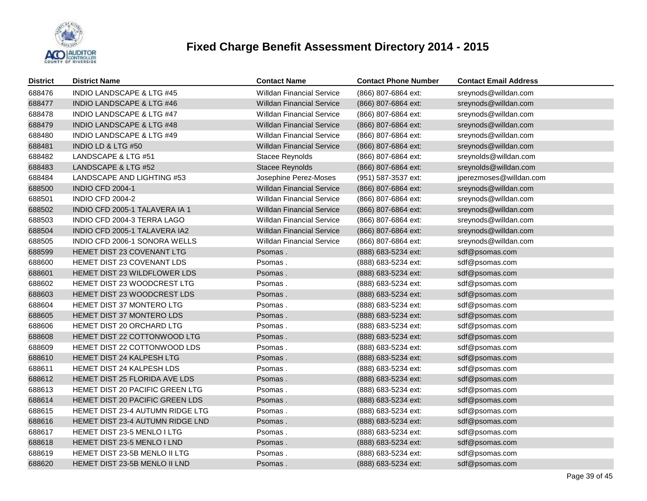

| <b>District</b> | <b>District Name</b>                 | <b>Contact Name</b>              | <b>Contact Phone Number</b> | <b>Contact Email Address</b> |
|-----------------|--------------------------------------|----------------------------------|-----------------------------|------------------------------|
| 688476          | <b>INDIO LANDSCAPE &amp; LTG #45</b> | <b>Willdan Financial Service</b> | (866) 807-6864 ext:         | sreynods@willdan.com         |
| 688477          | <b>INDIO LANDSCAPE &amp; LTG #46</b> | <b>Willdan Financial Service</b> | (866) 807-6864 ext:         | sreynods@willdan.com         |
| 688478          | <b>INDIO LANDSCAPE &amp; LTG #47</b> | <b>Willdan Financial Service</b> | (866) 807-6864 ext:         | sreynods@willdan.com         |
| 688479          | INDIO LANDSCAPE & LTG #48            | <b>Willdan Financial Service</b> | (866) 807-6864 ext:         | sreynods@willdan.com         |
| 688480          | <b>INDIO LANDSCAPE &amp; LTG #49</b> | <b>Willdan Financial Service</b> | (866) 807-6864 ext:         | sreynods@willdan.com         |
| 688481          | <b>INDIO LD &amp; LTG #50</b>        | <b>Willdan Financial Service</b> | (866) 807-6864 ext:         | sreynods@willdan.com         |
| 688482          | LANDSCAPE & LTG #51                  | <b>Stacee Reynolds</b>           | (866) 807-6864 ext:         | sreynolds@willdan.com        |
| 688483          | LANDSCAPE & LTG #52                  | <b>Stacee Reynolds</b>           | (866) 807-6864 ext:         | sreynolds@willdan.com        |
| 688484          | LANDSCAPE AND LIGHTING #53           | Josephine Perez-Moses            | (951) 587-3537 ext:         | jperezmoses@willdan.com      |
| 688500          | INDIO CFD 2004-1                     | <b>Willdan Financial Service</b> | (866) 807-6864 ext:         | sreynods@willdan.com         |
| 688501          | <b>INDIO CFD 2004-2</b>              | <b>Willdan Financial Service</b> | (866) 807-6864 ext:         | sreynods@willdan.com         |
| 688502          | INDIO CFD 2005-1 TALAVERA IA 1       | <b>Willdan Financial Service</b> | (866) 807-6864 ext:         | sreynods@willdan.com         |
| 688503          | INDIO CFD 2004-3 TERRA LAGO          | <b>Willdan Financial Service</b> | (866) 807-6864 ext:         | sreynods@willdan.com         |
| 688504          | INDIO CFD 2005-1 TALAVERA IA2        | <b>Willdan Financial Service</b> | (866) 807-6864 ext:         | sreynods@willdan.com         |
| 688505          | INDIO CFD 2006-1 SONORA WELLS        | <b>Willdan Financial Service</b> | (866) 807-6864 ext:         | sreynods@willdan.com         |
| 688599          | HEMET DIST 23 COVENANT LTG           | Psomas.                          | (888) 683-5234 ext:         | sdf@psomas.com               |
| 688600          | HEMET DIST 23 COVENANT LDS           | Psomas.                          | (888) 683-5234 ext:         | sdf@psomas.com               |
| 688601          | HEMET DIST 23 WILDFLOWER LDS         | Psomas.                          | (888) 683-5234 ext:         | sdf@psomas.com               |
| 688602          | HEMET DIST 23 WOODCREST LTG          | Psomas.                          | (888) 683-5234 ext:         | sdf@psomas.com               |
| 688603          | HEMET DIST 23 WOODCREST LDS          | Psomas.                          | (888) 683-5234 ext:         | sdf@psomas.com               |
| 688604          | HEMET DIST 37 MONTERO LTG            | Psomas.                          | (888) 683-5234 ext:         | sdf@psomas.com               |
| 688605          | HEMET DIST 37 MONTERO LDS            | Psomas.                          | (888) 683-5234 ext:         | sdf@psomas.com               |
| 688606          | HEMET DIST 20 ORCHARD LTG            | Psomas.                          | (888) 683-5234 ext:         | sdf@psomas.com               |
| 688608          | HEMET DIST 22 COTTONWOOD LTG         | Psomas.                          | (888) 683-5234 ext:         | sdf@psomas.com               |
| 688609          | HEMET DIST 22 COTTONWOOD LDS         | Psomas.                          | (888) 683-5234 ext:         | sdf@psomas.com               |
| 688610          | HEMET DIST 24 KALPESH LTG            | Psomas.                          | (888) 683-5234 ext:         | sdf@psomas.com               |
| 688611          | HEMET DIST 24 KALPESH LDS            | Psomas.                          | (888) 683-5234 ext:         | sdf@psomas.com               |
| 688612          | HEMET DIST 25 FLORIDA AVE LDS        | Psomas.                          | (888) 683-5234 ext:         | sdf@psomas.com               |
| 688613          | HEMET DIST 20 PACIFIC GREEN LTG      | Psomas.                          | (888) 683-5234 ext:         | sdf@psomas.com               |
| 688614          | HEMET DIST 20 PACIFIC GREEN LDS      | Psomas.                          | (888) 683-5234 ext:         | sdf@psomas.com               |
| 688615          | HEMET DIST 23-4 AUTUMN RIDGE LTG     | Psomas.                          | (888) 683-5234 ext:         | sdf@psomas.com               |
| 688616          | HEMET DIST 23-4 AUTUMN RIDGE LND     | Psomas.                          | (888) 683-5234 ext:         | sdf@psomas.com               |
| 688617          | HEMET DIST 23-5 MENLO I LTG          | Psomas.                          | (888) 683-5234 ext:         | sdf@psomas.com               |
| 688618          | HEMET DIST 23-5 MENLO I LND          | Psomas.                          | (888) 683-5234 ext:         | sdf@psomas.com               |
| 688619          | HEMET DIST 23-5B MENLO II LTG        | Psomas.                          | (888) 683-5234 ext:         | sdf@psomas.com               |
| 688620          | HEMET DIST 23-5B MENLO II LND        | Psomas.                          | (888) 683-5234 ext:         | sdf@psomas.com               |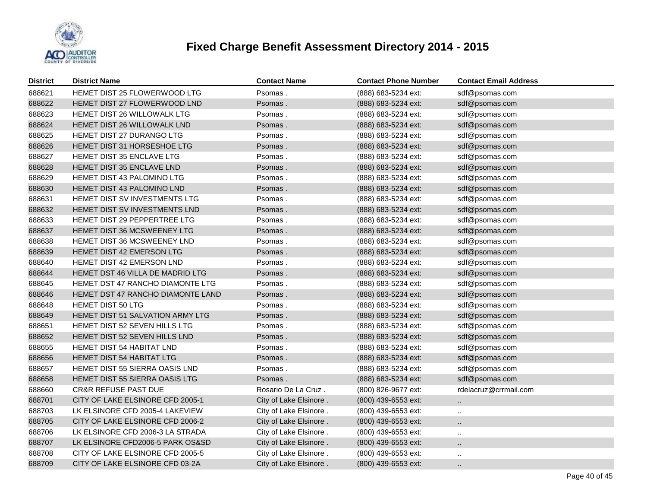

| <b>District</b> | <b>District Name</b>               | <b>Contact Name</b>    | <b>Contact Phone Number</b> | <b>Contact Email Address</b> |
|-----------------|------------------------------------|------------------------|-----------------------------|------------------------------|
| 688621          | HEMET DIST 25 FLOWERWOOD LTG       | Psomas.                | (888) 683-5234 ext:         | sdf@psomas.com               |
| 688622          | HEMET DIST 27 FLOWERWOOD LND       | Psomas.                | (888) 683-5234 ext:         | sdf@psomas.com               |
| 688623          | <b>HEMET DIST 26 WILLOWALK LTG</b> | Psomas.                | (888) 683-5234 ext:         | sdf@psomas.com               |
| 688624          | <b>HEMET DIST 26 WILLOWALK LND</b> | Psomas.                | (888) 683-5234 ext:         | sdf@psomas.com               |
| 688625          | HEMET DIST 27 DURANGO LTG          | Psomas.                | (888) 683-5234 ext:         | sdf@psomas.com               |
| 688626          | HEMET DIST 31 HORSESHOE LTG        | Psomas.                | (888) 683-5234 ext:         | sdf@psomas.com               |
| 688627          | <b>HEMET DIST 35 ENCLAVE LTG</b>   | Psomas.                | (888) 683-5234 ext:         | sdf@psomas.com               |
| 688628          | HEMET DIST 35 ENCLAVE LND          | Psomas.                | (888) 683-5234 ext:         | sdf@psomas.com               |
| 688629          | <b>HEMET DIST 43 PALOMINO LTG</b>  | Psomas.                | (888) 683-5234 ext:         | sdf@psomas.com               |
| 688630          | HEMET DIST 43 PALOMINO LND         | Psomas.                | (888) 683-5234 ext:         | sdf@psomas.com               |
| 688631          | HEMET DIST SV INVESTMENTS LTG      | Psomas.                | (888) 683-5234 ext:         | sdf@psomas.com               |
| 688632          | HEMET DIST SV INVESTMENTS LND      | Psomas.                | (888) 683-5234 ext:         | sdf@psomas.com               |
| 688633          | HEMET DIST 29 PEPPERTREE LTG       | Psomas.                | (888) 683-5234 ext:         | sdf@psomas.com               |
| 688637          | HEMET DIST 36 MCSWEENEY LTG        | Psomas.                | (888) 683-5234 ext:         | sdf@psomas.com               |
| 688638          | HEMET DIST 36 MCSWEENEY LND        | Psomas.                | (888) 683-5234 ext:         | sdf@psomas.com               |
| 688639          | HEMET DIST 42 EMERSON LTG          | Psomas.                | (888) 683-5234 ext:         | sdf@psomas.com               |
| 688640          | HEMET DIST 42 EMERSON LND          | Psomas.                | (888) 683-5234 ext:         | sdf@psomas.com               |
| 688644          | HEMET DST 46 VILLA DE MADRID LTG   | Psomas.                | (888) 683-5234 ext:         | sdf@psomas.com               |
| 688645          | HEMET DST 47 RANCHO DIAMONTE LTG   | Psomas.                | (888) 683-5234 ext:         | sdf@psomas.com               |
| 688646          | HEMET DST 47 RANCHO DIAMONTE LAND  | Psomas.                | (888) 683-5234 ext:         | sdf@psomas.com               |
| 688648          | <b>HEMET DIST 50 LTG</b>           | Psomas.                | (888) 683-5234 ext:         | sdf@psomas.com               |
| 688649          | HEMET DIST 51 SALVATION ARMY LTG   | Psomas.                | (888) 683-5234 ext:         | sdf@psomas.com               |
| 688651          | HEMET DIST 52 SEVEN HILLS LTG      | Psomas.                | (888) 683-5234 ext:         | sdf@psomas.com               |
| 688652          | HEMET DIST 52 SEVEN HILLS LND      | Psomas.                | (888) 683-5234 ext:         | sdf@psomas.com               |
| 688655          | HEMET DIST 54 HABITAT LND          | Psomas.                | (888) 683-5234 ext:         | sdf@psomas.com               |
| 688656          | <b>HEMET DIST 54 HABITAT LTG</b>   | Psomas.                | (888) 683-5234 ext:         | sdf@psomas.com               |
| 688657          | HEMET DIST 55 SIERRA OASIS LND     | Psomas.                | (888) 683-5234 ext:         | sdf@psomas.com               |
| 688658          | HEMET DIST 55 SIERRA OASIS LTG     | Psomas.                | (888) 683-5234 ext:         | sdf@psomas.com               |
| 688660          | <b>CR&amp;R REFUSE PAST DUE</b>    | Rosario De La Cruz.    | (800) 826-9677 ext:         | rdelacruz@crrmail.com        |
| 688701          | CITY OF LAKE ELSINORE CFD 2005-1   | City of Lake Elsinore. | (800) 439-6553 ext:         |                              |
| 688703          | LK ELSINORE CFD 2005-4 LAKEVIEW    | City of Lake Elsinore. | (800) 439-6553 ext:         | $\ddotsc$                    |
| 688705          | CITY OF LAKE ELSINORE CFD 2006-2   | City of Lake Elsinore. | (800) 439-6553 ext:         |                              |
| 688706          | LK ELSINORE CFD 2006-3 LA STRADA   | City of Lake Elsinore. | (800) 439-6553 ext:         | $\ddot{\phantom{a}}$         |
| 688707          | LK ELSINORE CFD2006-5 PARK OS&SD   | City of Lake Elsinore. | (800) 439-6553 ext:         |                              |
| 688708          | CITY OF LAKE ELSINORE CFD 2005-5   | City of Lake Elsinore. | (800) 439-6553 ext:         | $\ddotsc$                    |
| 688709          | CITY OF LAKE ELSINORE CFD 03-2A    | City of Lake Elsinore. | (800) 439-6553 ext:         | ٠.                           |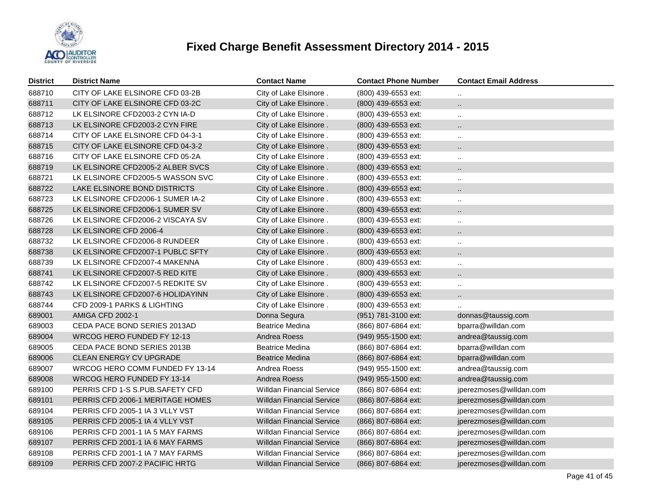

| <b>District</b> | <b>District Name</b>             | <b>Contact Name</b>              | <b>Contact Phone Number</b> | <b>Contact Email Address</b> |
|-----------------|----------------------------------|----------------------------------|-----------------------------|------------------------------|
| 688710          | CITY OF LAKE ELSINORE CFD 03-2B  | City of Lake Elsinore.           | (800) 439-6553 ext:         | $\ddotsc$                    |
| 688711          | CITY OF LAKE ELSINORE CFD 03-2C  | City of Lake Elsinore.           | (800) 439-6553 ext:         | $\ddot{\phantom{a}}$         |
| 688712          | LK ELSINORE CFD2003-2 CYN IA-D   | City of Lake Elsinore.           | (800) 439-6553 ext:         | $\ddotsc$                    |
| 688713          | LK ELSINORE CFD2003-2 CYN FIRE   | City of Lake Elsinore.           | (800) 439-6553 ext:         | $\ddot{\phantom{1}}$         |
| 688714          | CITY OF LAKE ELSINORE CFD 04-3-1 | City of Lake Elsinore.           | (800) 439-6553 ext:         | $\sim$                       |
| 688715          | CITY OF LAKE ELSINORE CFD 04-3-2 | City of Lake Elsinore.           | (800) 439-6553 ext:         | $\ddot{\phantom{1}}$         |
| 688716          | CITY OF LAKE ELSINORE CFD 05-2A  | City of Lake Elsinore.           | (800) 439-6553 ext:         | $\ddotsc$                    |
| 688719          | LK ELSINORE CFD2005-2 ALBER SVCS | City of Lake Elsinore.           | (800) 439-6553 ext:         | $\ddot{\phantom{1}}$         |
| 688721          | LK ELSINORE CFD2005-5 WASSON SVC | City of Lake Elsinore.           | (800) 439-6553 ext:         | $\ddotsc$                    |
| 688722          | LAKE ELSINORE BOND DISTRICTS     | City of Lake Elsinore.           | (800) 439-6553 ext:         | $\ddot{\phantom{a}}$         |
| 688723          | LK ELSINORE CFD2006-1 SUMER IA-2 | City of Lake Elsinore.           | (800) 439-6553 ext:         | $\ddotsc$                    |
| 688725          | LK ELSINORE CFD2006-1 SUMER SV   | City of Lake Elsinore.           | (800) 439-6553 ext:         | $\ddot{\phantom{a}}$         |
| 688726          | LK ELSINORE CFD2006-2 VISCAYA SV | City of Lake Elsinore.           | (800) 439-6553 ext:         | $\ddotsc$                    |
| 688728          | LK ELSINORE CFD 2006-4           | City of Lake Elsinore.           | (800) 439-6553 ext:         | $\ddot{\phantom{1}}$         |
| 688732          | LK ELSINORE CFD2006-8 RUNDEER    | City of Lake Elsinore.           | (800) 439-6553 ext:         | $\ddotsc$                    |
| 688738          | LK ELSINORE CFD2007-1 PUBLC SFTY | City of Lake Elsinore.           | (800) 439-6553 ext:         | $\ddot{\phantom{1}}$         |
| 688739          | LK ELSINORE CFD2007-4 MAKENNA    | City of Lake Elsinore.           | (800) 439-6553 ext:         | $\ddotsc$                    |
| 688741          | LK ELSINORE CFD2007-5 RED KITE   | City of Lake Elsinore.           | (800) 439-6553 ext:         | $\ddot{\phantom{a}}$         |
| 688742          | LK ELSINORE CFD2007-5 REDKITE SV | City of Lake Elsinore.           | (800) 439-6553 ext:         | $\ddotsc$                    |
| 688743          | LK ELSINORE CFD2007-6 HOLIDAYINN | City of Lake Elsinore.           | (800) 439-6553 ext:         | $\ddot{\phantom{a}}$         |
| 688744          | CFD 2009-1 PARKS & LIGHTING      | City of Lake Elsinore.           | (800) 439-6553 ext:         |                              |
| 689001          | <b>AMIGA CFD 2002-1</b>          | Donna Segura                     | (951) 781-3100 ext:         | donnas@taussig.com           |
| 689003          | CEDA PACE BOND SERIES 2013AD     | <b>Beatrice Medina</b>           | (866) 807-6864 ext:         | bparra@willdan.com           |
| 689004          | WRCOG HERO FUNDED FY 12-13       | Andrea Roess                     | (949) 955-1500 ext:         | andrea@taussig.com           |
| 689005          | CEDA PACE BOND SERIES 2013B      | <b>Beatrice Medina</b>           | (866) 807-6864 ext:         | bparra@willdan.com           |
| 689006          | <b>CLEAN ENERGY CV UPGRADE</b>   | <b>Beatrice Medina</b>           | (866) 807-6864 ext:         | bparra@willdan.com           |
| 689007          | WRCOG HERO COMM FUNDED FY 13-14  | Andrea Roess                     | (949) 955-1500 ext:         | andrea@taussig.com           |
| 689008          | WRCOG HERO FUNDED FY 13-14       | Andrea Roess                     | (949) 955-1500 ext:         | andrea@taussig.com           |
| 689100          | PERRIS CFD 1-S S.PUB.SAFETY CFD  | <b>Willdan Financial Service</b> | (866) 807-6864 ext:         | jperezmoses@willdan.com      |
| 689101          | PERRIS CFD 2006-1 MERITAGE HOMES | <b>Willdan Financial Service</b> | (866) 807-6864 ext:         | jperezmoses@willdan.com      |
| 689104          | PERRIS CFD 2005-1 IA 3 VLLY VST  | <b>Willdan Financial Service</b> | (866) 807-6864 ext:         | jperezmoses@willdan.com      |
| 689105          | PERRIS CFD 2005-1 IA 4 VLLY VST  | <b>Willdan Financial Service</b> | (866) 807-6864 ext:         | jperezmoses@willdan.com      |
| 689106          | PERRIS CFD 2001-1 IA 5 MAY FARMS | <b>Willdan Financial Service</b> | (866) 807-6864 ext:         | jperezmoses@willdan.com      |
| 689107          | PERRIS CFD 2001-1 IA 6 MAY FARMS | <b>Willdan Financial Service</b> | (866) 807-6864 ext:         | jperezmoses@willdan.com      |
| 689108          | PERRIS CFD 2001-1 IA 7 MAY FARMS | <b>Willdan Financial Service</b> | (866) 807-6864 ext:         | jperezmoses@willdan.com      |
| 689109          | PERRIS CFD 2007-2 PACIFIC HRTG   | Willdan Financial Service        | (866) 807-6864 ext:         | jperezmoses@willdan.com      |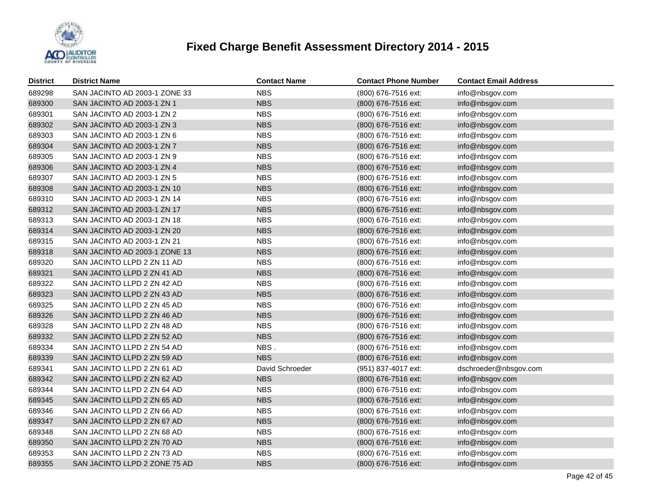

| <b>District</b> | <b>District Name</b>          | <b>Contact Name</b> | <b>Contact Phone Number</b> | <b>Contact Email Address</b> |
|-----------------|-------------------------------|---------------------|-----------------------------|------------------------------|
| 689298          | SAN JACINTO AD 2003-1 ZONE 33 | <b>NBS</b>          | (800) 676-7516 ext:         | info@nbsgov.com              |
| 689300          | SAN JACINTO AD 2003-1 ZN 1    | <b>NBS</b>          | (800) 676-7516 ext:         | info@nbsgov.com              |
| 689301          | SAN JACINTO AD 2003-1 ZN 2    | <b>NBS</b>          | (800) 676-7516 ext:         | info@nbsgov.com              |
| 689302          | SAN JACINTO AD 2003-1 ZN 3    | <b>NBS</b>          | (800) 676-7516 ext:         | info@nbsgov.com              |
| 689303          | SAN JACINTO AD 2003-1 ZN 6    | <b>NBS</b>          | (800) 676-7516 ext:         | info@nbsgov.com              |
| 689304          | SAN JACINTO AD 2003-1 ZN 7    | <b>NBS</b>          | (800) 676-7516 ext:         | info@nbsgov.com              |
| 689305          | SAN JACINTO AD 2003-1 ZN 9    | <b>NBS</b>          | (800) 676-7516 ext:         | info@nbsgov.com              |
| 689306          | SAN JACINTO AD 2003-1 ZN 4    | <b>NBS</b>          | (800) 676-7516 ext:         | info@nbsgov.com              |
| 689307          | SAN JACINTO AD 2003-1 ZN 5    | <b>NBS</b>          | (800) 676-7516 ext:         | info@nbsgov.com              |
| 689308          | SAN JACINTO AD 2003-1 ZN 10   | <b>NBS</b>          | (800) 676-7516 ext:         | info@nbsgov.com              |
| 689310          | SAN JACINTO AD 2003-1 ZN 14   | <b>NBS</b>          | (800) 676-7516 ext:         | info@nbsgov.com              |
| 689312          | SAN JACINTO AD 2003-1 ZN 17   | <b>NBS</b>          | (800) 676-7516 ext:         | info@nbsgov.com              |
| 689313          | SAN JACINTO AD 2003-1 ZN 18   | <b>NBS</b>          | (800) 676-7516 ext:         | info@nbsgov.com              |
| 689314          | SAN JACINTO AD 2003-1 ZN 20   | <b>NBS</b>          | (800) 676-7516 ext:         | info@nbsgov.com              |
| 689315          | SAN JACINTO AD 2003-1 ZN 21   | <b>NBS</b>          | (800) 676-7516 ext:         | info@nbsgov.com              |
| 689318          | SAN JACINTO AD 2003-1 ZONE 13 | <b>NBS</b>          | (800) 676-7516 ext:         | info@nbsgov.com              |
| 689320          | SAN JACINTO LLPD 2 ZN 11 AD   | <b>NBS</b>          | (800) 676-7516 ext:         | info@nbsgov.com              |
| 689321          | SAN JACINTO LLPD 2 ZN 41 AD   | <b>NBS</b>          | (800) 676-7516 ext:         | info@nbsgov.com              |
| 689322          | SAN JACINTO LLPD 2 ZN 42 AD   | <b>NBS</b>          | (800) 676-7516 ext:         | info@nbsgov.com              |
| 689323          | SAN JACINTO LLPD 2 ZN 43 AD   | <b>NBS</b>          | (800) 676-7516 ext:         | info@nbsgov.com              |
| 689325          | SAN JACINTO LLPD 2 ZN 45 AD   | <b>NBS</b>          | (800) 676-7516 ext:         | info@nbsgov.com              |
| 689326          | SAN JACINTO LLPD 2 ZN 46 AD   | <b>NBS</b>          | (800) 676-7516 ext:         | info@nbsgov.com              |
| 689328          | SAN JACINTO LLPD 2 ZN 48 AD   | <b>NBS</b>          | (800) 676-7516 ext:         | info@nbsgov.com              |
| 689332          | SAN JACINTO LLPD 2 ZN 52 AD   | <b>NBS</b>          | (800) 676-7516 ext:         | info@nbsgov.com              |
| 689334          | SAN JACINTO LLPD 2 ZN 54 AD   | NBS.                | (800) 676-7516 ext:         | info@nbsgov.com              |
| 689339          | SAN JACINTO LLPD 2 ZN 59 AD   | <b>NBS</b>          | (800) 676-7516 ext:         | info@nbsgov.com              |
| 689341          | SAN JACINTO LLPD 2 ZN 61 AD   | David Schroeder     | (951) 837-4017 ext:         | dschroeder@nbsgov.com        |
| 689342          | SAN JACINTO LLPD 2 ZN 62 AD   | <b>NBS</b>          | (800) 676-7516 ext:         | info@nbsgov.com              |
| 689344          | SAN JACINTO LLPD 2 ZN 64 AD   | <b>NBS</b>          | (800) 676-7516 ext:         | info@nbsgov.com              |
| 689345          | SAN JACINTO LLPD 2 ZN 65 AD   | <b>NBS</b>          | (800) 676-7516 ext:         | info@nbsgov.com              |
| 689346          | SAN JACINTO LLPD 2 ZN 66 AD   | <b>NBS</b>          | (800) 676-7516 ext:         | info@nbsgov.com              |
| 689347          | SAN JACINTO LLPD 2 ZN 67 AD   | <b>NBS</b>          | (800) 676-7516 ext:         | info@nbsgov.com              |
| 689348          | SAN JACINTO LLPD 2 ZN 68 AD   | <b>NBS</b>          | (800) 676-7516 ext:         | info@nbsgov.com              |
| 689350          | SAN JACINTO LLPD 2 ZN 70 AD   | <b>NBS</b>          | (800) 676-7516 ext:         | info@nbsgov.com              |
| 689353          | SAN JACINTO LLPD 2 ZN 73 AD   | <b>NBS</b>          | (800) 676-7516 ext:         | info@nbsgov.com              |
| 689355          | SAN JACINTO LLPD 2 ZONE 75 AD | <b>NBS</b>          | (800) 676-7516 ext:         | info@nbsgov.com              |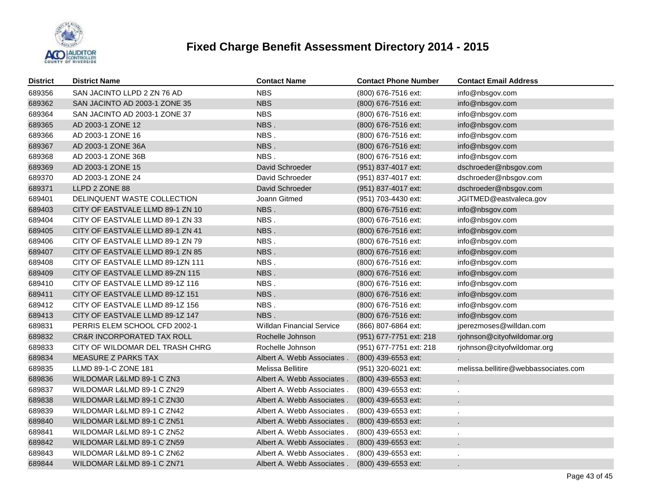

| <b>District</b> | <b>District Name</b>                  | <b>Contact Name</b>              | <b>Contact Phone Number</b> | <b>Contact Email Address</b>         |
|-----------------|---------------------------------------|----------------------------------|-----------------------------|--------------------------------------|
| 689356          | SAN JACINTO LLPD 2 ZN 76 AD           | <b>NBS</b>                       | (800) 676-7516 ext:         | info@nbsgov.com                      |
| 689362          | SAN JACINTO AD 2003-1 ZONE 35         | <b>NBS</b>                       | (800) 676-7516 ext:         | info@nbsgov.com                      |
| 689364          | SAN JACINTO AD 2003-1 ZONE 37         | <b>NBS</b>                       | (800) 676-7516 ext:         | info@nbsgov.com                      |
| 689365          | AD 2003-1 ZONE 12                     | NBS.                             | (800) 676-7516 ext:         | info@nbsgov.com                      |
| 689366          | AD 2003-1 ZONE 16                     | NBS.                             | (800) 676-7516 ext:         | info@nbsgov.com                      |
| 689367          | AD 2003-1 ZONE 36A                    | NBS.                             | (800) 676-7516 ext:         | info@nbsgov.com                      |
| 689368          | AD 2003-1 ZONE 36B                    | NBS.                             | (800) 676-7516 ext:         | info@nbsgov.com                      |
| 689369          | AD 2003-1 ZONE 15                     | David Schroeder                  | (951) 837-4017 ext:         | dschroeder@nbsgov.com                |
| 689370          | AD 2003-1 ZONE 24                     | David Schroeder                  | (951) 837-4017 ext:         | dschroeder@nbsgov.com                |
| 689371          | LLPD 2 ZONE 88                        | David Schroeder                  | (951) 837-4017 ext:         | dschroeder@nbsgov.com                |
| 689401          | DELINQUENT WASTE COLLECTION           | Joann Gitmed                     | (951) 703-4430 ext:         | JGITMED@eastvaleca.gov               |
| 689403          | CITY OF EASTVALE LLMD 89-1 ZN 10      | NBS.                             | (800) 676-7516 ext:         | info@nbsgov.com                      |
| 689404          | CITY OF EASTVALE LLMD 89-1 ZN 33      | NBS.                             | (800) 676-7516 ext:         | info@nbsgov.com                      |
| 689405          | CITY OF EASTVALE LLMD 89-1 ZN 41      | NBS.                             | (800) 676-7516 ext:         | info@nbsgov.com                      |
| 689406          | CITY OF EASTVALE LLMD 89-1 ZN 79      | NBS.                             | (800) 676-7516 ext:         | info@nbsgov.com                      |
| 689407          | CITY OF EASTVALE LLMD 89-1 ZN 85      | NBS.                             | (800) 676-7516 ext:         | info@nbsgov.com                      |
| 689408          | CITY OF EASTVALE LLMD 89-1ZN 111      | NBS.                             | (800) 676-7516 ext:         | info@nbsgov.com                      |
| 689409          | CITY OF EASTVALE LLMD 89-ZN 115       | NBS.                             | (800) 676-7516 ext:         | info@nbsgov.com                      |
| 689410          | CITY OF EASTVALE LLMD 89-1Z 116       | NBS.                             | (800) 676-7516 ext:         | info@nbsgov.com                      |
| 689411          | CITY OF EASTVALE LLMD 89-1Z 151       | NBS.                             | (800) 676-7516 ext:         | info@nbsgov.com                      |
| 689412          | CITY OF EASTVALE LLMD 89-1Z 156       | NBS.                             | (800) 676-7516 ext:         | info@nbsgov.com                      |
| 689413          | CITY OF EASTVALE LLMD 89-1Z 147       | NBS.                             | (800) 676-7516 ext:         | info@nbsgov.com                      |
| 689831          | PERRIS ELEM SCHOOL CFD 2002-1         | <b>Willdan Financial Service</b> | (866) 807-6864 ext:         | jperezmoses@willdan.com              |
| 689832          | <b>CR&amp;R INCORPORATED TAX ROLL</b> | Rochelle Johnson                 | (951) 677-7751 ext: 218     | rjohnson@cityofwildomar.org          |
| 689833          | CITY OF WILDOMAR DEL TRASH CHRG       | Rochelle Johnson                 | (951) 677-7751 ext: 218     | rjohnson@cityofwildomar.org          |
| 689834          | MEASURE Z PARKS TAX                   | Albert A. Webb Associates.       | (800) 439-6553 ext:         |                                      |
| 689835          | LLMD 89-1-C ZONE 181                  | Melissa Bellitire                | (951) 320-6021 ext:         | melissa.bellitire@webbassociates.com |
| 689836          | WILDOMAR L&LMD 89-1 C ZN3             | Albert A. Webb Associates.       | (800) 439-6553 ext:         |                                      |
| 689837          | WILDOMAR L&LMD 89-1 C ZN29            | Albert A. Webb Associates.       | (800) 439-6553 ext:         |                                      |
| 689838          | WILDOMAR L&LMD 89-1 C ZN30            | Albert A. Webb Associates.       | (800) 439-6553 ext:         |                                      |
| 689839          | WILDOMAR L&LMD 89-1 C ZN42            | Albert A. Webb Associates.       | (800) 439-6553 ext:         |                                      |
| 689840          | WILDOMAR L&LMD 89-1 C ZN51            | Albert A. Webb Associates.       | (800) 439-6553 ext:         |                                      |
| 689841          | WILDOMAR L&LMD 89-1 C ZN52            | Albert A. Webb Associates.       | (800) 439-6553 ext:         |                                      |
| 689842          | WILDOMAR L&LMD 89-1 C ZN59            | Albert A. Webb Associates.       | (800) 439-6553 ext:         |                                      |
| 689843          | WILDOMAR L&LMD 89-1 C ZN62            | Albert A. Webb Associates.       | (800) 439-6553 ext:         |                                      |
| 689844          | WILDOMAR L&LMD 89-1 C ZN71            | Albert A. Webb Associates.       | (800) 439-6553 ext:         |                                      |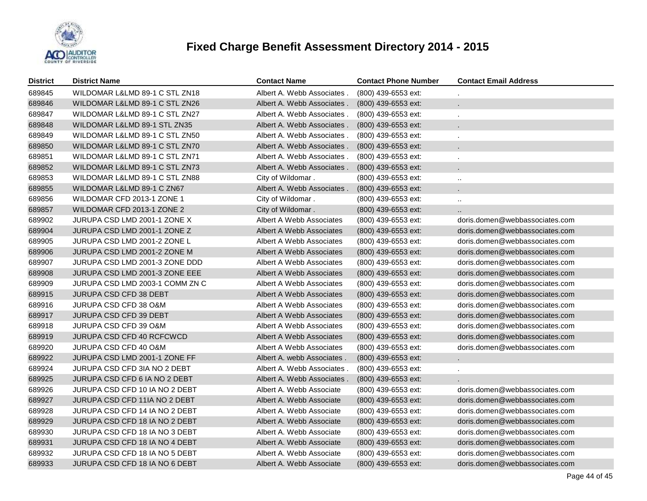

| <b>District</b> | <b>District Name</b>            | <b>Contact Name</b>        | <b>Contact Phone Number</b> | <b>Contact Email Address</b>   |
|-----------------|---------------------------------|----------------------------|-----------------------------|--------------------------------|
| 689845          | WILDOMAR L&LMD 89-1 C STL ZN18  | Albert A. Webb Associates. | (800) 439-6553 ext:         |                                |
| 689846          | WILDOMAR L&LMD 89-1 C STL ZN26  | Albert A. Webb Associates. | (800) 439-6553 ext:         |                                |
| 689847          | WILDOMAR L&LMD 89-1 C STL ZN27  | Albert A. Webb Associates. | (800) 439-6553 ext:         |                                |
| 689848          | WILDOMAR L&LMD 89-1 STL ZN35    | Albert A. Webb Associates. | (800) 439-6553 ext:         |                                |
| 689849          | WILDOMAR L&LMD 89-1 C STL ZN50  | Albert A. Webb Associates. | (800) 439-6553 ext:         |                                |
| 689850          | WILDOMAR L&LMD 89-1 C STL ZN70  | Albert A. Webb Associates. | (800) 439-6553 ext:         |                                |
| 689851          | WILDOMAR L&LMD 89-1 C STL ZN71  | Albert A. Webb Associates. | (800) 439-6553 ext:         |                                |
| 689852          | WILDOMAR L&LMD 89-1 C STL ZN73  | Albert A. Webb Associates. | (800) 439-6553 ext:         |                                |
| 689853          | WILDOMAR L&LMD 89-1 C STL ZN88  | City of Wildomar.          | (800) 439-6553 ext:         | $\ldots$                       |
| 689855          | WILDOMAR L&LMD 89-1 C ZN67      | Albert A. Webb Associates. | $(800)$ 439-6553 ext:       |                                |
| 689856          | WILDOMAR CFD 2013-1 ZONE 1      | City of Wildomar.          | (800) 439-6553 ext:         | $\ldots$                       |
| 689857          | WILDOMAR CFD 2013-1 ZONE 2      | City of Wildomar.          | $(800)$ 439-6553 ext:       | п.                             |
| 689902          | JURUPA CSD LMD 2001-1 ZONE X    | Albert A Webb Associates   | (800) 439-6553 ext:         | doris.domen@webbassociates.com |
| 689904          | JURUPA CSD LMD 2001-1 ZONE Z    | Albert A Webb Associates   | (800) 439-6553 ext:         | doris.domen@webbassociates.com |
| 689905          | JURUPA CSD LMD 2001-2 ZONE L    | Albert A Webb Associates   | (800) 439-6553 ext:         | doris.domen@webbassociates.com |
| 689906          | JURUPA CSD LMD 2001-2 ZONE M    | Albert A Webb Associates   | (800) 439-6553 ext:         | doris.domen@webbassociates.com |
| 689907          | JURUPA CSD LMD 2001-3 ZONE DDD  | Albert A Webb Associates   | (800) 439-6553 ext:         | doris.domen@webbassociates.com |
| 689908          | JURUPA CSD LMD 2001-3 ZONE EEE  | Albert A Webb Associates   | (800) 439-6553 ext:         | doris.domen@webbassociates.com |
| 689909          | JURUPA CSD LMD 2003-1 COMM ZN C | Albert A Webb Associates   | (800) 439-6553 ext:         | doris.domen@webbassociates.com |
| 689915          | JURUPA CSD CFD 38 DEBT          | Albert A Webb Associates   | $(800)$ 439-6553 ext:       | doris.domen@webbassociates.com |
| 689916          | JURUPA CSD CFD 38 O&M           | Albert A Webb Associates   | (800) 439-6553 ext:         | doris.domen@webbassociates.com |
| 689917          | <b>JURUPA CSD CFD 39 DEBT</b>   | Albert A Webb Associates   | $(800)$ 439-6553 ext:       | doris.domen@webbassociates.com |
| 689918          | JURUPA CSD CFD 39 O&M           | Albert A Webb Associates   | (800) 439-6553 ext:         | doris.domen@webbassociates.com |
| 689919          | JURUPA CSD CFD 40 RCFCWCD       | Albert A Webb Associates   | (800) 439-6553 ext:         | doris.domen@webbassociates.com |
| 689920          | JURUPA CSD CFD 40 O&M           | Albert A Webb Associates   | (800) 439-6553 ext:         | doris.domen@webbassociates.com |
| 689922          | JURUPA CSD LMD 2001-1 ZONE FF   | Albert A. webb Associates. | (800) 439-6553 ext:         | $\epsilon$                     |
| 689924          | JURUPA CSD CFD 3IA NO 2 DEBT    | Albert A. Webb Associates. | (800) 439-6553 ext:         |                                |
| 689925          | JURUPA CSD CFD 6 IA NO 2 DEBT   | Albert A. Webb Associates. | (800) 439-6553 ext:         |                                |
| 689926          | JURUPA CSD CFD 10 IA NO 2 DEBT  | Albert A. Webb Associate   | (800) 439-6553 ext:         | doris.domen@webbassociates.com |
| 689927          | JURUPA CSD CFD 11IA NO 2 DEBT   | Albert A. Webb Associate   | (800) 439-6553 ext:         | doris.domen@webbassociates.com |
| 689928          | JURUPA CSD CFD 14 IA NO 2 DEBT  | Albert A. Webb Associate   | (800) 439-6553 ext:         | doris.domen@webbassociates.com |
| 689929          | JURUPA CSD CFD 18 IA NO 2 DEBT  | Albert A. Webb Associate   | (800) 439-6553 ext:         | doris.domen@webbassociates.com |
| 689930          | JURUPA CSD CFD 18 IA NO 3 DEBT  | Albert A. Webb Associate   | (800) 439-6553 ext:         | doris.domen@webbassociates.com |
| 689931          | JURUPA CSD CFD 18 IA NO 4 DEBT  | Albert A. Webb Associate   | (800) 439-6553 ext:         | doris.domen@webbassociates.com |
| 689932          | JURUPA CSD CFD 18 IA NO 5 DEBT  | Albert A. Webb Associate   | (800) 439-6553 ext:         | doris.domen@webbassociates.com |
| 689933          | JURUPA CSD CFD 18 IA NO 6 DEBT  | Albert A. Webb Associate   | (800) 439-6553 ext:         | doris.domen@webbassociates.com |